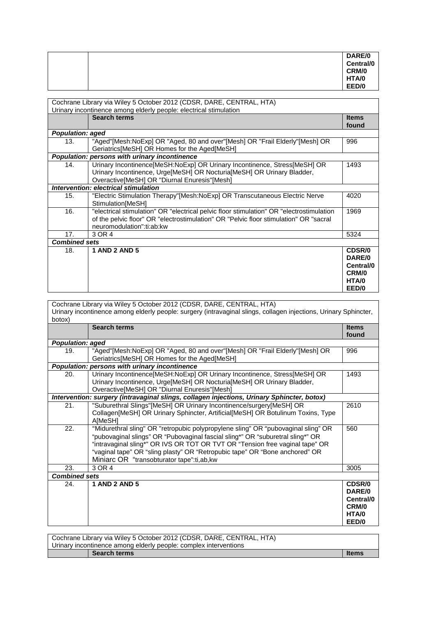|  | DARE/0    |
|--|-----------|
|  | Central/0 |
|  | CRM/0     |
|  | HTA/0     |
|  | EED/0     |

| Cochrane Library via Wiley 5 October 2012 (CDSR, DARE, CENTRAL, HTA)<br>Urinary incontinence among elderly people: electrical stimulation |                                                                                                                                                                                                                |                                                          |
|-------------------------------------------------------------------------------------------------------------------------------------------|----------------------------------------------------------------------------------------------------------------------------------------------------------------------------------------------------------------|----------------------------------------------------------|
|                                                                                                                                           | <b>Search terms</b>                                                                                                                                                                                            | <b>Items</b><br>found                                    |
| <b>Population: aged</b>                                                                                                                   |                                                                                                                                                                                                                |                                                          |
| 13.                                                                                                                                       | "Aged"[Mesh:NoExp] OR "Aged, 80 and over"[Mesh] OR "Frail Elderly"[Mesh] OR<br>Geriatrics [MeSH] OR Homes for the Aged [MeSH]                                                                                  | 996                                                      |
|                                                                                                                                           | Population: persons with urinary incontinence                                                                                                                                                                  |                                                          |
| 14.                                                                                                                                       | Urinary Incontinence[MeSH:NoExp] OR Urinary Incontinence, Stress[MeSH] OR<br>Urinary Incontinence, Urge[MeSH] OR Nocturia[MeSH] OR Urinary Bladder,<br>Overactive[MeSH] OR "Diurnal Enuresis"[Mesh]            | 1493                                                     |
|                                                                                                                                           | Intervention: electrical stimulation                                                                                                                                                                           |                                                          |
| 15.                                                                                                                                       | "Electric Stimulation Therapy"[Mesh:NoExp] OR Transcutaneous Electric Nerve<br>Stimulation[MeSH]                                                                                                               | 4020                                                     |
| 16.                                                                                                                                       | "electrical stimulation" OR "electrical pelvic floor stimulation" OR "electrostimulation<br>of the pelvic floor" OR "electrostimulation" OR "Pelvic floor stimulation" OR "sacral<br>neuromodulation":ti:ab:kw | 1969                                                     |
| 17.                                                                                                                                       | 3 OR 4                                                                                                                                                                                                         | 5324                                                     |
| <b>Combined sets</b>                                                                                                                      |                                                                                                                                                                                                                |                                                          |
| 18.                                                                                                                                       | <b>1 AND 2 AND 5</b>                                                                                                                                                                                           | CDSR/0<br>DARE/0<br>Central/0<br>CRM/0<br>HTA/0<br>EED/0 |
|                                                                                                                                           | Cookrope Library via Wiley E October 2012 (CDCD, DADE, CENTRAL, LITA)                                                                                                                                          |                                                          |

| Cochrane Library via Wiley 5 October 2012 (CDSR, DARE, CENTRAL, HTA)<br>Urinary incontinence among elderly people: surgery (intravaginal slings, collagen injections, Urinary Sphincter,<br>botox) |                                                                                                                                                                                                                                                                                                                                                                                 |                                                          |
|----------------------------------------------------------------------------------------------------------------------------------------------------------------------------------------------------|---------------------------------------------------------------------------------------------------------------------------------------------------------------------------------------------------------------------------------------------------------------------------------------------------------------------------------------------------------------------------------|----------------------------------------------------------|
|                                                                                                                                                                                                    | <b>Search terms</b>                                                                                                                                                                                                                                                                                                                                                             | <b>Items</b><br>found                                    |
| <b>Population: aged</b>                                                                                                                                                                            |                                                                                                                                                                                                                                                                                                                                                                                 |                                                          |
| 19.                                                                                                                                                                                                | "Aged"[Mesh:NoExp] OR "Aged, 80 and over"[Mesh] OR "Frail Elderly"[Mesh] OR<br>Geriatrics[MeSH] OR Homes for the Aged[MeSH]                                                                                                                                                                                                                                                     | 996                                                      |
|                                                                                                                                                                                                    | Population: persons with urinary incontinence                                                                                                                                                                                                                                                                                                                                   |                                                          |
| 20.                                                                                                                                                                                                | Urinary Incontinence[MeSH:NoExp] OR Urinary Incontinence, Stress[MeSH] OR<br>Urinary Incontinence, Urge[MeSH] OR Nocturia[MeSH] OR Urinary Bladder,<br>Overactive[MeSH] OR "Diurnal Enuresis"[Mesh]                                                                                                                                                                             | 1493                                                     |
|                                                                                                                                                                                                    | Intervention: surgery (intravaginal slings, collagen injections, Urinary Sphincter, botox)                                                                                                                                                                                                                                                                                      |                                                          |
| 21.                                                                                                                                                                                                | "Suburethral Slings"[MeSH] OR Urinary Incontinence/surgery[MeSH] OR<br>Collagen[MeSH] OR Urinary Sphincter, Artificial[MeSH] OR Botulinum Toxins, Type<br>A[MeSH]                                                                                                                                                                                                               | 2610                                                     |
| 22.                                                                                                                                                                                                | "Midurethral sling" OR "retropubic polypropylene sling" OR "pubovaginal sling" OR<br>"pubovaginal slings" OR "Pubovaginal fascial sling*" OR "suburetral sling*" OR<br>"intravaginal sling*" OR IVS OR TOT OR TVT OR "Tension free vaginal tape" OR<br>"vaginal tape" OR "sling plasty" OR "Retropubic tape" OR "Bone anchored" OR<br>Miniarc OR "transobturator tape":ti,ab,kw | 560                                                      |
| 23.                                                                                                                                                                                                | 3 OR 4                                                                                                                                                                                                                                                                                                                                                                          | 3005                                                     |
| <b>Combined sets</b>                                                                                                                                                                               |                                                                                                                                                                                                                                                                                                                                                                                 |                                                          |
| 24.                                                                                                                                                                                                | <b>1 AND 2 AND 5</b>                                                                                                                                                                                                                                                                                                                                                            | CDSR/0<br>DARE/0<br>Central/0<br>CRM/0<br>HTA/0<br>EED/0 |

| Cochrane Library via Wiley 5 October 2012 (CDSR, DARE, CENTRAL, HTA) |              |  |
|----------------------------------------------------------------------|--------------|--|
| Urinary incontinence among elderly people: complex interventions     |              |  |
| <b>Search terms</b>                                                  | <b>Items</b> |  |
|                                                                      |              |  |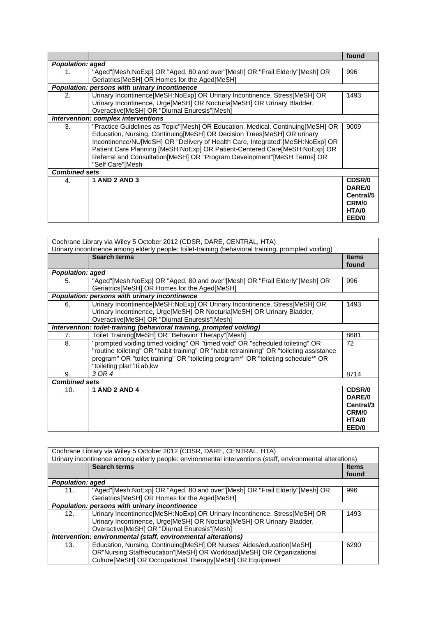|                         |                                                                                                                                                                                                                                                                                                                                                                                                                              | found                                                    |
|-------------------------|------------------------------------------------------------------------------------------------------------------------------------------------------------------------------------------------------------------------------------------------------------------------------------------------------------------------------------------------------------------------------------------------------------------------------|----------------------------------------------------------|
| <b>Population: aged</b> |                                                                                                                                                                                                                                                                                                                                                                                                                              |                                                          |
| 1.                      | "Aged"[Mesh:NoExp] OR "Aged, 80 and over"[Mesh] OR "Frail Elderly"[Mesh] OR<br>Geriatrics[MeSH] OR Homes for the Aged[MeSH]                                                                                                                                                                                                                                                                                                  | 996                                                      |
|                         | Population: persons with urinary incontinence                                                                                                                                                                                                                                                                                                                                                                                |                                                          |
| 2.                      | Urinary Incontinence[MeSH:NoExp] OR Urinary Incontinence, Stress[MeSH] OR<br>Urinary Incontinence, Urge[MeSH] OR Nocturia[MeSH] OR Urinary Bladder,<br>Overactive[MeSH] OR "Diurnal Enuresis"[Mesh]                                                                                                                                                                                                                          | 1493                                                     |
|                         | Intervention: complex interventions                                                                                                                                                                                                                                                                                                                                                                                          |                                                          |
| 3.                      | "Practice Guidelines as Topic"[Mesh] OR Education, Medical, Continuing[MeSH] OR<br>Education, Nursing, Continuing [MeSH] OR Decision Trees [MeSH] OR urinary<br>Incontinence/NU[MeSH] OR "Delivery of Health Care, Integrated"[MeSH:NoExp] OR<br>Patient Care Planning [MeSH:NoExp] OR Patient-Centered Care[MeSH:NoExp] OR<br>Referral and Consultation [MeSH] OR "Program Development" [MeSH Terms] OR<br>"Self Care"[Mesh | 9009                                                     |
| <b>Combined sets</b>    |                                                                                                                                                                                                                                                                                                                                                                                                                              |                                                          |
| 4.                      | <b>1 AND 2 AND 3</b>                                                                                                                                                                                                                                                                                                                                                                                                         | CDSR/0<br>DARE/0<br>Central/5<br>CRM/0<br>HTA/0<br>EED/0 |

| Cochrane Library via Wiley 5 October 2012 (CDSR, DARE, CENTRAL, HTA)                               |                                                                                                                                                                                                                                                                                            |                                                          |
|----------------------------------------------------------------------------------------------------|--------------------------------------------------------------------------------------------------------------------------------------------------------------------------------------------------------------------------------------------------------------------------------------------|----------------------------------------------------------|
| Urinary incontinence among elderly people: toilet-training (behavioral training, prompted voiding) |                                                                                                                                                                                                                                                                                            |                                                          |
|                                                                                                    | <b>Search terms</b>                                                                                                                                                                                                                                                                        | <b>Items</b><br>found                                    |
| <b>Population: aged</b>                                                                            |                                                                                                                                                                                                                                                                                            |                                                          |
| 5.                                                                                                 | "Aged"[Mesh:NoExp] OR "Aged, 80 and over"[Mesh] OR "Frail Elderly"[Mesh] OR<br>Geriatrics[MeSH] OR Homes for the Aged[MeSH]                                                                                                                                                                | 996                                                      |
|                                                                                                    | Population: persons with urinary incontinence                                                                                                                                                                                                                                              |                                                          |
| 6.                                                                                                 | Urinary Incontinence[MeSH:NoExp] OR Urinary Incontinence, Stress[MeSH] OR<br>Urinary Incontinence, Urge[MeSH] OR Nocturia[MeSH] OR Urinary Bladder,<br>Overactive[MeSH] OR "Diurnal Enuresis"[Mesh]                                                                                        | 1493                                                     |
|                                                                                                    | Intervention: toilet-training (behavioral training, prompted voiding)                                                                                                                                                                                                                      |                                                          |
| 7.                                                                                                 | Toilet Training[MeSH] OR "Behavior Therapy"[Mesh]                                                                                                                                                                                                                                          | 8681                                                     |
| 8.                                                                                                 | "prompted voiding timed voiding" OR "timed void" OR "scheduled toileting" OR<br>"routine toileting" OR "habit training" OR "habit retrainining" OR "toileting assistance<br>program" OR "toilet training" OR "toileting program*" OR "toileting schedule*" OR<br>"toileting plan":ti,ab,kw | 72                                                       |
| 9.                                                                                                 | 3 OR 4                                                                                                                                                                                                                                                                                     | 8714                                                     |
| <b>Combined sets</b>                                                                               |                                                                                                                                                                                                                                                                                            |                                                          |
| 10.                                                                                                | <b>1 AND 2 AND 4</b>                                                                                                                                                                                                                                                                       | CDSR/0<br>DARE/0<br>Central/3<br>CRM/0<br>HTA/0<br>EED/0 |

| Cochrane Library via Wiley 5 October 2012 (CDSR, DARE, CENTRAL, HTA) |                                                                                                           |              |  |
|----------------------------------------------------------------------|-----------------------------------------------------------------------------------------------------------|--------------|--|
|                                                                      | Urinary incontinence among elderly people: environmental interventions (staff, environmental alterations) |              |  |
|                                                                      | <b>Search terms</b>                                                                                       | <b>Items</b> |  |
|                                                                      |                                                                                                           | found        |  |
| <b>Population: aged</b>                                              |                                                                                                           |              |  |
| 11.                                                                  | "Aged"[Mesh:NoExp] OR "Aged, 80 and over"[Mesh] OR "Frail Elderly"[Mesh] OR                               | 996          |  |
|                                                                      | Geriatrics[MeSH] OR Homes for the Aged[MeSH]                                                              |              |  |
|                                                                      | Population: persons with urinary incontinence                                                             |              |  |
| 12.                                                                  | Urinary Incontinence[MeSH:NoExp] OR Urinary Incontinence, Stress[MeSH] OR                                 | 1493         |  |
|                                                                      | Urinary Incontinence, Urge[MeSH] OR Nocturia[MeSH] OR Urinary Bladder,                                    |              |  |
|                                                                      | Overactive[MeSH] OR "Diurnal Enuresis"[Mesh]                                                              |              |  |
|                                                                      | Intervention: environmental (staff, environmental alterations)                                            |              |  |
| 13.                                                                  | Education, Nursing, Continuing [MeSH] OR Nurses' Aides/education [MeSH]                                   | 6290         |  |
|                                                                      | OR"Nursing Staff/education"[MeSH] OR Workload[MeSH] OR Organizational                                     |              |  |
|                                                                      | Culture[MeSH] OR Occupational Therapy[MeSH] OR Equipment                                                  |              |  |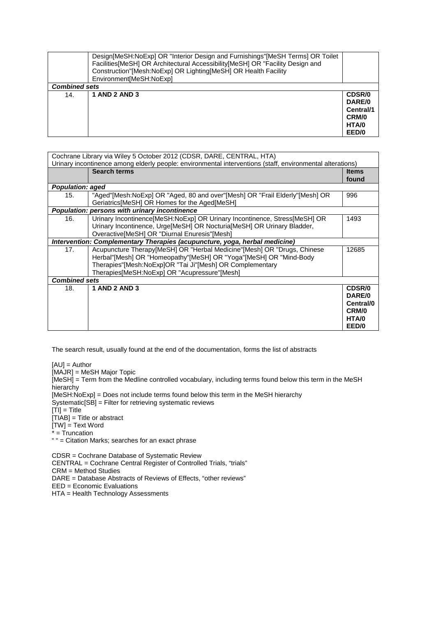|                      | Design[MeSH:NoExp] OR "Interior Design and Furnishings"[MeSH Terms] OR Toilet<br>Facilities [MeSH] OR Architectural Accessibility [MeSH] OR "Facility Design and<br>Construction"[Mesh:NoExp] OR Lighting[MeSH] OR Health Facility<br>Environment[MeSH:NoExp] |                                                                 |
|----------------------|---------------------------------------------------------------------------------------------------------------------------------------------------------------------------------------------------------------------------------------------------------------|-----------------------------------------------------------------|
| <b>Combined sets</b> |                                                                                                                                                                                                                                                               |                                                                 |
| 14.                  | <b>1 AND 2 AND 3</b>                                                                                                                                                                                                                                          | <b>CDSR/0</b><br>DARE/0<br>Central/1<br>CRM/0<br>HTA/0<br>EED/0 |

| Cochrane Library via Wiley 5 October 2012 (CDSR, DARE, CENTRAL, HTA)<br>Urinary incontinence among elderly people: environmental interventions (staff, environmental alterations) |                                                                                                                                                                                                                                                          |                                                          |
|-----------------------------------------------------------------------------------------------------------------------------------------------------------------------------------|----------------------------------------------------------------------------------------------------------------------------------------------------------------------------------------------------------------------------------------------------------|----------------------------------------------------------|
|                                                                                                                                                                                   | <b>Search terms</b>                                                                                                                                                                                                                                      | <b>Items</b><br>found                                    |
| <b>Population: aged</b>                                                                                                                                                           |                                                                                                                                                                                                                                                          |                                                          |
| 15.                                                                                                                                                                               | "Aged"[Mesh:NoExp] OR "Aged, 80 and over"[Mesh] OR "Frail Elderly"[Mesh] OR<br>Geriatrics[MeSH] OR Homes for the Aged[MeSH]                                                                                                                              | 996                                                      |
|                                                                                                                                                                                   | Population: persons with urinary incontinence                                                                                                                                                                                                            |                                                          |
| 16.                                                                                                                                                                               | Urinary Incontinence[MeSH:NoExp] OR Urinary Incontinence, Stress[MeSH] OR<br>Urinary Incontinence, Urge[MeSH] OR Nocturia[MeSH] OR Urinary Bladder,<br>Overactive[MeSH] OR "Diurnal Enuresis"[Mesh]                                                      | 1493                                                     |
|                                                                                                                                                                                   | Intervention: Complementary Therapies (acupuncture, yoga, herbal medicine)                                                                                                                                                                               |                                                          |
| 17.                                                                                                                                                                               | Acupuncture Therapy[MeSH] OR "Herbal Medicine"[Mesh] OR "Drugs, Chinese<br>Herbal"[Mesh] OR "Homeopathy"[MeSH] OR "Yoga"[MeSH] OR "Mind-Body<br>Therapies"[Mesh:NoExp]OR "Tai Ji"[Mesh] OR Complementary<br>Therapies[MeSH:NoExp] OR "Acupressure"[Mesh] | 12685                                                    |
| <b>Combined sets</b>                                                                                                                                                              |                                                                                                                                                                                                                                                          |                                                          |
| 18.                                                                                                                                                                               | <b>1 AND 2 AND 3</b>                                                                                                                                                                                                                                     | CDSR/0<br>DARE/0<br>Central/0<br>CRM/0<br>HTA/0<br>EED/0 |

[AU] = Author [MAJR] = MeSH Major Topic [MeSH] = Term from the Medline controlled vocabulary, including terms found below this term in the MeSH hierarchy [MeSH:NoExp] = Does not include terms found below this term in the MeSH hierarchy Systematic[SB] = Filter for retrieving systematic reviews  $[T<sup>T</sup>] = T$ itle  $[TIAB] =$  Title or abstract [TW] = Text Word  $\bar{x}$  = Truncation " " = Citation Marks; searches for an exact phrase

CDSR = Cochrane Database of Systematic Review CENTRAL = Cochrane Central Register of Controlled Trials, "trials" CRM = Method Studies DARE = Database Abstracts of Reviews of Effects, "other reviews" EED = Economic Evaluations HTA = Health Technology Assessments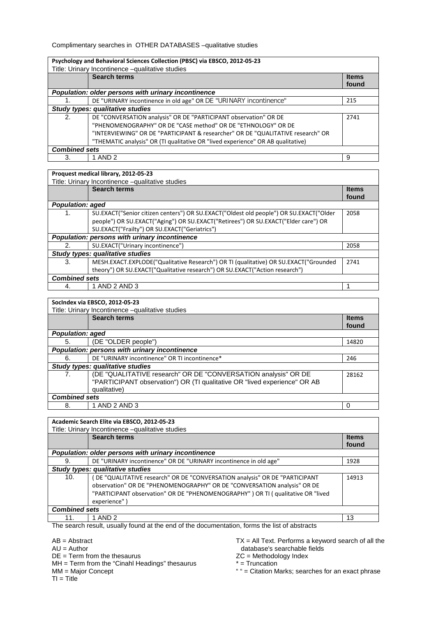Complimentary searches in OTHER DATABASES –qualitative studies

| Psychology and Behavioral Sciences Collection (PBSC) via EBSCO, 2012-05-23 |                                                                                 |                       |  |
|----------------------------------------------------------------------------|---------------------------------------------------------------------------------|-----------------------|--|
|                                                                            | Title: Urinary Incontinence -qualitative studies                                |                       |  |
|                                                                            | <b>Search terms</b>                                                             | <b>Items</b><br>found |  |
|                                                                            | Population: older persons with urinary incontinence                             |                       |  |
|                                                                            | DE "URINARY incontinence in old age" OR DE "URINARY incontinence"               | 215                   |  |
|                                                                            | Study types: qualitative studies                                                |                       |  |
| 2.                                                                         | DE "CONVERSATION analysis" OR DE "PARTICIPANT observation" OR DE                | 2741                  |  |
|                                                                            | "PHENOMENOGRAPHY" OR DE "CASE method" OR DE "ETHNOLOGY" OR DE                   |                       |  |
|                                                                            | "INTERVIEWING" OR DE "PARTICIPANT & researcher" OR DE "QUALITATIVE research" OR |                       |  |
|                                                                            | "THEMATIC analysis" OR (TI qualitative OR "lived experience" OR AB qualitative) |                       |  |
| <b>Combined sets</b>                                                       |                                                                                 |                       |  |
| 3.                                                                         | 1 AND 2                                                                         | 9                     |  |

## **Proquest medical library, 2012-05-23**

| Title: Urinary Incontinence -qualitative studies |                                                                                        |                       |
|--------------------------------------------------|----------------------------------------------------------------------------------------|-----------------------|
|                                                  | <b>Search terms</b>                                                                    | <b>Items</b><br>found |
| <b>Population: aged</b>                          |                                                                                        |                       |
| 1.                                               | SU.EXACT("Senior citizen centers") OR SU.EXACT("Oldest old people") OR SU.EXACT("Older | 2058                  |
|                                                  | people") OR SU.EXACT("Aging") OR SU.EXACT("Retirees") OR SU.EXACT("Elder care") OR     |                       |
|                                                  | SU.EXACT("Frailty") OR SU.EXACT("Geriatrics")                                          |                       |
|                                                  | Population: persons with urinary incontinence                                          |                       |
| 2.                                               | SU.EXACT("Urinary incontinence")                                                       | 2058                  |
|                                                  | <b>Study types: qualitative studies</b>                                                |                       |
| 3.                                               | MESH.EXACT.EXPLODE("Qualitative Research") OR TI (qualitative) OR SU.EXACT("Grounded   | 2741                  |
|                                                  | theory") OR SU.EXACT("Qualitative research") OR SU.EXACT("Action research")            |                       |
| <b>Combined sets</b>                             |                                                                                        |                       |
| 4.                                               | 1 AND 2 AND 3                                                                          |                       |

#### **SocIndex via EBSCO, 2012-05-23**

| Title: Urinary Incontinence -qualitative studies |                                                                           |              |
|--------------------------------------------------|---------------------------------------------------------------------------|--------------|
|                                                  | <b>Search terms</b>                                                       | <b>Items</b> |
|                                                  |                                                                           | found        |
| <b>Population: aged</b>                          |                                                                           |              |
| 5.                                               | (DE "OLDER people")                                                       | 14820        |
|                                                  | Population: persons with urinary incontinence                             |              |
| 6.                                               | DE "URINARY incontinence" OR TI incontinence*                             | 246          |
|                                                  | Study types: qualitative studies                                          |              |
| 7.                                               | (DE "QUALITATIVE research" OR DE "CONVERSATION analysis" OR DE            | 28162        |
|                                                  | "PARTICIPANT observation") OR (TI qualitative OR "lived experience" OR AB |              |
|                                                  | qualitative)                                                              |              |
| <b>Combined sets</b>                             |                                                                           |              |
| 8.                                               | 1 AND 2 AND 3                                                             | 0            |

## **Academic Search Elite via EBSCO, 2012-05-23**

| Academic Search Elite Via EDSCO, 2012-05-23 |                                                                                   |              |
|---------------------------------------------|-----------------------------------------------------------------------------------|--------------|
|                                             | Title: Urinary Incontinence -qualitative studies                                  |              |
|                                             | <b>Search terms</b>                                                               | <b>Items</b> |
|                                             |                                                                                   | found        |
|                                             | Population: older persons with urinary incontinence                               |              |
| 9.                                          | DE "URINARY incontinence" OR DE "URINARY incontinence in old age"                 | 1928         |
| Study types: qualitative studies            |                                                                                   |              |
| 10.                                         | DE "QUALITATIVE research" OR DE "CONVERSATION analysis" OR DE "PARTICIPANT        | 14913        |
|                                             | observation" OR DE "PHENOMENOGRAPHY" OR DE "CONVERSATION analysis" OR DE          |              |
|                                             | "PARTICIPANT observation" OR DE "PHENOMENOGRAPHY" ) OR TI ( qualitative OR "lived |              |
|                                             | experience")                                                                      |              |
| <b>Combined sets</b>                        |                                                                                   |              |
| 11.                                         | 1 AND 2                                                                           | 13           |

The search result, usually found at the end of the documentation, forms the list of abstracts

AB = Abstract

 $AU =$  Author

DE = Term from the thesaurus

MH = Term from the "Cinahl Headings" thesaurus

MM = Major Concept

 $TI = Title$ 

TX = All Text. Performs a keyword search of all the database's searchable fields

ZC = Methodology Index

\* = Truncation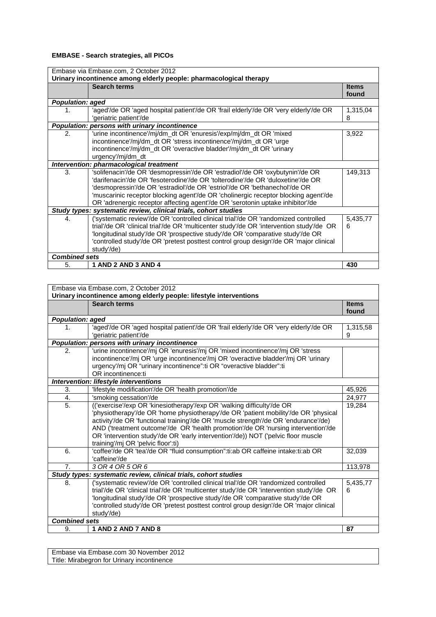## **EMBASE - Search strategies, all PICOs**

| Embase via Embase.com, 2 October 2012<br>Urinary incontinence among elderly people: pharmacological therapy |                                                                                          |              |
|-------------------------------------------------------------------------------------------------------------|------------------------------------------------------------------------------------------|--------------|
|                                                                                                             |                                                                                          |              |
|                                                                                                             | <b>Search terms</b>                                                                      | <b>Items</b> |
|                                                                                                             |                                                                                          | found        |
| <b>Population: aged</b>                                                                                     |                                                                                          |              |
| 1.                                                                                                          | 'aged'/de OR 'aged hospital patient'/de OR 'frail elderly'/de OR 'very elderly'/de OR    | 1,315,04     |
|                                                                                                             | 'geriatric patient'/de                                                                   | 8            |
|                                                                                                             | <b>Population: persons with urinary incontinence</b>                                     |              |
| 2.                                                                                                          | 'urine incontinence'/mj/dm_dt OR 'enuresis'/exp/mj/dm_dt OR 'mixed                       | 3,922        |
|                                                                                                             | incontinence'/mj/dm_dt OR 'stress incontinence'/mj/dm_dt OR 'urge                        |              |
|                                                                                                             | incontinence'/mj/dm_dt OR 'overactive bladder'/mj/dm_dt OR 'urinary                      |              |
|                                                                                                             | urgency'/mj/dm_dt                                                                        |              |
|                                                                                                             | Intervention: pharmacological treatment                                                  |              |
| 3.                                                                                                          | 'solifenacin'/de OR 'desmopressin'/de OR 'estradiol'/de OR 'oxybutynin'/de OR            | 149,313      |
|                                                                                                             | 'darifenacin'/de OR 'fesoterodine'/de OR 'tolterodine'/de OR 'duloxetine'/de OR          |              |
|                                                                                                             | 'desmopressin'/de OR 'estradiol'/de OR 'estriol'/de OR 'bethanechol'/de OR               |              |
|                                                                                                             | 'muscarinic receptor blocking agent'/de OR 'cholinergic receptor blocking agent'/de      |              |
|                                                                                                             | OR 'adrenergic receptor affecting agent'/de OR 'serotonin uptake inhibitor'/de           |              |
|                                                                                                             | Study types: systematic review, clinical trials, cohort studies                          |              |
| 4.                                                                                                          | ('systematic review'/de OR 'controlled clinical trial'/de OR 'randomized controlled      | 5,435,77     |
|                                                                                                             |                                                                                          |              |
|                                                                                                             | trial'/de OR 'clinical trial'/de OR 'multicenter study'/de OR 'intervention study'/de OR | 6            |
|                                                                                                             | 'longitudinal study'/de OR 'prospective study'/de OR 'comparative study'/de OR           |              |
|                                                                                                             | 'controlled study'/de OR 'pretest posttest control group design'/de OR 'major clinical   |              |
|                                                                                                             | study'/de)                                                                               |              |
| <b>Combined sets</b>                                                                                        |                                                                                          |              |
| 5.                                                                                                          | 1 AND 2 AND 3 AND 4                                                                      | 430          |

Embase via Embase.com, 2 October 2012 **Urinary incontinence among elderly people: lifestyle interventions Search terms Items Items Items Items found** *Population: aged* 1. 'aged'/de OR 'aged hospital patient'/de OR 'frail elderly'/de OR 'very elderly'/de OR 'geriatric patient'/de 1,315,58 9 *Population: persons with urinary incontinence* 2. | 'urine incontinence'/mj OR 'enuresis'/mj OR 'mixed incontinence'/mj OR 'stress incontinence'/mj OR 'urge incontinence'/mj OR 'overactive bladder'/mj OR 'urinary urgency'/mj OR "urinary incontinence":ti OR "overactive bladder":ti OR incontinence:ti *Intervention: lifestyle interventions* 3. l'ilfestyle modification'/de OR 'health promotion'/de 45,926<br>4. l'smoking cessation'/de 45,926 4. Smoking cessation'/de 25. 5. (('exercise'/exp OR 'kinesiotherapy'/exp OR 'walking difficulty'/de OR 'physiotherapy'/de OR 'home physiotherapy'/de OR 'patient mobility'/de OR 'physical activity'/de OR 'functional training'/de OR 'muscle strength'/de OR 'endurance'/de) AND ('treatment outcome'/de OR 'health promotion'/de OR 'nursing intervention'/de OR 'intervention study'/de OR 'early intervention'/de)) NOT ('pelvic floor muscle training'/mj OR 'pelvic floor':ti) 19,284 6. 'coffee'/de OR 'tea'/de OR "fluid consumption":ti:ab OR caffeine intake:ti:ab OR 'caffeine'/de 32,039 7. *3 OR 4 OR 5 OR 6* 113,978 *Study types: systematic review, clinical trials, cohort studies* 8. ('systematic review'/de OR 'controlled clinical trial'/de OR 'randomized controlled trial'/de OR 'clinical trial'/de OR 'multicenter study'/de OR 'intervention study'/de OR 'longitudinal study'/de OR 'prospective study'/de OR 'comparative study'/de OR 'controlled study'/de OR 'pretest posttest control group design'/de OR 'major clinical study'/de) 5,435,77 6 *Combined sets* 9. **1 AND 2 AND 7 AND 8 87**

Embase via Embase.com 30 November 2012 Title: Mirabegron for Urinary incontinence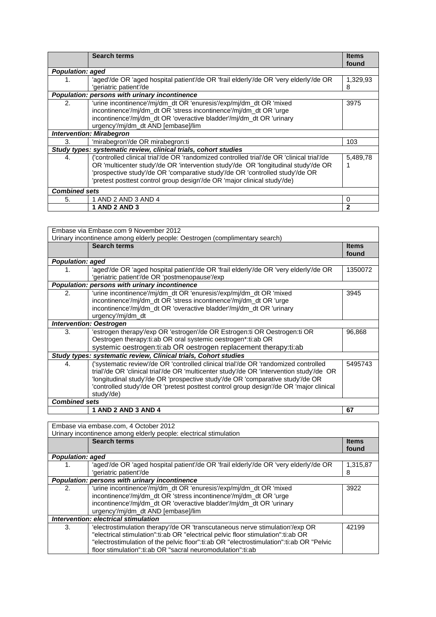|                         | <b>Search terms</b>                                                                        | <b>Items</b> |
|-------------------------|--------------------------------------------------------------------------------------------|--------------|
|                         |                                                                                            |              |
|                         |                                                                                            | found        |
| <b>Population: aged</b> |                                                                                            |              |
|                         | 'aged'/de OR 'aged hospital patient'/de OR 'frail elderly'/de OR 'very elderly'/de OR      | 1,329,93     |
|                         | 'geriatric patient'/de                                                                     | 8            |
|                         | Population: persons with urinary incontinence                                              |              |
| 2.                      | 'urine incontinence'/mj/dm_dt OR 'enuresis'/exp/mj/dm_dt OR 'mixed                         | 3975         |
|                         | incontinence'/mj/dm_dt OR 'stress incontinence'/mj/dm_dt OR 'urge                          |              |
|                         | incontinence'/mj/dm_dt OR 'overactive bladder'/mj/dm_dt OR 'urinary                        |              |
|                         | urgency'/mj/dm_dt AND [embase]/lim                                                         |              |
|                         | <b>Intervention: Mirabegron</b>                                                            |              |
| 3.                      | 'mirabegron'/de OR mirabegron:ti                                                           | 103          |
|                         | Study types: systematic review, clinical trials, cohort studies                            |              |
| 4.                      | ('controlled clinical trial'/de OR 'randomized controlled trial'/de OR 'clinical trial'/de | 5.489.78     |
|                         | OR 'multicenter study'/de OR 'intervention study'/de OR 'longitudinal study'/de OR         |              |
|                         | 'prospective study'/de OR 'comparative study'/de OR 'controlled study'/de OR               |              |
|                         | 'pretest posttest control group design'/de OR 'major clinical study'/de)                   |              |
|                         |                                                                                            |              |
| <b>Combined sets</b>    |                                                                                            |              |
| 5.                      | 1 AND 2 AND 3 AND 4                                                                        | 0            |
|                         | <b>1 AND 2 AND 3</b>                                                                       | $\mathbf{2}$ |

| Embase via Embase.com 9 November 2012                                       |                                                                                                                                                                                                                                                                                                                                                                           |                       |
|-----------------------------------------------------------------------------|---------------------------------------------------------------------------------------------------------------------------------------------------------------------------------------------------------------------------------------------------------------------------------------------------------------------------------------------------------------------------|-----------------------|
| Urinary incontinence among elderly people: Oestrogen (complimentary search) |                                                                                                                                                                                                                                                                                                                                                                           |                       |
|                                                                             | <b>Search terms</b>                                                                                                                                                                                                                                                                                                                                                       | <b>Items</b><br>found |
| <b>Population: aged</b>                                                     |                                                                                                                                                                                                                                                                                                                                                                           |                       |
| 1.                                                                          | 'aged'/de OR 'aged hospital patient'/de OR 'frail elderly'/de OR 'very elderly'/de OR<br>'geriatric patient'/de OR 'postmenopause'/exp                                                                                                                                                                                                                                    | 1350072               |
|                                                                             | Population: persons with urinary incontinence                                                                                                                                                                                                                                                                                                                             |                       |
| 2.                                                                          | 'urine incontinence'/mj/dm_dt OR 'enuresis'/exp/mj/dm_dt OR 'mixed<br>incontinence'/mj/dm_dt OR 'stress incontinence'/mj/dm_dt OR 'urge<br>incontinence'/mj/dm_dt OR 'overactive bladder'/mj/dm_dt OR 'urinary<br>urgency'/mj/dm_dt                                                                                                                                       | 3945                  |
|                                                                             | <b>Intervention: Oestrogen</b>                                                                                                                                                                                                                                                                                                                                            |                       |
| 3.                                                                          | 'estrogen therapy'/exp OR 'estrogen'/de OR Estrogen:ti OR Oestrogen:ti OR<br>Oestrogen therapy:ti:ab OR oral systemic oestrogen*:ti:ab OR<br>systemic oestrogen: ti: ab OR oestrogen replacement therapy: ti: ab                                                                                                                                                          | 96,868                |
|                                                                             | Study types: systematic review, Clinical trials, Cohort studies                                                                                                                                                                                                                                                                                                           |                       |
| 4.                                                                          | ('systematic review'/de OR 'controlled clinical trial'/de OR 'randomized controlled<br>trial'/de OR 'clinical trial'/de OR 'multicenter study'/de OR 'intervention study'/de OR<br>'longitudinal study'/de OR 'prospective study'/de OR 'comparative study'/de OR<br>'controlled study'/de OR 'pretest posttest control group design'/de OR 'major clinical<br>study'/de) | 5495743               |
| <b>Combined sets</b>                                                        |                                                                                                                                                                                                                                                                                                                                                                           |                       |
|                                                                             | <b>1 AND 2 AND 3 AND 4</b>                                                                                                                                                                                                                                                                                                                                                | 67                    |

| Embase via embase.com, 4 October 2012                             |                                                                                         |              |
|-------------------------------------------------------------------|-----------------------------------------------------------------------------------------|--------------|
| Urinary incontinence among elderly people: electrical stimulation |                                                                                         |              |
|                                                                   | <b>Search terms</b>                                                                     | <b>Items</b> |
|                                                                   |                                                                                         | found        |
|                                                                   |                                                                                         |              |
| <b>Population: aged</b>                                           |                                                                                         |              |
| 1.                                                                | 'aged'/de OR 'aged hospital patient'/de OR 'frail elderly'/de OR 'very elderly'/de OR   | 1,315,87     |
|                                                                   | 'geriatric patient'/de                                                                  | 8            |
|                                                                   | Population: persons with urinary incontinence                                           |              |
| 2.                                                                | 'urine incontinence'/mj/dm_dt OR 'enuresis'/exp/mj/dm_dt OR 'mixed                      | 3922         |
|                                                                   | incontinence'/mj/dm_dt OR 'stress incontinence'/mj/dm_dt OR 'urge                       |              |
|                                                                   | incontinence'/mj/dm_dt OR 'overactive bladder'/mj/dm_dt OR 'urinary                     |              |
|                                                                   | urgency'/mj/dm_dt AND [embase]/lim                                                      |              |
|                                                                   | Intervention: electrical stimulation                                                    |              |
| 3.                                                                | 'electrostimulation therapy'/de OR 'transcutaneous nerve stimulation'/exp OR            | 42199        |
|                                                                   | "electrical stimulation":ti:ab OR "electrical pelvic floor stimulation":ti:ab OR        |              |
|                                                                   | "electrostimulation of the pelvic floor":ti:ab OR "electrostimulation":ti:ab OR "Pelvic |              |
|                                                                   | floor stimulation":ti:ab OR "sacral neuromodulation":ti:ab                              |              |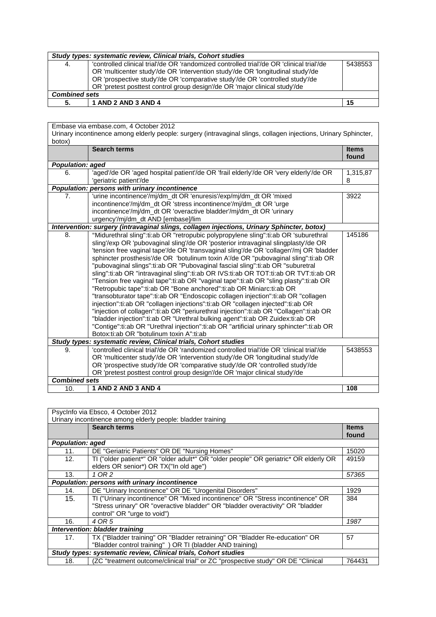| Study types: systematic review, Clinical trials, Cohort studies |                                                                                           |         |
|-----------------------------------------------------------------|-------------------------------------------------------------------------------------------|---------|
| 4.                                                              | 'controlled clinical trial'/de OR 'randomized controlled trial'/de OR 'clinical trial'/de | 5438553 |
|                                                                 | OR 'multicenter study'/de OR 'intervention study'/de OR 'longitudinal study'/de           |         |
|                                                                 | OR 'prospective study'/de OR 'comparative study'/de OR 'controlled study'/de              |         |
|                                                                 | OR 'pretest posttest control group design'/de OR 'major clinical study'/de                |         |
| <b>Combined sets</b>                                            |                                                                                           |         |
| 5.                                                              | 1 AND 2 AND 3 AND 4                                                                       | 15      |
|                                                                 |                                                                                           |         |

| Embase via embase.com, 4 October 2012                                                                                      |                                                                                                                                                                                                                                                                                                                                                                                                                                                                                                                                                                                                                                                                                                                                                                                                                                                                                                                                                                                                                                                                                                                                                                                                 |                       |
|----------------------------------------------------------------------------------------------------------------------------|-------------------------------------------------------------------------------------------------------------------------------------------------------------------------------------------------------------------------------------------------------------------------------------------------------------------------------------------------------------------------------------------------------------------------------------------------------------------------------------------------------------------------------------------------------------------------------------------------------------------------------------------------------------------------------------------------------------------------------------------------------------------------------------------------------------------------------------------------------------------------------------------------------------------------------------------------------------------------------------------------------------------------------------------------------------------------------------------------------------------------------------------------------------------------------------------------|-----------------------|
| Urinary incontinence among elderly people: surgery (intravaginal slings, collagen injections, Urinary Sphincter,<br>botox) |                                                                                                                                                                                                                                                                                                                                                                                                                                                                                                                                                                                                                                                                                                                                                                                                                                                                                                                                                                                                                                                                                                                                                                                                 |                       |
|                                                                                                                            | <b>Search terms</b>                                                                                                                                                                                                                                                                                                                                                                                                                                                                                                                                                                                                                                                                                                                                                                                                                                                                                                                                                                                                                                                                                                                                                                             | <b>Items</b><br>found |
| Population: aged                                                                                                           |                                                                                                                                                                                                                                                                                                                                                                                                                                                                                                                                                                                                                                                                                                                                                                                                                                                                                                                                                                                                                                                                                                                                                                                                 |                       |
| 6.                                                                                                                         | 'aged'/de OR 'aged hospital patient'/de OR 'frail elderly'/de OR 'very elderly'/de OR<br>'geriatric patient'/de                                                                                                                                                                                                                                                                                                                                                                                                                                                                                                                                                                                                                                                                                                                                                                                                                                                                                                                                                                                                                                                                                 | 1,315,87<br>8         |
|                                                                                                                            | Population: persons with urinary incontinence                                                                                                                                                                                                                                                                                                                                                                                                                                                                                                                                                                                                                                                                                                                                                                                                                                                                                                                                                                                                                                                                                                                                                   |                       |
| 7.                                                                                                                         | 'urine incontinence'/mj/dm_dt OR 'enuresis'/exp/mj/dm_dt OR 'mixed<br>incontinence'/mj/dm_dt OR 'stress incontinence'/mj/dm_dt OR 'urge<br>incontinence'/mj/dm_dt OR 'overactive bladder'/mj/dm_dt OR 'urinary<br>urgency'/mj/dm_dt AND [embase]/lim                                                                                                                                                                                                                                                                                                                                                                                                                                                                                                                                                                                                                                                                                                                                                                                                                                                                                                                                            | 3922                  |
|                                                                                                                            | Intervention: surgery (intravaginal slings, collagen injections, Urinary Sphincter, botox)                                                                                                                                                                                                                                                                                                                                                                                                                                                                                                                                                                                                                                                                                                                                                                                                                                                                                                                                                                                                                                                                                                      |                       |
| 8.                                                                                                                         | "Midurethral sling":ti:ab OR "retropubic polypropylene sling":ti:ab OR 'suburethral<br>sling'/exp OR 'pubovaginal sling'/de OR 'posterior intravaginal slingplasty'/de OR<br>'tension free vaginal tape'/de OR 'transvaginal sling'/de OR 'collagen'/mj OR 'bladder<br>sphincter prosthesis'/de OR 'botulinum toxin A'/de OR "pubovaginal sling":ti:ab OR<br>"pubovaginal slings":ti:ab OR "Pubovaginal fascial sling":ti:ab OR "suburetral<br>sling":ti:ab OR "intravaginal sling":ti:ab OR IVS:ti:ab OR TOT:ti:ab OR TVT:ti:ab OR<br>"Tension free vaginal tape":ti:ab OR "vaginal tape":ti:ab OR "sling plasty":ti:ab OR<br>"Retropubic tape":ti:ab OR "Bone anchored":ti:ab OR Miniarc:ti:ab OR<br>"transobturator tape":ti:ab OR "Endoscopic collagen injection":ti:ab OR "collagen<br>injection":ti:ab OR "collagen injections":ti:ab OR "collagen injected":ti:ab OR<br>"injection of collagen":ti:ab OR "periurethral injection":ti:ab OR "Collagen":ti:ab OR<br>"bladder injection":ti:ab OR "Urethral bulking agent":ti:ab OR Zuidex:ti:ab OR<br>"Contige":ti:ab OR "Urethral injection":ti:ab OR "artificial urinary sphincter":ti:ab OR<br>Botox:ti:ab OR "botulinum toxin A":ti:ab | 145186                |
|                                                                                                                            | Study types: systematic review, Clinical trials, Cohort studies                                                                                                                                                                                                                                                                                                                                                                                                                                                                                                                                                                                                                                                                                                                                                                                                                                                                                                                                                                                                                                                                                                                                 |                       |
| 9.                                                                                                                         | 'controlled clinical trial'/de OR 'randomized controlled trial'/de OR 'clinical trial'/de<br>OR 'multicenter study'/de OR 'intervention study'/de OR 'longitudinal study'/de<br>OR 'prospective study'/de OR 'comparative study'/de OR 'controlled study'/de<br>OR 'pretest posttest control group design'/de OR 'major clinical study'/de                                                                                                                                                                                                                                                                                                                                                                                                                                                                                                                                                                                                                                                                                                                                                                                                                                                      | 5438553               |
| <b>Combined sets</b>                                                                                                       |                                                                                                                                                                                                                                                                                                                                                                                                                                                                                                                                                                                                                                                                                                                                                                                                                                                                                                                                                                                                                                                                                                                                                                                                 |                       |
| 10.                                                                                                                        | 1 AND 2 AND 3 AND 4                                                                                                                                                                                                                                                                                                                                                                                                                                                                                                                                                                                                                                                                                                                                                                                                                                                                                                                                                                                                                                                                                                                                                                             | 108                   |

| Psycinfo via Ebsco, 4 October 2012                                                   |                                                                                    |  |
|--------------------------------------------------------------------------------------|------------------------------------------------------------------------------------|--|
|                                                                                      |                                                                                    |  |
|                                                                                      | <b>Items</b>                                                                       |  |
|                                                                                      | found                                                                              |  |
| <b>Population: aged</b>                                                              |                                                                                    |  |
| DE "Geriatric Patients" OR DE "Nursing Homes"                                        | 15020                                                                              |  |
| TI ("older patient*" OR "older adult*" OR "older people" OR geriatric* OR elderly OR | 49159                                                                              |  |
| elders OR senior*) OR TX("In old age")                                               |                                                                                    |  |
| 1 OR 2                                                                               | 57365                                                                              |  |
| <b>Population: persons with urinary incontinence</b>                                 |                                                                                    |  |
| DE "Urinary Incontinence" OR DE "Urogenital Disorders"                               | 1929                                                                               |  |
| TI ("Urinary incontinence" OR "Mixed incontinence" OR "Stress incontinence" OR       | 384                                                                                |  |
| "Stress urinary" OR "overactive bladder" OR "bladder overactivity" OR "bladder       |                                                                                    |  |
| control" OR "urge to void")                                                          |                                                                                    |  |
| 4 OR 5                                                                               | 1987                                                                               |  |
| Intervention: bladder training                                                       |                                                                                    |  |
| TX ("Bladder training" OR "Bladder retraining" OR "Bladder Re-education" OR          | 57                                                                                 |  |
| "Bladder control training") OR TI (bladder AND training)                             |                                                                                    |  |
| Study types: systematic review, Clinical trials, Cohort studies                      |                                                                                    |  |
| (ZC "treatment outcome/clinical trial" or ZC "prospective study" OR DE "Clinical     | 764431                                                                             |  |
|                                                                                      | Urinary incontinence among elderly people: bladder training<br><b>Search terms</b> |  |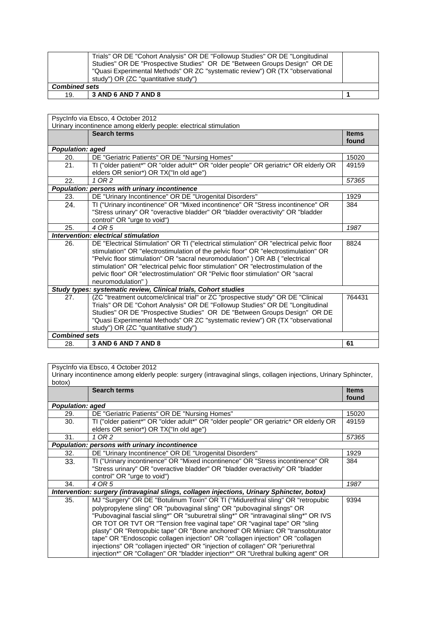|                      | Trials" OR DE "Cohort Analysis" OR DE "Followup Studies" OR DE "Longitudinal<br>Studies" OR DE "Prospective Studies" OR DE "Between Groups Design" OR DE<br>"Quasi Experimental Methods" OR ZC "systematic review") OR (TX "observational<br>study") OR (ZC "quantitative study") |  |
|----------------------|-----------------------------------------------------------------------------------------------------------------------------------------------------------------------------------------------------------------------------------------------------------------------------------|--|
| <b>Combined sets</b> |                                                                                                                                                                                                                                                                                   |  |
| 19.                  | $\vert$ 3 AND 6 AND 7 AND 8                                                                                                                                                                                                                                                       |  |

| PsycInfo via Ebsco, 4 October 2012<br>Urinary incontinence among elderly people: electrical stimulation |                                                                                         |              |
|---------------------------------------------------------------------------------------------------------|-----------------------------------------------------------------------------------------|--------------|
|                                                                                                         | <b>Search terms</b>                                                                     | <b>Items</b> |
|                                                                                                         |                                                                                         | found        |
| <b>Population: aged</b>                                                                                 |                                                                                         |              |
| 20.                                                                                                     | DE "Geriatric Patients" OR DE "Nursing Homes"                                           | 15020        |
| 21.                                                                                                     | TI ("older patient*" OR "older adult*" OR "older people" OR geriatric* OR elderly OR    | 49159        |
|                                                                                                         | elders OR senior*) OR TX("In old age")                                                  |              |
| 22.                                                                                                     | 1 OR 2                                                                                  | 57365        |
|                                                                                                         | Population: persons with urinary incontinence                                           |              |
| 23.                                                                                                     | DE "Urinary Incontinence" OR DE "Urogenital Disorders"                                  | 1929         |
| 24.                                                                                                     | TI ("Urinary incontinence" OR "Mixed incontinence" OR "Stress incontinence" OR          | 384          |
|                                                                                                         | "Stress urinary" OR "overactive bladder" OR "bladder overactivity" OR "bladder          |              |
|                                                                                                         | control" OR "urge to void")                                                             |              |
| 25.                                                                                                     | 4 OR 5                                                                                  | 1987         |
|                                                                                                         | <b>Intervention: electrical stimulation</b>                                             |              |
| 26.                                                                                                     | DE "Electrical Stimulation" OR TI ("electrical stimulation" OR "electrical pelvic floor | 8824         |
|                                                                                                         | stimulation" OR "electrostimulation of the pelvic floor" OR "electrostimulation" OR     |              |
|                                                                                                         | "Pelvic floor stimulation" OR "sacral neuromodulation" ) OR AB ( "electrical            |              |
|                                                                                                         | stimulation" OR "electrical pelvic floor stimulation" OR "electrostimulation of the     |              |
|                                                                                                         | pelvic floor" OR "electrostimulation" OR "Pelvic floor stimulation" OR "sacral          |              |
|                                                                                                         | neuromodulation")                                                                       |              |
|                                                                                                         | Study types: systematic review, Clinical trials, Cohort studies                         |              |
| 27.                                                                                                     | (ZC "treatment outcome/clinical trial" or ZC "prospective study" OR DE "Clinical        | 764431       |
|                                                                                                         | Trials" OR DE "Cohort Analysis" OR DE "Followup Studies" OR DE "Longitudinal            |              |
|                                                                                                         | Studies" OR DE "Prospective Studies" OR DE "Between Groups Design" OR DE                |              |
|                                                                                                         | "Quasi Experimental Methods" OR ZC "systematic review") OR (TX "observational           |              |
|                                                                                                         | study") OR (ZC "quantitative study")                                                    |              |
| <b>Combined sets</b>                                                                                    |                                                                                         |              |
| 28.                                                                                                     | 3 AND 6 AND 7 AND 8                                                                     | 61           |

PsycInfo via Ebsco, 4 October 2012 Urinary incontinence among elderly people: surgery (intravaginal slings, collagen injections, Urinary Sphincter, botox) **Search terms Items Items Items Items Items found Population: aged**<br>29. DE " 29. DE "Geriatric Patients" OR DE "Nursing Homes" 15020<br>30. TI ("older patient\*" OR "older adult\*" OR "older people" OR geriatric\* OR elderly OR 49159 30. TI ("older patient\*" OR "older adult\*" OR "older people" OR geriatric\* OR elderly OR elders OR senior\*) OR TX("In old age")<br>1 OR 2 49159 31. *1 OR 2 57365* **Population: persons with urinary incontinence**<br>32. DE "Urinary Incontinence" OR DE "U 32. DE "Urinary Incontinence" OR DE "Urogenital Disorders" 1929<br>
33. TI ("Urinary incontinence" OR "Mixed incontinence" OR "Stress incontinence" OR 384 33. TI ("Urinary incontinence" OR "Mixed incontinence" OR "Stress incontinence" OR "Stress urinary" OR "overactive bladder" OR "bladder overactivity" OR "bladder control" OR "urge to void")<br>4 OR 5 384 34. *4 OR 5 1987 Intervention: surgery (intravaginal slings, collagen injections, Urinary Sphincter, botox)* 35. MJ "Surgery" OR DE "Botulinum Toxin" OR TI ("Midurethral sling" OR "retropubic polypropylene sling" OR "pubovaginal sling" OR "pubovaginal slings" OR "Pubovaginal fascial sling\*" OR "suburetral sling\*" OR "intravaginal sling\*" OR IVS OR TOT OR TVT OR "Tension free vaginal tape" OR "vaginal tape" OR "sling plasty" OR "Retropubic tape" OR "Bone anchored" OR Miniarc OR "transobturator tape" OR "Endoscopic collagen injection" OR "collagen injection" OR "collagen injections" OR "collagen injected" OR "injection of collagen" OR "periurethral injection\*" OR "Collagen" OR "bladder injection\*" OR "Urethral bulking agent" OR 9394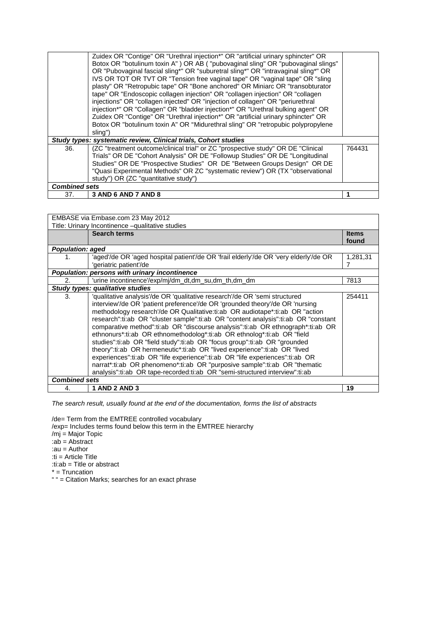|                      | Zuidex OR "Contige" OR "Urethral injection*" OR "artificial urinary sphincter" OR<br>Botox OR "botulinum toxin A" ) OR AB ( "pubovaginal sling" OR "pubovaginal slings"<br>OR "Pubovaginal fascial sling*" OR "suburetral sling*" OR "intravaginal sling*" OR<br>IVS OR TOT OR TVT OR "Tension free vaginal tape" OR "vaginal tape" OR "sling<br>plasty" OR "Retropubic tape" OR "Bone anchored" OR Miniarc OR "transobturator<br>tape" OR "Endoscopic collagen injection" OR "collagen injection" OR "collagen<br>injections" OR "collagen injected" OR "injection of collagen" OR "periurethral<br>injection*" OR "Collagen" OR "bladder injection*" OR "Urethral bulking agent" OR<br>Zuidex OR "Contige" OR "Urethral injection*" OR "artificial urinary sphincter" OR<br>Botox OR "botulinum toxin A" OR "Midurethral sling" OR "retropubic polypropylene<br>sling") |        |
|----------------------|---------------------------------------------------------------------------------------------------------------------------------------------------------------------------------------------------------------------------------------------------------------------------------------------------------------------------------------------------------------------------------------------------------------------------------------------------------------------------------------------------------------------------------------------------------------------------------------------------------------------------------------------------------------------------------------------------------------------------------------------------------------------------------------------------------------------------------------------------------------------------|--------|
|                      | Study types: systematic review, Clinical trials, Cohort studies                                                                                                                                                                                                                                                                                                                                                                                                                                                                                                                                                                                                                                                                                                                                                                                                           |        |
| 36.                  | (ZC "treatment outcome/clinical trial" or ZC "prospective study" OR DE "Clinical<br>Trials" OR DE "Cohort Analysis" OR DE "Followup Studies" OR DE "Longitudinal<br>Studies" OR DE "Prospective Studies" OR DE "Between Groups Design" OR DE<br>"Quasi Experimental Methods" OR ZC "systematic review") OR (TX "observational<br>study") OR (ZC "quantitative study")                                                                                                                                                                                                                                                                                                                                                                                                                                                                                                     | 764431 |
| <b>Combined sets</b> |                                                                                                                                                                                                                                                                                                                                                                                                                                                                                                                                                                                                                                                                                                                                                                                                                                                                           |        |
| 37.                  | 3 AND 6 AND 7 AND 8                                                                                                                                                                                                                                                                                                                                                                                                                                                                                                                                                                                                                                                                                                                                                                                                                                                       |        |

| EMBASE via Embase.com 23 May 2012 |                                                                                       |              |
|-----------------------------------|---------------------------------------------------------------------------------------|--------------|
|                                   | Title: Urinary Incontinence -qualitative studies                                      |              |
|                                   | Search terms                                                                          | <b>Items</b> |
|                                   |                                                                                       | found        |
| <b>Population: aged</b>           |                                                                                       |              |
| 1.                                | 'aged'/de OR 'aged hospital patient'/de OR 'frail elderly'/de OR 'very elderly'/de OR | 1,281,31     |
|                                   | 'geriatric patient'/de                                                                | 7            |
|                                   | Population: persons with urinary incontinence                                         |              |
| 2.                                | 'urine incontinence'/exp/mj/dm dt.dm su.dm th.dm dm                                   | 7813         |
|                                   | Study types: qualitative studies                                                      |              |
| 3.                                | 'qualitative analysis'/de OR 'qualitative research'/de OR 'semi structured            | 254411       |
|                                   | interview/de OR 'patient preference'/de OR 'grounded theory'/de OR 'nursing           |              |
|                                   | methodology research/de OR Qualitative:ti:ab OR audiotape*:ti:ab OR "action"          |              |
|                                   | research":ti:ab OR "cluster sample":ti:ab OR "content analysis":ti:ab OR "constant    |              |
|                                   | comparative method":ti:ab OR "discourse analysis":ti:ab OR ethnograph*:ti:ab OR       |              |
|                                   | ethnonurs*:ti:ab OR ethnomethodolog*:ti:ab OR ethnolog*:ti:ab OR "field               |              |
|                                   | studies":ti:ab OR "field study":ti:ab OR "focus group":ti:ab OR "grounded             |              |
|                                   | theory":ti:ab OR hermeneutic*:ti:ab OR "lived experience":ti:ab OR "lived             |              |
|                                   | experiences":ti:ab OR "life experience":ti:ab OR "life experiences":ti:ab OR          |              |
|                                   | narrat*:ti:ab OR phenomeno*:ti:ab OR "purposive sample":ti:ab OR "thematic            |              |
|                                   | analysis":ti:ab OR tape-recorded:ti:ab OR "semi-structured interview":ti:ab           |              |
| <b>Combined sets</b>              |                                                                                       |              |
| 4.                                | <b>1 AND 2 AND 3</b>                                                                  | 19           |

/de= Term from the EMTREE controlled vocabulary /exp= Includes terms found below this term in the EMTREE hierarchy /mj = Major Topic :ab = Abstract :au = Author :ti = Article Title :ti:ab = Title or abstract \* = Truncation " " = Citation Marks; searches for an exact phrase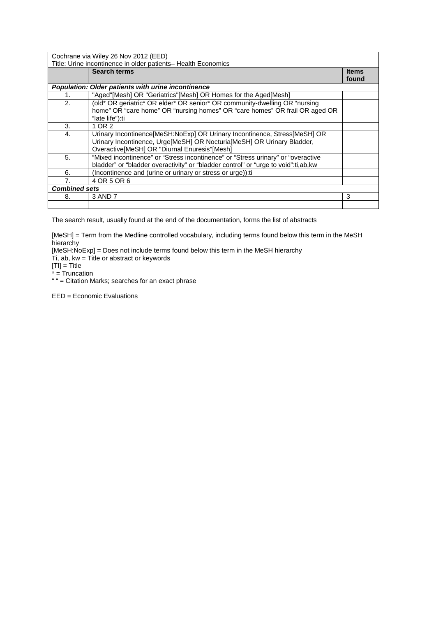| Cochrane via Wiley 26 Nov 2012 (EED)<br>Title: Urine incontinence in older patients- Health Economics |                                                                                                                                                                                                     |                       |
|-------------------------------------------------------------------------------------------------------|-----------------------------------------------------------------------------------------------------------------------------------------------------------------------------------------------------|-----------------------|
|                                                                                                       | <b>Search terms</b>                                                                                                                                                                                 | <b>Items</b><br>found |
|                                                                                                       | <b>Population: Older patients with urine incontinence</b>                                                                                                                                           |                       |
| 1.                                                                                                    | "Aged"[Mesh] OR "Geriatrics"[Mesh] OR Homes for the Aged[Mesh]                                                                                                                                      |                       |
| 2.                                                                                                    | (old* OR geriatric* OR elder* OR senior* OR community-dwelling OR "nursing")<br>home" OR "care home" OR "nursing homes" OR "care homes" OR frail OR aged OR<br>"late life"):ti                      |                       |
| 3.                                                                                                    | 1 OR 2                                                                                                                                                                                              |                       |
| 4.                                                                                                    | Urinary Incontinence[MeSH:NoExp] OR Urinary Incontinence, Stress[MeSH] OR<br>Urinary Incontinence, Urge[MeSH] OR Nocturia[MeSH] OR Urinary Bladder,<br>Overactive[MeSH] OR "Diurnal Enuresis"[Mesh] |                       |
| 5.                                                                                                    | "Mixed incontinence" or "Stress incontinence" or "Stress urinary" or "overactive<br>bladder" or "bladder overactivity" or "bladder control" or "urge to void":ti,ab,kw                              |                       |
| 6.                                                                                                    | (Incontinence and (urine or urinary or stress or urge)): ti                                                                                                                                         |                       |
| 7.                                                                                                    | 4 OR 5 OR 6                                                                                                                                                                                         |                       |
| <b>Combined sets</b>                                                                                  |                                                                                                                                                                                                     |                       |
| 8.                                                                                                    | 3 AND 7                                                                                                                                                                                             | 3                     |
|                                                                                                       |                                                                                                                                                                                                     |                       |

[MeSH] = Term from the Medline controlled vocabulary, including terms found below this term in the MeSH hierarchy

[MeSH:NoExp] = Does not include terms found below this term in the MeSH hierarchy

Ti, ab, kw = Title or abstract or keywords

 $[TI] = Title$ 

\* = Truncation

" " = Citation Marks; searches for an exact phrase

EED = Economic Evaluations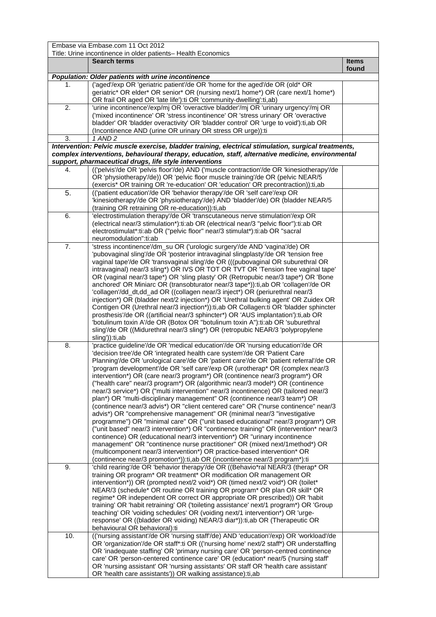|                  | Embase via Embase.com 11 Oct 2012                                                                                                                                     |              |
|------------------|-----------------------------------------------------------------------------------------------------------------------------------------------------------------------|--------------|
|                  | Title: Urine incontinence in older patients- Health Economics<br><b>Search terms</b>                                                                                  | <b>Items</b> |
|                  |                                                                                                                                                                       | found        |
|                  | Population: Older patients with urine incontinence                                                                                                                    |              |
| 1.               | ('aged'/exp OR 'geriatric patient'/de OR 'home for the aged'/de OR (old* OR                                                                                           |              |
|                  | geriatric* OR elder* OR senior* OR (nursing next/1 home*) OR (care next/1 home*)                                                                                      |              |
|                  | OR frail OR aged OR 'late life'):ti OR 'community-dwelling':ti,ab)                                                                                                    |              |
| 2.               | 'urine incontinence'/exp/mj OR 'overactive bladder'/mj OR 'urinary urgency'/mj OR                                                                                     |              |
|                  | ('mixed incontinence' OR 'stress incontinence' OR 'stress urinary' OR 'overactive                                                                                     |              |
|                  | bladder' OR 'bladder overactivity' OR 'bladder control' OR 'urge to void'):ti,ab OR                                                                                   |              |
| 3.               | (Incontinence AND (urine OR urinary OR stress OR urge)):ti<br>1 AND 2                                                                                                 |              |
|                  | Intervention: Pelvic muscle exercise, bladder training, electrical stimulation, surgical treatments,                                                                  |              |
|                  | complex interventions, behavioural therapy, education, staff, alternative medicine, environmental                                                                     |              |
|                  | support, pharmaceutical drugs, life style interventions                                                                                                               |              |
| 4.               | (('pelvis'/de OR 'pelvis floor'/de) AND ('muscle contraction'/de OR 'kinesiotherapy'/de                                                                               |              |
|                  | OR 'physiotherapy'/de)) OR 'pelvic floor muscle training'/de OR (pelvic NEAR/5                                                                                        |              |
|                  | (exercis* OR training OR 're-education' OR 'education' OR precontraction)):ti,ab                                                                                      |              |
| 5.               | (('patient education'/de OR 'behavior therapy'/de OR 'self care'/exp OR                                                                                               |              |
|                  | 'kinesiotherapy'/de OR 'physiotherapy'/de) AND 'bladder'/de) OR (bladder NEAR/5                                                                                       |              |
|                  | (training OR retraining OR re-education)): ti, ab                                                                                                                     |              |
| 6.               | 'electrostimulation therapy'/de OR 'transcutaneous nerve stimulation'/exp OR                                                                                          |              |
|                  | (electrical near/3 stimulation*):ti:ab OR (electrical near/3 "pelvic floor"):ti:ab OR<br>electrostimulat*:ti:ab OR ("pelvic floor" near/3 stimulat*):ti:ab OR "sacral |              |
|                  | neuromodulation":ti:ab                                                                                                                                                |              |
| $\overline{7}$ . | 'stress incontinence'/dm_su OR ('urologic surgery'/de AND 'vagina'/de) OR                                                                                             |              |
|                  | 'pubovaginal sling'/de OR 'posterior intravaginal slingplasty'/de OR 'tension free                                                                                    |              |
|                  | vaginal tape'/de OR 'transvaginal sling'/de OR (((pubovaginal OR suburethral OR                                                                                       |              |
|                  | intravaginal) near/3 sling*) OR IVS OR TOT OR TVT OR 'Tension free vaginal tape'                                                                                      |              |
|                  | OR (vaginal near/3 tape*) OR 'sling plasty' OR (Retropubic near/3 tape*) OR 'Bone                                                                                     |              |
|                  | anchored' OR Miniarc OR (transobturator near/3 tape*)):ti,ab OR 'collagen'/de OR                                                                                      |              |
|                  | 'collagen'/dd_dt,dd_ad OR ((collagen near/3 inject*) OR (periurethral near/3                                                                                          |              |
|                  | injection*) OR (bladder next/2 injection*) OR 'Urethral bulking agent' OR Zuidex OR                                                                                   |              |
|                  | Contigen OR (Urethral near/3 injection*)):ti,ab OR Collagen:ti OR 'bladder sphincter                                                                                  |              |
|                  | prosthesis'/de OR ((artificial near/3 sphincter*) OR 'AUS implantation'):ti,ab OR                                                                                     |              |
|                  | 'botulinum toxin A'/de OR (Botox OR "botulinum toxin A"):ti:ab OR 'suburethral                                                                                        |              |
|                  | sling'/de OR ((Midurethral near/3 sling*) OR (retropubic NEAR/3 'polypropylene                                                                                        |              |
|                  | sling')):ti,ab<br>'practice guideline'/de OR 'medical education'/de OR 'nursing education'/de OR                                                                      |              |
| 8.               | 'decision tree'/de OR 'integrated health care system'/de OR 'Patient Care                                                                                             |              |
|                  | Planning'/de OR 'urological care'/de OR 'patient care'/de OR 'patient referral'/de OR                                                                                 |              |
|                  | 'program development'/de OR 'self care'/exp OR (urotherap* OR (complex near/3                                                                                         |              |
|                  | intervention*) OR (care near/3 program*) OR (continence near/3 program*) OR                                                                                           |              |
|                  | ("health care" near/3 program*) OR (algorithmic near/3 model*) OR (continence                                                                                         |              |
|                  | near/3 service*) OR ("multi intervention" near/3 incontinence) OR (tailored near/3                                                                                    |              |
|                  | plan*) OR "multi-disciplinary management" OR (continence near/3 team*) OR                                                                                             |              |
|                  | (continence near/3 advis*) OR "client centered care" OR ("nurse continence" near/3                                                                                    |              |
|                  | advis*) OR "comprehensive management" OR (minimal near/3 "investigative                                                                                               |              |
|                  | programme") OR "minimal care" OR ("unit based educational" near/3 program*) OR                                                                                        |              |
|                  | ("unit based" near/3 intervention*) OR "continence training" OR (intervention* near/3                                                                                 |              |
|                  | continence) OR (educational near/3 intervention*) OR "urinary incontinence                                                                                            |              |
|                  | management" OR "continence nurse practitioner" OR (mixed next/1method*) OR<br>(multicomponent near/3 intervention*) OR practice-based intervention* OR                |              |
|                  | (continence near/3 promotion*)):ti,ab OR (incontinence near/3 program*):ti                                                                                            |              |
| 9.               | 'child rearing'/de OR 'behavior therapy'/de OR ((Behavio*ral NEAR/3 (therap* OR                                                                                       |              |
|                  | training OR program* OR treatment* OR modification OR management OR                                                                                                   |              |
|                  | intervention*)) OR (prompted next/2 void*) OR (timed next/2 void*) OR (toilet*                                                                                        |              |
|                  | NEAR/3 (schedule* OR routine OR training OR program* OR plan OR skill* OR                                                                                             |              |
|                  | regime* OR independent OR correct OR appropriate OR prescribed)) OR 'habit                                                                                            |              |
|                  | training' OR 'habit retraining' OR ('toileting assistance' next/1 program*) OR 'Group                                                                                 |              |
|                  | teaching' OR 'voiding schedules' OR (voiding next/1 intervention*) OR 'urge-                                                                                          |              |
|                  | response' OR ((bladder OR voiding) NEAR/3 diar*)):ti,ab OR (Therapeutic OR                                                                                            |              |
|                  | behavioural OR behavioral):ti                                                                                                                                         |              |
| 10.              | (('nursing assistant'/de OR 'nursing staff'/de) AND 'education'/exp) OR 'workload'/de                                                                                 |              |
|                  | OR 'organization'/de OR staff*:ti OR (('nursing home' next/2 staff*) OR understaffing                                                                                 |              |
|                  | OR 'inadequate staffing' OR 'primary nursing care' OR 'person-centred continence<br>care' OR 'person-centered continence care' OR (education* near/5 ('nursing staff' |              |
|                  | OR 'nursing assistant' OR 'nursing assistants' OR staff OR 'health care assistant'                                                                                    |              |
|                  | OR 'health care assistants')) OR walking assistance):ti,ab                                                                                                            |              |
|                  |                                                                                                                                                                       |              |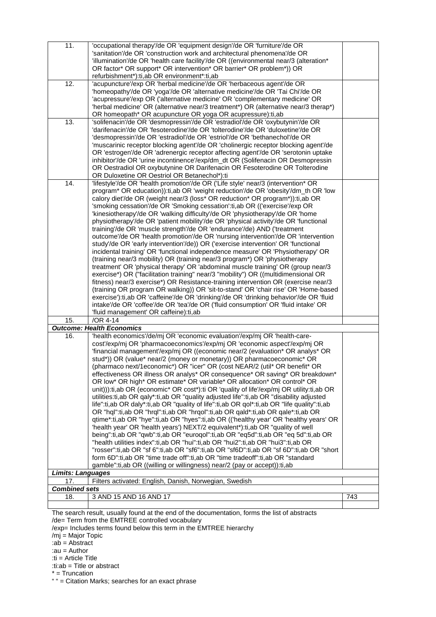| 11.                                    | 'occupational therapy'/de OR 'equipment design'/de OR 'furniture'/de OR<br>'sanitation'/de OR 'construction work and architectural phenomena'/de OR<br>'illumination'/de OR 'health care facility'/de OR ((environmental near/3 (alteration*<br>OR factor* OR support* OR intervention* OR barrier* OR problem*)) OR                                                                                                                                                                                                                                                                                                                                                                                                                                                                                                                                                                                                                                                                                                                                                                                                                                                                                                                                                                                                                                                                                                                                                                                                                                                                                              |     |
|----------------------------------------|-------------------------------------------------------------------------------------------------------------------------------------------------------------------------------------------------------------------------------------------------------------------------------------------------------------------------------------------------------------------------------------------------------------------------------------------------------------------------------------------------------------------------------------------------------------------------------------------------------------------------------------------------------------------------------------------------------------------------------------------------------------------------------------------------------------------------------------------------------------------------------------------------------------------------------------------------------------------------------------------------------------------------------------------------------------------------------------------------------------------------------------------------------------------------------------------------------------------------------------------------------------------------------------------------------------------------------------------------------------------------------------------------------------------------------------------------------------------------------------------------------------------------------------------------------------------------------------------------------------------|-----|
|                                        | refurbishment*):ti,ab OR environment*:ti,ab                                                                                                                                                                                                                                                                                                                                                                                                                                                                                                                                                                                                                                                                                                                                                                                                                                                                                                                                                                                                                                                                                                                                                                                                                                                                                                                                                                                                                                                                                                                                                                       |     |
| 12.                                    | 'acupuncture'/exp OR 'herbal medicine'/de OR 'herbaceous agent'/de OR<br>'homeopathy'/de OR 'yoga'/de OR 'alternative medicine'/de OR 'Tai Chi'/de OR<br>'acupressure'/exp OR ('alternative medicine' OR 'complementary medicine' OR<br>'herbal medicine' OR (alternative near/3 treatment*) OR (alternative near/3 therap*)<br>OR homeopath* OR acupuncture OR yoga OR acupressure):ti,ab                                                                                                                                                                                                                                                                                                                                                                                                                                                                                                                                                                                                                                                                                                                                                                                                                                                                                                                                                                                                                                                                                                                                                                                                                        |     |
| 13.                                    | 'solifenacin'/de OR 'desmopressin'/de OR 'estradiol'/de OR 'oxybutynin'/de OR<br>'darifenacin'/de OR 'fesoterodine'/de OR 'tolterodine'/de OR 'duloxetine'/de OR<br>'desmopressin'/de OR 'estradiol'/de OR 'estriol'/de OR 'bethanechol'/de OR                                                                                                                                                                                                                                                                                                                                                                                                                                                                                                                                                                                                                                                                                                                                                                                                                                                                                                                                                                                                                                                                                                                                                                                                                                                                                                                                                                    |     |
|                                        | 'muscarinic receptor blocking agent'/de OR 'cholinergic receptor blocking agent'/de<br>OR 'estrogen'/de OR 'adrenergic receptor affecting agent'/de OR 'serotonin uptake<br>inhibitor'/de OR 'urine incontinence'/exp/dm_dt OR (Solifenacin OR Desmopressin<br>OR Oestradiol OR oxybutynine OR Darifenacin OR Fesoterodine OR Tolterodine<br>OR Duloxetine OR Oestriol OR Betanechol*):ti                                                                                                                                                                                                                                                                                                                                                                                                                                                                                                                                                                                                                                                                                                                                                                                                                                                                                                                                                                                                                                                                                                                                                                                                                         |     |
| 14.                                    | 'lifestyle'/de OR 'health promotion'/de OR ('Life style' near/3 (intervention* OR                                                                                                                                                                                                                                                                                                                                                                                                                                                                                                                                                                                                                                                                                                                                                                                                                                                                                                                                                                                                                                                                                                                                                                                                                                                                                                                                                                                                                                                                                                                                 |     |
|                                        | program* OR education)):ti,ab OR 'weight reduction'/de OR 'obesity'/dm_th OR 'low<br>calory diet'/de OR (weight near/3 (loss* OR reduction* OR program*)):ti,ab OR<br>'smoking cessation'/de OR 'Smoking cessation':ti, ab OR (('exercise'/exp OR<br>'kinesiotherapy'/de OR 'walking difficulty'/de OR 'physiotherapy'/de OR 'home<br>physiotherapy'/de OR 'patient mobility'/de OR 'physical activity'/de OR 'functional<br>training'/de OR 'muscle strength'/de OR 'endurance'/de) AND ('treatment<br>outcome'/de OR 'health promotion'/de OR 'nursing intervention'/de OR 'intervention<br>study'/de OR 'early intervention'/de)) OR ('exercise intervention' OR 'functional<br>incidental training' OR 'functional independence measure' OR 'Physiotherapy' OR<br>(training near/3 mobility) OR (training near/3 program*) OR 'physiotherapy<br>treatment' OR 'physical therapy' OR 'abdominal muscle training' OR (group near/3)<br>exercise*) OR ("facilitation training" near/3 "mobility") OR ((multidimensional OR<br>fitness) near/3 exercise*) OR Resistance-training intervention OR (exercise near/3<br>(training OR program OR walking)) OR 'sit-to-stand' OR 'chair rise' OR 'Home-based<br>exercise'):ti,ab OR 'caffeine'/de OR 'drinking'/de OR 'drinking behavior'/de OR 'fluid<br>intake'/de OR 'coffee'/de OR 'tea'/de OR ('fluid consumption' OR 'fluid intake' OR<br>'fluid management' OR caffeine):ti,ab                                                                                                                                                                                  |     |
| 15.                                    | $\overline{OR}$ 4-14                                                                                                                                                                                                                                                                                                                                                                                                                                                                                                                                                                                                                                                                                                                                                                                                                                                                                                                                                                                                                                                                                                                                                                                                                                                                                                                                                                                                                                                                                                                                                                                              |     |
|                                        | <b>Outcome: Health Economics</b>                                                                                                                                                                                                                                                                                                                                                                                                                                                                                                                                                                                                                                                                                                                                                                                                                                                                                                                                                                                                                                                                                                                                                                                                                                                                                                                                                                                                                                                                                                                                                                                  |     |
| 16.<br><b>Limits: Languages</b><br>17. | 'health economics'/de/mj OR 'economic evaluation'/exp/mj OR 'health-care-<br>cost'/exp/mj OR 'pharmacoeconomics'/exp/mj OR 'economic aspect'/exp/mj OR<br>'financial management'/exp/mj OR ((economic near/2 (evaluation* OR analys* OR<br>stud*)) OR (value* near/2 (money or monetary)) OR pharmacoeconomic* OR<br>(pharmaco next/1economic*) OR "icer" OR (cost NEAR/2 (util* OR benefit* OR<br>effectiveness OR illness OR analys* OR consequence* OR saving* OR breakdown*<br>OR low* OR high* OR estimate* OR variable* OR allocation* OR control* OR<br>unit))):ti,ab OR (economic* OR cost*):ti OR 'quality of life'/exp/mj OR utility:ti,ab OR<br>utilities:ti, ab OR galy*:ti, ab OR "quality adjusted life":ti, ab OR "disability adjusted<br>life":ti,ab OR daly*:ti,ab OR "quality of life":ti,ab OR qol*:ti,ab OR "life quality":ti,ab<br>OR "hql":ti,ab OR "hrql":ti,ab OR "hrqol":ti,ab OR qald*:ti,ab OR qale*:ti,ab OR<br>qtime*:ti,ab OR "hye":ti,ab OR "hyes":ti,ab OR (('healthy year' OR 'healthy years' OR<br>'health year' OR 'health years') NEXT/2 equivalent*):ti,ab OR "quality of well<br>being":ti,ab OR "qwb":ti,ab OR "euroqol":ti,ab OR "eq5d":ti,ab OR "eq 5d":ti,ab OR<br>"health utilities index":ti,ab OR "hui":ti,ab OR "hui2":ti,ab OR "hui3":ti,ab OR<br>"rosser":ti,ab OR "sf 6":ti,ab OR "sf6":ti,ab OR "sf6D":ti,ab OR "sf 6D":ti,ab OR "short<br>form 6D":ti,ab OR "time trade off":ti,ab OR "time tradeoff":ti,ab OR "standard<br>gamble":ti,ab OR ((willing or willingness) near/2 (pay or accept)):ti,ab<br>Filters activated: English, Danish, Norwegian, Swedish |     |
| <b>Combined sets</b>                   |                                                                                                                                                                                                                                                                                                                                                                                                                                                                                                                                                                                                                                                                                                                                                                                                                                                                                                                                                                                                                                                                                                                                                                                                                                                                                                                                                                                                                                                                                                                                                                                                                   |     |
| 18.                                    | 3 AND 15 AND 16 AND 17                                                                                                                                                                                                                                                                                                                                                                                                                                                                                                                                                                                                                                                                                                                                                                                                                                                                                                                                                                                                                                                                                                                                                                                                                                                                                                                                                                                                                                                                                                                                                                                            | 743 |
|                                        |                                                                                                                                                                                                                                                                                                                                                                                                                                                                                                                                                                                                                                                                                                                                                                                                                                                                                                                                                                                                                                                                                                                                                                                                                                                                                                                                                                                                                                                                                                                                                                                                                   |     |
|                                        | The search result, usually found at the end of the documentation, forms the list of abstracts                                                                                                                                                                                                                                                                                                                                                                                                                                                                                                                                                                                                                                                                                                                                                                                                                                                                                                                                                                                                                                                                                                                                                                                                                                                                                                                                                                                                                                                                                                                     |     |

/de= Term from the EMTREE controlled vocabulary

/exp= Includes terms found below this term in the EMTREE hierarchy

- /mj = Major Topic
- :ab = Abstract
- :au = Author
- :ti = Article Title
- :ti:ab = Title or abstract

\* = Truncation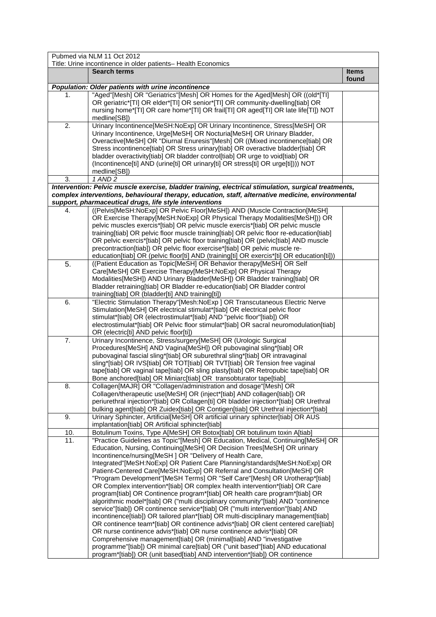|     | Pubmed via NLM 11 Oct 2012                                                                                                                                              |              |
|-----|-------------------------------------------------------------------------------------------------------------------------------------------------------------------------|--------------|
|     | Title: Urine incontinence in older patients- Health Economics<br><b>Search terms</b>                                                                                    | <b>Items</b> |
|     |                                                                                                                                                                         | found        |
|     | Population: Older patients with urine incontinence                                                                                                                      |              |
| 1.  | "Aged"[Mesh] OR "Geriatrics"[Mesh] OR Homes for the Aged[Mesh] OR ((old*[TI]                                                                                            |              |
|     | OR geriatric*[TI] OR elder*[TI] OR senior*[TI] OR community-dwelling[tiab] OR<br>nursing home*[TI] OR care home*[TI] OR frail[TI] OR aged[TI] OR late life[TI]) NOT     |              |
|     | medline[SB])                                                                                                                                                            |              |
| 2.  | Urinary Incontinence[MeSH:NoExp] OR Urinary Incontinence, Stress[MeSH] OR                                                                                               |              |
|     | Urinary Incontinence, Urge[MeSH] OR Nocturia[MeSH] OR Urinary Bladder,                                                                                                  |              |
|     | Overactive[MeSH] OR "Diurnal Enuresis"[Mesh] OR ((Mixed incontinence[tiab] OR                                                                                           |              |
|     | Stress incontinence[tiab] OR Stress urinary[tiab] OR overactive bladder[tiab] OR<br>bladder overactivity[tiab] OR bladder control[tiab] OR urge to void[tiab] OR        |              |
|     | (Incontinence[ti] AND (urine[ti] OR urinary[ti] OR stress[ti] OR urge[ti]))) NOT                                                                                        |              |
|     | medline[SB])                                                                                                                                                            |              |
| 3.  | 1 AND 2                                                                                                                                                                 |              |
|     | Intervention: Pelvic muscle exercise, bladder training, electrical stimulation, surgical treatments,                                                                    |              |
|     | complex interventions, behavioural therapy, education, staff, alternative medicine, environmental<br>support, pharmaceutical drugs, life style interventions            |              |
| 4.  | ((Pelvis[MeSH:NoExp] OR Pelvic Floor[MeSH]) AND (Muscle Contraction[MeSH]                                                                                               |              |
|     | OR Exercise Therapy[MeSH:NoExp] OR Physical Therapy Modalities[MeSH])) OR                                                                                               |              |
|     | pelvic muscles exercis*[tiab] OR pelvic muscle exercis*[tiab] OR pelvic muscle                                                                                          |              |
|     | training[tiab] OR pelvic floor muscle training[tiab] OR pelvic floor re-education[tiab]                                                                                 |              |
|     | OR pelvic exercis*[tiab] OR pelvic floor training[tiab] OR (pelvic[tiab] AND muscle                                                                                     |              |
|     | precontraction[tiab]) OR pelvic floor exercise*[tiab] OR pelvic muscle re-<br>education[tiab] OR (pelvic floor[ti] AND (training[ti] OR exercis*[ti] OR education[ti])) |              |
| 5.  | ((Patient Education as Topic[MeSH] OR Behavior therapy[MeSH] OR Self                                                                                                    |              |
|     | Care[MeSH] OR Exercise Therapy[MeSH:NoExp] OR Physical Therapy                                                                                                          |              |
|     | Modalities[MeSH]) AND Urinary Bladder[MeSH]) OR Bladder training[tiab] OR                                                                                               |              |
|     | Bladder retraining[tiab] OR Bladder re-education[tiab] OR Bladder control                                                                                               |              |
|     | training[tiab] OR (bladder[ti] AND training[ti])                                                                                                                        |              |
| 6.  | "Electric Stimulation Therapy"[Mesh:NoExp ] OR Transcutaneous Electric Nerve<br>Stimulation[MeSH] OR electrical stimulat*[tiab] OR electrical pelvic floor              |              |
|     | stimulat*[tiab] OR (electrostimulat*[tiab] AND "pelvic floor"[tiab]) OR                                                                                                 |              |
|     | electrostimulat*[tiab] OR Pelvic floor stimulat*[tiab] OR sacral neuromodulation[tiab]                                                                                  |              |
|     | OR (electric[ti] AND pelvic floor[ti])                                                                                                                                  |              |
| 7.  | Urinary Incontinence, Stress/surgery[MeSH] OR (Urologic Surgical                                                                                                        |              |
|     | Procedures[MeSH] AND Vagina[MeSH]) OR pubovaginal sling*[tiab] OR<br>pubovaginal fascial sling*[tiab] OR suburethral sling*[tiab] OR intravaginal                       |              |
|     | sling*[tiab] OR IVS[tiab] OR TOT[tiab] OR TVT[tiab] OR Tension free vaginal                                                                                             |              |
|     | tape[tiab] OR vaginal tape[tiab] OR sling plasty[tiab] OR Retropubic tape[tiab] OR                                                                                      |              |
|     | Bone anchored[tiab] OR Miniarc[tiab] OR transobturator tape[tiab]                                                                                                       |              |
| 8.  | Collagen[MAJR] OR "Collagen/administration and dosage"[Mesh] OR                                                                                                         |              |
|     | Collagen/therapeutic use[MeSH] OR (inject*[tiab] AND collagen[tiab]) OR<br>periurethral injection*[tiab] OR Collagen[ti] OR bladder injection*[tiab] OR Urethral        |              |
|     | bulking agent[tiab] OR Zuidex[tiab] OR Contigen[tiab] OR Urethral injection*[tiab]                                                                                      |              |
| 9.  | Urinary Sphincter, Artificial[MeSH] OR artificial urinary sphincter[tiab] OR AUS                                                                                        |              |
|     | implantation[tiab] OR Artificial sphincter[tiab]                                                                                                                        |              |
| 10. | Botulinum Toxins, Type A[MeSH] OR Botox[tiab] OR botulinum toxin A[tiab]                                                                                                |              |
| 11. | "Practice Guidelines as Topic"[Mesh] OR Education, Medical, Continuing[MeSH] OR<br>Education, Nursing, Continuing[MeSH] OR Decision Trees[MeSH] OR urinary              |              |
|     | Incontinence/nursing[MeSH ] OR "Delivery of Health Care,                                                                                                                |              |
|     | Integrated"[MeSH:NoExp] OR Patient Care Planning/standards[MeSH:NoExp] OR                                                                                               |              |
|     | Patient-Centered Care[MeSH:NoExp] OR Referral and Consultation[MeSH] OR                                                                                                 |              |
|     | "Program Development"[MeSH Terms] OR "Self Care"[Mesh] OR Urotherap*[tiab]                                                                                              |              |
|     | OR Complex intervention*[tiab] OR complex health intervention*[tiab] OR Care                                                                                            |              |
|     | program[tiab] OR Continence program*[tiab] OR health care program*[tiab] OR                                                                                             |              |
|     | algorithmic model*[tiab] OR ("multi disciplinary community"[tiab] AND "continence<br>service"[tiab]) OR continence service*[tiab] OR ("multi intervention"[tiab] AND    |              |
|     | incontinence[tiab]) OR tailored plan*[tiab] OR multi-disciplinary management[tiab]                                                                                      |              |
|     | OR continence team*[tiab] OR continence advis*[tiab] OR client centered care[tiab]                                                                                      |              |
|     | OR nurse continence advis*[tiab] OR nurse continence advis*[tiab] OR                                                                                                    |              |
|     | Comprehensive management[tiab] OR (minimal[tiab] AND "investigative                                                                                                     |              |
|     | programme"[tiab]) OR minimal care[tiab] OR ("unit based"[tiab] AND educational                                                                                          |              |
|     | program*[tiab]) OR (unit based[tiab] AND intervention*[tiab]) OR continence                                                                                             |              |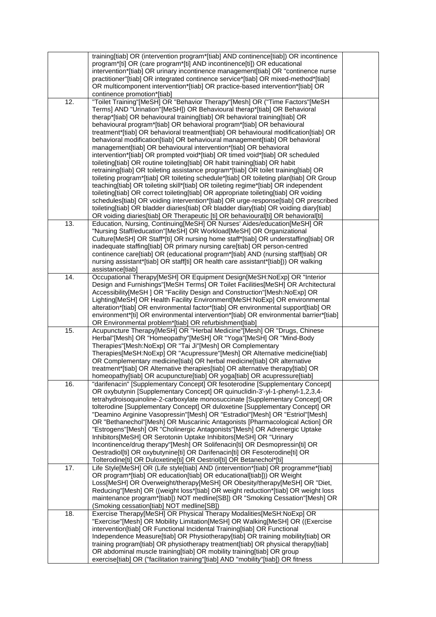|     | training[tiab] OR (intervention program*[tiab] AND continence[tiab]) OR incontinence                                                                                 |  |
|-----|----------------------------------------------------------------------------------------------------------------------------------------------------------------------|--|
|     | program*[ti] OR (care program*[ti] AND incontinence[ti]) OR educational                                                                                              |  |
|     | intervention*[tiab] OR urinary incontinence management[tiab] OR "continence nurse                                                                                    |  |
|     | practitioner"[tiab] OR integrated continence service*[tiab] OR mixed-method*[tiab]<br>OR multicomponent intervention*[tiab] OR practice-based intervention*[tiab] OR |  |
|     | continence promotion*[tiab]                                                                                                                                          |  |
| 12. | "Toilet Training"[MeSH] OR "Behavior Therapy"[Mesh] OR ("Time Factors"[MeSH                                                                                          |  |
|     | Terms] AND "Urination"[MeSH]) OR Behavioural therap*[tiab] OR Behavioral                                                                                             |  |
|     | therap*[tiab] OR behavioural training[tiab] OR behavioral training[tiab] OR                                                                                          |  |
|     | behavioural program*[tiab] OR behavioral program*[tiab] OR behavioural                                                                                               |  |
|     | treatment*[tiab] OR behavioral treatment[tiab] OR behavioural modification[tiab] OR                                                                                  |  |
|     | behavioral modification[tiab] OR behavioural management[tiab] OR behavioral                                                                                          |  |
|     | management[tiab] OR behavioural intervention*[tiab] OR behavioral                                                                                                    |  |
|     | intervention*[tiab] OR prompted void*[tiab] OR timed void*[tiab] OR scheduled                                                                                        |  |
|     | toileting[tiab] OR routine toileting[tiab] OR habit training[tiab] OR habit                                                                                          |  |
|     | retraining[tiab] OR toileting assistance program*[tiab] OR toilet training[tiab] OR                                                                                  |  |
|     | toileting program*[tiab] OR toileting schedule*[tiab] OR toileting plan[tiab] OR Group                                                                               |  |
|     | teaching[tiab] OR toileting skill*[tiab] OR toileting regime*[tiab] OR independent                                                                                   |  |
|     | toileting[tiab] OR correct toileting[tiab] OR appropriate toileting[tiab] OR voiding                                                                                 |  |
|     | schedules[tiab] OR voiding intervention*[tiab] OR urge-response[tiab] OR prescribed                                                                                  |  |
|     | toileting[tiab] OR bladder diaries[tiab] OR bladder diary[tiab] OR voiding diary[tiab]                                                                               |  |
|     | OR voiding diaries[tiab] OR Therapeutic [ti] OR behavioural[ti] OR behavioral[ti]                                                                                    |  |
| 13. | Education, Nursing, Continuing[MeSH] OR Nurses' Aides/education[MeSH] OR<br>"Nursing Staff/education"[MeSH] OR Workload[MeSH] OR Organizational                      |  |
|     | Culture[MeSH] OR Staff*[ti] OR nursing home staff*[tiab] OR understaffing[tiab] OR                                                                                   |  |
|     | inadequate staffing[tiab] OR primary nursing care[tiab] OR person-centred                                                                                            |  |
|     | continence care[tiab] OR (educational program*[tiab] AND (nursing staff[tiab] OR                                                                                     |  |
|     | nursing assistant*[tiab] OR staff[ti] OR health care assistant*[tiab])) OR walking                                                                                   |  |
|     | assistance[tiab]                                                                                                                                                     |  |
| 14. | Occupational Therapy[MeSH] OR Equipment Design[MeSH:NoExp] OR "Interior                                                                                              |  |
|     | Design and Furnishings"[MeSH Terms] OR Toilet Facilities[MeSH] OR Architectural                                                                                      |  |
|     | Accessibility[MeSH ] OR "Facility Design and Construction"[Mesh:NoExp] OR                                                                                            |  |
|     | Lighting[MeSH] OR Health Facility Environment[MeSH:NoExp] OR environmental                                                                                           |  |
|     | alteration*[tiab] OR environmental factor*[tiab] OR environmental support[tiab] OR                                                                                   |  |
|     | environment*[ti] OR environmental intervention*[tiab] OR environmental barrier*[tiab]                                                                                |  |
|     | OR Environmental problem*[tiab] OR refurbishment[tiab]                                                                                                               |  |
| 15. | Acupuncture Therapy[MeSH] OR "Herbal Medicine"[Mesh] OR "Drugs, Chinese                                                                                              |  |
|     | Herbal"[Mesh] OR "Homeopathy"[MeSH] OR "Yoga"[MeSH] OR "Mind-Body<br>Therapies"[Mesh:NoExp] OR "Tai Ji"[Mesh] OR Complementary                                       |  |
|     | Therapies[MeSH:NoExp] OR "Acupressure"[Mesh] OR Alternative medicine[tiab]                                                                                           |  |
|     | OR Complementary medicine[tiab] OR herbal medicine[tiab] OR alternative                                                                                              |  |
|     | treatment*[tiab] OR Alternative therapies[tiab] OR alternative therapy[tiab] OR                                                                                      |  |
|     | homeopathy[tiab] OR acupuncture[tiab] OR yoga[tiab] OR acupressure[tiab]                                                                                             |  |
| 16. | "darifenacin" [Supplementary Concept] OR fesoterodine [Supplementary Concept]                                                                                        |  |
|     | OR oxybutynin [Supplementary Concept] OR quinuclidin-3'-yl-1-phenyl-1,2,3,4-                                                                                         |  |
|     | tetrahydroisoquinoline-2-carboxylate monosuccinate [Supplementary Concept] OR                                                                                        |  |
|     | tolterodine [Supplementary Concept] OR duloxetine [Supplementary Concept] OR                                                                                         |  |
|     | "Deamino Arginine Vasopressin"[Mesh] OR "Estradiol"[Mesh] OR "Estriol"[Mesh]                                                                                         |  |
|     | OR "Bethanechol"[Mesh] OR Muscarinic Antagonists [Pharmacological Action] OR                                                                                         |  |
|     | "Estrogens"[Mesh] OR "Cholinergic Antagonists"[Mesh] OR Adrenergic Uptake                                                                                            |  |
|     | Inhibitors[MeSH] OR Serotonin Uptake Inhibitors[MeSH] OR "Urinary                                                                                                    |  |
|     | Incontinence/drug therapy"[Mesh] OR Solifenacin[ti] OR Desmopressin[ti] OR                                                                                           |  |
|     | Oestradiol[ti] OR oxybutynine[ti] OR Darifenacin[ti] OR Fesoterodine[ti] OR<br>Tolterodine[ti] OR Duloxetine[ti] OR Oestriol[ti] OR Betanechol*[ti]                  |  |
| 17. | Life Style[MeSH] OR (Life style[tiab] AND (intervention*[tiab] OR programme*[tiab]                                                                                   |  |
|     | OR program*[tiab] OR education[tiab] OR educational[tiab])) OR Weight                                                                                                |  |
|     | Loss[MeSH] OR Overweight/therapy[MeSH] OR Obesity/therapy[MeSH] OR "Diet,                                                                                            |  |
|     | Reducing"[Mesh] OR ((weight loss*[tiab] OR weight reduction*[tiab] OR weight loss                                                                                    |  |
|     | maintenance program*[tiab]) NOT medline[SB]) OR "Smoking Cessation"[Mesh] OR                                                                                         |  |
|     | (Smoking cessation[tiab] NOT medline[SB])                                                                                                                            |  |
| 18. | Exercise Therapy[MeSH] OR Physical Therapy Modalities[MeSH:NoExp] OR                                                                                                 |  |
|     | "Exercise"[Mesh] OR Mobility Limitation[MeSH] OR Walking[MeSH] OR ((Exercise                                                                                         |  |
|     | intervention[tiab] OR Functional Incidental Training[tiab] OR Functional                                                                                             |  |
|     | Independence Measure[tiab] OR Physiotherapy[tiab] OR training mobility[tiab] OR                                                                                      |  |
|     | training program[tiab] OR physiotherapy treatment[tiab] OR physical therapy[tiab]                                                                                    |  |
|     | OR abdominal muscle training[tiab] OR mobility training[tiab] OR group                                                                                               |  |
|     | exercise[tiab] OR ("facilitation training"[tiab] AND "mobility"[tiab]) OR fitness                                                                                    |  |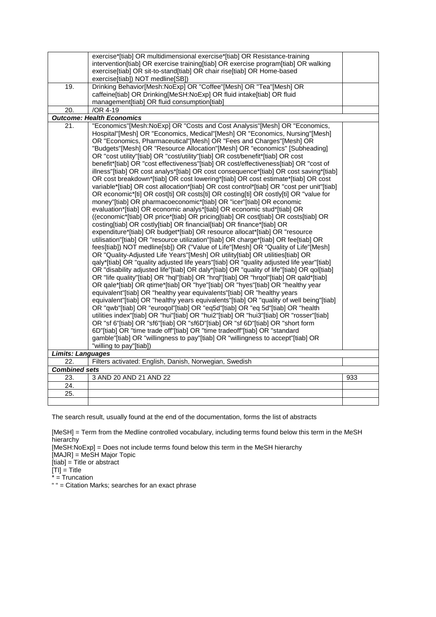|                          | exercise*[tiab] OR multidimensional exercise*[tiab] OR Resistance-training<br>intervention[tiab] OR exercise training[tiab] OR exercise program[tiab] OR walking<br>exercise[tiab] OR sit-to-stand[tiab] OR chair rise[tiab] OR Home-based<br>exercise[tiab]) NOT medline[SB])                                                                                                                                                                                                                                                                                                                                                                                                                                                                                                                                                                                                                                                                                                                                                                                                                                                                                                                                                                                                                                                                                                                                                                                                                                                                                                                                                                                                                                                                                                                                                                                                                                                                                                                                                                                                                                                                                                                                                                                                                                                                                                                                                                                                                  |     |
|--------------------------|-------------------------------------------------------------------------------------------------------------------------------------------------------------------------------------------------------------------------------------------------------------------------------------------------------------------------------------------------------------------------------------------------------------------------------------------------------------------------------------------------------------------------------------------------------------------------------------------------------------------------------------------------------------------------------------------------------------------------------------------------------------------------------------------------------------------------------------------------------------------------------------------------------------------------------------------------------------------------------------------------------------------------------------------------------------------------------------------------------------------------------------------------------------------------------------------------------------------------------------------------------------------------------------------------------------------------------------------------------------------------------------------------------------------------------------------------------------------------------------------------------------------------------------------------------------------------------------------------------------------------------------------------------------------------------------------------------------------------------------------------------------------------------------------------------------------------------------------------------------------------------------------------------------------------------------------------------------------------------------------------------------------------------------------------------------------------------------------------------------------------------------------------------------------------------------------------------------------------------------------------------------------------------------------------------------------------------------------------------------------------------------------------------------------------------------------------------------------------------------------------|-----|
| 19.                      | Drinking Behavior[Mesh:NoExp] OR "Coffee"[Mesh] OR "Tea"[Mesh] OR<br>caffeine[tiab] OR Drinking[MeSH:NoExp] OR fluid intake[tiab] OR fluid                                                                                                                                                                                                                                                                                                                                                                                                                                                                                                                                                                                                                                                                                                                                                                                                                                                                                                                                                                                                                                                                                                                                                                                                                                                                                                                                                                                                                                                                                                                                                                                                                                                                                                                                                                                                                                                                                                                                                                                                                                                                                                                                                                                                                                                                                                                                                      |     |
|                          | management[tiab] OR fluid consumption[tiab]                                                                                                                                                                                                                                                                                                                                                                                                                                                                                                                                                                                                                                                                                                                                                                                                                                                                                                                                                                                                                                                                                                                                                                                                                                                                                                                                                                                                                                                                                                                                                                                                                                                                                                                                                                                                                                                                                                                                                                                                                                                                                                                                                                                                                                                                                                                                                                                                                                                     |     |
| 20.                      | /OR 4-19                                                                                                                                                                                                                                                                                                                                                                                                                                                                                                                                                                                                                                                                                                                                                                                                                                                                                                                                                                                                                                                                                                                                                                                                                                                                                                                                                                                                                                                                                                                                                                                                                                                                                                                                                                                                                                                                                                                                                                                                                                                                                                                                                                                                                                                                                                                                                                                                                                                                                        |     |
|                          | <b>Outcome: Health Economics</b>                                                                                                                                                                                                                                                                                                                                                                                                                                                                                                                                                                                                                                                                                                                                                                                                                                                                                                                                                                                                                                                                                                                                                                                                                                                                                                                                                                                                                                                                                                                                                                                                                                                                                                                                                                                                                                                                                                                                                                                                                                                                                                                                                                                                                                                                                                                                                                                                                                                                |     |
| 21.                      | "Economics"[Mesh:NoExp] OR "Costs and Cost Analysis"[Mesh] OR "Economics,<br>Hospital"[Mesh] OR "Economics, Medical"[Mesh] OR "Economics, Nursing"[Mesh]<br>OR "Economics, Pharmaceutical"[Mesh] OR "Fees and Charges"[Mesh] OR<br>"Budgets"[Mesh] OR "Resource Allocation"[Mesh] OR "economics" [Subheading]<br>OR "cost utility"[tiab] OR "cost/utility"[tiab] OR cost/benefit*[tiab] OR cost<br>benefit*[tiab] OR "cost effectiveness"[tiab] OR cost/effectiveness[tiab] OR "cost of<br>illness"[tiab] OR cost analys*[tiab] OR cost consequence*[tiab] OR cost saving*[tiab]<br>OR cost breakdown*[tiab] OR cost lowering*[tiab] OR cost estimate*[tiab] OR cost<br>variable*[tiab] OR cost allocation*[tiab] OR cost control*[tiab] OR "cost per unit"[tiab]<br>OR economic*[ti] OR cost[ti] OR costs[ti] OR costing[ti] OR costly[ti] OR "value for<br>money"[tiab] OR pharmacoeconomic*[tiab] OR "icer"[tiab] OR economic<br>evaluation*[tiab] OR economic analys*[tiab] OR economic stud*[tiab] OR<br>((economic*[tiab] OR price*[tiab] OR pricing[tiab] OR cost[tiab] OR costs[tiab] OR<br>costing[tiab] OR costly[tiab] OR financial[tiab] OR finance*[tiab] OR<br>expenditure*[tiab] OR budget*[tiab] OR resource allocat*[tiab] OR "resource<br>utilisation"[tiab] OR "resource utilization"[tiab] OR charge*[tiab] OR fee[tiab] OR<br>fees[tiab]) NOT medline[sb]) OR ("Value of Life"[Mesh] OR "Quality of Life"[Mesh]<br>OR "Quality-Adjusted Life Years"[Mesh] OR utility[tiab] OR utilities[tiab] OR<br>qaly*[tiab] OR "quality adjusted life years"[tiab] OR "quality adjusted life year"[tiab]<br>OR "disability adjusted life"[tiab] OR daly*[tiab] OR "quality of life"[tiab] OR qol[tiab]<br>OR "life quality"[tiab] OR "hql"[tiab] OR "hrql"[tiab] OR "hrqol"[tiab] OR qald*[tiab]<br>OR qale*[tiab] OR qtime*[tiab] OR "hye"[tiab] OR "hyes"[tiab] OR "healthy year<br>equivalent"[tiab] OR "healthy year equivalents"[tiab] OR "healthy years<br>equivalent"[tiab] OR "healthy years equivalents"[tiab] OR "quality of well being"[tiab]<br>OR "qwb"[tiab] OR "euroqol"[tiab] OR "eq5d"[tiab] OR "eq 5d"[tiab] OR "health<br>utilities index"[tiab] OR "hui"[tiab] OR "hui2"[tiab] OR "hui3"[tiab] OR "rosser"[tiab]<br>OR "sf 6"[tiab] OR "sf6"[tiab] OR "sf6D"[tiab] OR "sf 6D"[tiab] OR "short form<br>6D"[tiab] OR "time trade off"[tiab] OR "time tradeoff"[tiab] OR "standard<br>gamble"[tiab] OR "willingness to pay"[tiab] OR "willingness to accept"[tiab] OR |     |
| <b>Limits: Languages</b> | "willing to pay"[tiab])                                                                                                                                                                                                                                                                                                                                                                                                                                                                                                                                                                                                                                                                                                                                                                                                                                                                                                                                                                                                                                                                                                                                                                                                                                                                                                                                                                                                                                                                                                                                                                                                                                                                                                                                                                                                                                                                                                                                                                                                                                                                                                                                                                                                                                                                                                                                                                                                                                                                         |     |
| 22.                      | Filters activated: English, Danish, Norwegian, Swedish                                                                                                                                                                                                                                                                                                                                                                                                                                                                                                                                                                                                                                                                                                                                                                                                                                                                                                                                                                                                                                                                                                                                                                                                                                                                                                                                                                                                                                                                                                                                                                                                                                                                                                                                                                                                                                                                                                                                                                                                                                                                                                                                                                                                                                                                                                                                                                                                                                          |     |
| <b>Combined sets</b>     |                                                                                                                                                                                                                                                                                                                                                                                                                                                                                                                                                                                                                                                                                                                                                                                                                                                                                                                                                                                                                                                                                                                                                                                                                                                                                                                                                                                                                                                                                                                                                                                                                                                                                                                                                                                                                                                                                                                                                                                                                                                                                                                                                                                                                                                                                                                                                                                                                                                                                                 |     |
| 23.                      | 3 AND 20 AND 21 AND 22                                                                                                                                                                                                                                                                                                                                                                                                                                                                                                                                                                                                                                                                                                                                                                                                                                                                                                                                                                                                                                                                                                                                                                                                                                                                                                                                                                                                                                                                                                                                                                                                                                                                                                                                                                                                                                                                                                                                                                                                                                                                                                                                                                                                                                                                                                                                                                                                                                                                          | 933 |
| 24.                      |                                                                                                                                                                                                                                                                                                                                                                                                                                                                                                                                                                                                                                                                                                                                                                                                                                                                                                                                                                                                                                                                                                                                                                                                                                                                                                                                                                                                                                                                                                                                                                                                                                                                                                                                                                                                                                                                                                                                                                                                                                                                                                                                                                                                                                                                                                                                                                                                                                                                                                 |     |
| 25.                      |                                                                                                                                                                                                                                                                                                                                                                                                                                                                                                                                                                                                                                                                                                                                                                                                                                                                                                                                                                                                                                                                                                                                                                                                                                                                                                                                                                                                                                                                                                                                                                                                                                                                                                                                                                                                                                                                                                                                                                                                                                                                                                                                                                                                                                                                                                                                                                                                                                                                                                 |     |
|                          |                                                                                                                                                                                                                                                                                                                                                                                                                                                                                                                                                                                                                                                                                                                                                                                                                                                                                                                                                                                                                                                                                                                                                                                                                                                                                                                                                                                                                                                                                                                                                                                                                                                                                                                                                                                                                                                                                                                                                                                                                                                                                                                                                                                                                                                                                                                                                                                                                                                                                                 |     |

[MeSH] = Term from the Medline controlled vocabulary, including terms found below this term in the MeSH hierarchy

[MeSH:NoExp] = Does not include terms found below this term in the MeSH hierarchy [MAJR] = MeSH Major Topic

[tiab] = Title or abstract

 $[TI] = Title$ 

\* = Truncation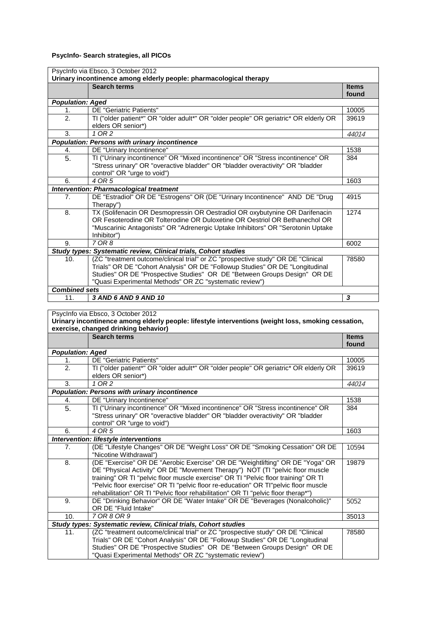## **PsycInfo- Search strategies, all PICOs**

| PsycInfo via Ebsco, 3 October 2012<br>Urinary incontinence among elderly people: pharmacological therapy |                                                                                      |              |
|----------------------------------------------------------------------------------------------------------|--------------------------------------------------------------------------------------|--------------|
|                                                                                                          | <b>Search terms</b>                                                                  | <b>Items</b> |
|                                                                                                          |                                                                                      | found        |
| <b>Population: Aged</b>                                                                                  |                                                                                      |              |
| 1.                                                                                                       | DE "Geriatric Patients"                                                              | 10005        |
| 2.                                                                                                       | TI ("older patient*" OR "older adult*" OR "older people" OR geriatric* OR elderly OR | 39619        |
|                                                                                                          | elders OR senior*)                                                                   |              |
| 3.                                                                                                       | 1 OR 2                                                                               | 44014        |
|                                                                                                          | <b>Population: Persons with urinary incontinence</b>                                 |              |
| 4.                                                                                                       | DE "Urinary Incontinence"                                                            | 1538         |
| 5.                                                                                                       | TI ("Urinary incontinence" OR "Mixed incontinence" OR "Stress incontinence" OR       | 384          |
|                                                                                                          | "Stress urinary" OR "overactive bladder" OR "bladder overactivity" OR "bladder       |              |
|                                                                                                          | control" OR "urge to void")                                                          |              |
| 6.                                                                                                       | 4 OR 5                                                                               | 1603         |
|                                                                                                          | Intervention: Pharmacological treatment                                              |              |
| 7 <sub>1</sub>                                                                                           | DE "Estradiol" OR DE "Estrogens" OR (DE "Urinary Incontinence" AND DE "Drug          | 4915         |
|                                                                                                          | Therapy")                                                                            |              |
| 8.                                                                                                       | TX (Solifenacin OR Desmopressin OR Oestradiol OR oxybutynine OR Darifenacin          | 1274         |
|                                                                                                          | OR Fesoterodine OR Tolterodine OR Duloxetine OR Oestriol OR Bethanechol OR           |              |
|                                                                                                          | "Muscarinic Antagonists" OR "Adrenergic Uptake Inhibitors" OR "Serotonin Uptake      |              |
|                                                                                                          | Inhibitor")                                                                          |              |
| 9.                                                                                                       | 7 OR 8                                                                               | 6002         |
|                                                                                                          | Study types: Systematic review, Clinical trials, Cohort studies                      |              |
| 10 <sub>1</sub>                                                                                          | (ZC "treatment outcome/clinical trial" or ZC "prospective study" OR DE "Clinical     | 78580        |
|                                                                                                          | Trials" OR DE "Cohort Analysis" OR DE "Followup Studies" OR DE "Longitudinal         |              |
|                                                                                                          | Studies" OR DE "Prospective Studies" OR DE "Between Groups Design" OR DE             |              |
|                                                                                                          | "Quasi Experimental Methods" OR ZC "systematic review")                              |              |
| <b>Combined sets</b>                                                                                     |                                                                                      |              |
| 11.                                                                                                      | 3 AND 6 AND 9 AND 10                                                                 | 3            |

#### PsycInfo via Ebsco, 3 October 2012 **Urinary incontinence among elderly people: lifestyle interventions (weight loss, smoking cessation, exercise, changed drinking behavior) Search terms Items found**

|                         |                                                                                      | ivuiu |
|-------------------------|--------------------------------------------------------------------------------------|-------|
| <b>Population: Aged</b> |                                                                                      |       |
| 1.                      | DE "Geriatric Patients"                                                              | 10005 |
| $\mathfrak{D}$          | TI ("older patient*" OR "older adult*" OR "older people" OR geriatric* OR elderly OR | 39619 |
|                         | elders OR senior*)                                                                   |       |
| 3.                      | $1$ OR $2$                                                                           | 44014 |
|                         | <b>Population: Persons with urinary incontinence</b>                                 |       |
| 4.                      | DE "Urinary Incontinence"                                                            | 1538  |
| 5.                      | TI ("Urinary incontinence" OR "Mixed incontinence" OR "Stress incontinence" OR       | 384   |
|                         | "Stress urinary" OR "overactive bladder" OR "bladder overactivity" OR "bladder       |       |
|                         | control" OR "urge to void")                                                          |       |
| 6.                      | 4 OR 5                                                                               | 1603  |
|                         | Intervention: lifestyle interventions                                                |       |
| 7 <sub>1</sub>          | (DE "Lifestyle Changes" OR DE "Weight Loss" OR DE "Smoking Cessation" OR DE          | 10594 |
|                         | "Nicotine Withdrawal")                                                               |       |
| 8.                      | (DE "Exercise" OR DE "Aerobic Exercise" OR DE "Weightlifting" OR DE "Yoga" OR        | 19879 |
|                         | DE "Physical Activity" OR DE "Movement Therapy") NOT (TI "pelvic floor muscle        |       |
|                         | training" OR TI "pelvic floor muscle exercise" OR TI "Pelvic floor training" OR TI   |       |
|                         | "Pelvic floor exercise" OR TI "pelvic floor re-education" OR TI"pelvic floor muscle  |       |
|                         | rehabilitation" OR TI "Pelvic floor rehabilitation" OR TI "pelvic floor therap*")    |       |
| 9.                      | DE "Drinking Behavior" OR DE "Water Intake" OR DE "Beverages (Nonalcoholic)"         | 5052  |
|                         | OR DE "Fluid Intake"                                                                 |       |
| 10.                     | 7 OR 8 OR 9                                                                          | 35013 |
|                         | Study types: Systematic review, Clinical trials, Cohort studies                      |       |
| 11.                     | (ZC "treatment outcome/clinical trial" or ZC "prospective study" OR DE "Clinical     | 78580 |
|                         | Trials" OR DE "Cohort Analysis" OR DE "Followup Studies" OR DE "Longitudinal         |       |
|                         | Studies" OR DE "Prospective Studies" OR DE "Between Groups Design" OR DE             |       |
|                         | "Quasi Experimental Methods" OR ZC "systematic review")                              |       |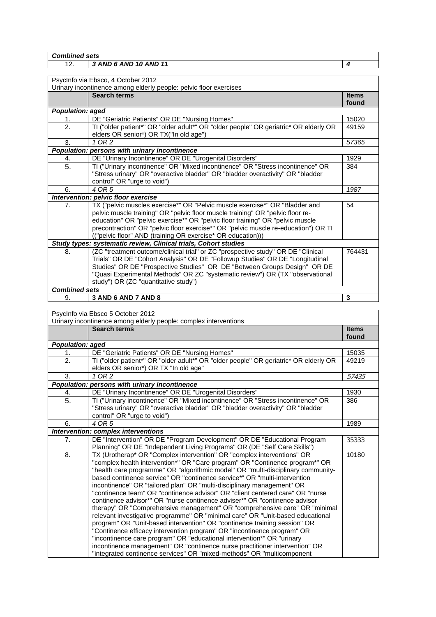*Combined sets*

## 12. *3 AND 6 AND 10 AND 11 4*

| PsycInfo via Ebsco, 4 October 2012                                                       |                                                                                      |              |
|------------------------------------------------------------------------------------------|--------------------------------------------------------------------------------------|--------------|
| Urinary incontinence among elderly people: pelvic floor exercises<br><b>Search terms</b> |                                                                                      |              |
|                                                                                          |                                                                                      | <b>Items</b> |
|                                                                                          |                                                                                      | found        |
| <b>Population: aged</b>                                                                  |                                                                                      |              |
| 1.                                                                                       | DE "Geriatric Patients" OR DE "Nursing Homes"                                        | 15020        |
| 2.                                                                                       | TI ("older patient*" OR "older adult*" OR "older people" OR geriatric* OR elderly OR | 49159        |
|                                                                                          | elders OR senior*) OR TX("In old age")                                               |              |
| 3.                                                                                       | 1 OR 2                                                                               | 57365        |
|                                                                                          | Population: persons with urinary incontinence                                        |              |
| 4.                                                                                       | DE "Urinary Incontinence" OR DE "Urogenital Disorders"                               | 1929         |
| 5.                                                                                       | TI ("Urinary incontinence" OR "Mixed incontinence" OR "Stress incontinence" OR       | 384          |
|                                                                                          | "Stress urinary" OR "overactive bladder" OR "bladder overactivity" OR "bladder       |              |
|                                                                                          | control" OR "urge to void")                                                          |              |
| 6.                                                                                       | 4 OR 5                                                                               | 1987         |
|                                                                                          | Intervention: pelvic floor exercise                                                  |              |
| 7.                                                                                       | TX ("pelvic muscles exercise*" OR "Pelvic muscle exercise*" OR "Bladder and          | 54           |
|                                                                                          | pelvic muscle training" OR "pelvic floor muscle training" OR "pelvic floor re-       |              |
|                                                                                          | education" OR "pelvic exercise*" OR "pelvic floor training" OR "pelvic muscle        |              |
|                                                                                          | precontraction" OR "pelvic floor exercise*" OR "pelvic muscle re-education") OR TI   |              |
|                                                                                          | (("pelvic floor" AND (training OR exercise* OR education)))                          |              |
|                                                                                          | Study types: systematic review, Clinical trials, Cohort studies                      |              |
| 8.                                                                                       | (ZC "treatment outcome/clinical trial" or ZC "prospective study" OR DE "Clinical     | 764431       |
|                                                                                          | Trials" OR DE "Cohort Analysis" OR DE "Followup Studies" OR DE "Longitudinal         |              |
|                                                                                          | Studies" OR DE "Prospective Studies" OR DE "Between Groups Design" OR DE             |              |
|                                                                                          | "Quasi Experimental Methods" OR ZC "systematic review") OR (TX "observational        |              |
|                                                                                          | study") OR (ZC "quantitative study")                                                 |              |
| <b>Combined sets</b>                                                                     |                                                                                      |              |
| 9.                                                                                       | 3 AND 6 AND 7 AND 8                                                                  | 3            |

PsycInfo via Ebsco 5 October 2012 Urinary incontinence among elderly people: complex interventions **Search terms If the search terms If the search terms If the search terms If the search terms If the search terms If the search terms If the search terms If the search terms If the search terms If the s found** *Population: aged* 1. DE "Geriatric Patients" OR DE "Nursing Homes" 15035 2. TI ("older patient\*" OR "older adult\*" OR "older people" OR geriatric\* OR elderly OR elders OR senior\*) OR TX "In old age" 49219 3. *1 OR 2* 57435 *Population: persons with urinary incontinence* 4. **DE "Urinary Incontinence" OR DE "Urogenital Disorders"** 1930 5. TI ("Urinary incontinence" OR "Mixed incontinence" OR "Stress incontinence" OR "Stress urinary" OR "overactive bladder" OR "bladder overactivity" OR "bladder control" OR "urge to void") 386 6. **4 OR 5** 1989 *Intervention: complex interventions* 7. DE "Intervention" OR DE "Program Development" OR DE "Educational Program Planning" OR DE "Independent Living Programs" OR (DE "Self Care Skills") 35333 8. TX (Urotherap\* OR "Complex intervention" OR "complex interventions" OR "complex health intervention\*" OR "Care program" OR "Continence program\*" OR "health care programme" OR "algorithmic model" OR "multi-disciplinary communitybased continence service" OR "continence service\*" OR "multi-intervention incontinence" OR "tailored plan" OR "multi-disciplinary management" OR "continence team" OR "continence advisor" OR "client centered care" OR "nurse continence advisor\*" OR "nurse continence adviser\*" OR "continence advisor therapy" OR "Comprehensive management" OR "comprehensive care" OR "minimal relevant investigative programme" OR "minimal care" OR "Unit-based educational program" OR "Unit-based intervention" OR "continence training session" OR "Continence efficacy intervention program" OR "incontinence program" OR "incontinence care program" OR "educational intervention\*" OR "urinary incontinence management" OR "continence nurse practitioner intervention" OR "integrated continence services" OR "mixed-methods" OR "multicomponent 10180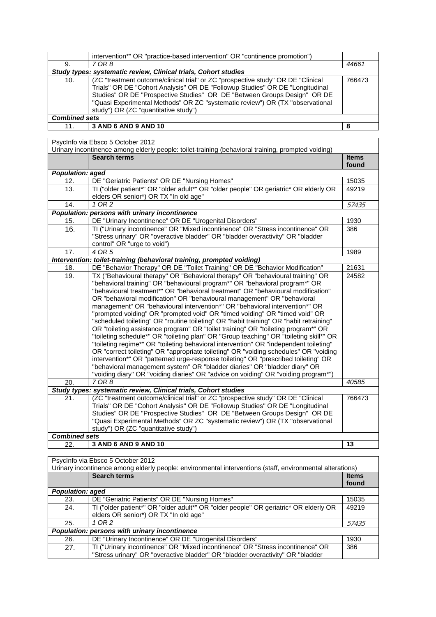┑

|                      | intervention*" OR "practice-based intervention" OR "continence promotion")                                                                                                                                                                                                                                                                                            |        |
|----------------------|-----------------------------------------------------------------------------------------------------------------------------------------------------------------------------------------------------------------------------------------------------------------------------------------------------------------------------------------------------------------------|--------|
| 9.                   | 7 OR 8                                                                                                                                                                                                                                                                                                                                                                | 44661  |
|                      | Study types: systematic review, Clinical trials, Cohort studies                                                                                                                                                                                                                                                                                                       |        |
| 10.                  | (ZC "treatment outcome/clinical trial" or ZC "prospective study" OR DE "Clinical<br>Trials" OR DE "Cohort Analysis" OR DE "Followup Studies" OR DE "Longitudinal<br>Studies" OR DE "Prospective Studies" OR DE "Between Groups Design" OR DE<br>"Quasi Experimental Methods" OR ZC "systematic review") OR (TX "observational<br>study") OR (ZC "quantitative study") | 766473 |
| <b>Combined sets</b> |                                                                                                                                                                                                                                                                                                                                                                       |        |
| 11.                  | 3 AND 6 AND 9 AND 10                                                                                                                                                                                                                                                                                                                                                  | 8      |

PsycInfo via Ebsco 5 October 2012

| <b>SYDMING VIDEOSOO O OCCODOL LOT</b><br>Urinary incontinence among elderly people: toilet-training (behavioral training, prompted voiding) |                                                                                        |                       |
|---------------------------------------------------------------------------------------------------------------------------------------------|----------------------------------------------------------------------------------------|-----------------------|
|                                                                                                                                             | <b>Search terms</b>                                                                    | <b>Items</b><br>found |
| <b>Population: aged</b>                                                                                                                     |                                                                                        |                       |
| 12.                                                                                                                                         | DE "Geriatric Patients" OR DE "Nursing Homes"                                          | 15035                 |
| 13.                                                                                                                                         | TI ("older patient*" OR "older adult*" OR "older people" OR geriatric* OR elderly OR   | 49219                 |
|                                                                                                                                             | elders OR senior*) OR TX "In old age"                                                  |                       |
| 14.                                                                                                                                         | 1 OR 2                                                                                 | 57435                 |
|                                                                                                                                             | Population: persons with urinary incontinence                                          |                       |
| 15.                                                                                                                                         | DE "Urinary Incontinence" OR DE "Urogenital Disorders"                                 | 1930                  |
| 16.                                                                                                                                         | TI ("Urinary incontinence" OR "Mixed incontinence" OR "Stress incontinence" OR         | 386                   |
|                                                                                                                                             | "Stress urinary" OR "overactive bladder" OR "bladder overactivity" OR "bladder         |                       |
|                                                                                                                                             | control" OR "urge to void")                                                            |                       |
| 17.                                                                                                                                         | 4 OR 5                                                                                 | 1989                  |
|                                                                                                                                             | Intervention: toilet-training (behavioral training, prompted voiding)                  |                       |
| 18.                                                                                                                                         | DE "Behavior Therapy" OR DE "Toilet Training" OR DE "Behavior Modification"            | 21631                 |
| 19.                                                                                                                                         | TX ("Behavioural therapy" OR "Behavioral therapy" OR "behavioural training" OR         | 24582                 |
|                                                                                                                                             | "behavioral training" OR "behavioural program*" OR "behavioral program*" OR            |                       |
|                                                                                                                                             | "behavioural treatment*" OR "behavioral treatment" OR "behavioural modification"       |                       |
|                                                                                                                                             | OR "behavioral modification" OR "behavioural management" OR "behavioral                |                       |
|                                                                                                                                             | management" OR "behavioural intervention*" OR "behavioral intervention*" OR            |                       |
|                                                                                                                                             | "prompted voiding" OR "prompted void" OR "timed voiding" OR "timed void" OR            |                       |
|                                                                                                                                             | "scheduled toileting" OR "routine toileting" OR "habit training" OR "habit retraining" |                       |
|                                                                                                                                             | OR "toileting assistance program" OR "toilet training" OR "toileting program*" OR      |                       |
|                                                                                                                                             | "toileting schedule*" OR "toileting plan" OR "Group teaching" OR "toileting skill*" OR |                       |
|                                                                                                                                             | "toileting regime*" OR "toileting behavioral intervention" OR "independent toileting"  |                       |
|                                                                                                                                             | OR "correct toileting" OR "appropriate toileting" OR "voiding schedules" OR "voiding   |                       |
|                                                                                                                                             | intervention*" OR "patterned urge-response toileting" OR "prescribed toileting" OR     |                       |
|                                                                                                                                             | "behavioral management system" OR "bladder diaries" OR "bladder diary" OR              |                       |
|                                                                                                                                             | "voiding diary" OR "voiding diaries" OR "advice on voiding" OR "voiding program*")     |                       |
| 20.                                                                                                                                         | 7 OR 8                                                                                 | 40585                 |
|                                                                                                                                             | Study types: systematic review, Clinical trials, Cohort studies                        |                       |
| 21.                                                                                                                                         | (ZC "treatment outcome/clinical trial" or ZC "prospective study" OR DE "Clinical       | 766473                |
|                                                                                                                                             | Trials" OR DE "Cohort Analysis" OR DE "Followup Studies" OR DE "Longitudinal           |                       |
|                                                                                                                                             | Studies" OR DE "Prospective Studies" OR DE "Between Groups Design" OR DE               |                       |
|                                                                                                                                             | "Quasi Experimental Methods" OR ZC "systematic review") OR (TX "observational          |                       |
|                                                                                                                                             | study") OR (ZC "quantitative study")                                                   |                       |
| <b>Combined sets</b>                                                                                                                        |                                                                                        |                       |
| 22.                                                                                                                                         | 3 AND 6 AND 9 AND 10                                                                   | 13                    |

PsycInfo via Ebsco 5 October 2012

| $\sim$ 0.000 0.000 0.000 0.000 0.000 $\sim$<br>Urinary incontinence among elderly people: environmental interventions (staff, environmental alterations) |                                                                                      |              |
|----------------------------------------------------------------------------------------------------------------------------------------------------------|--------------------------------------------------------------------------------------|--------------|
|                                                                                                                                                          | <b>Search terms</b>                                                                  | <b>Items</b> |
|                                                                                                                                                          |                                                                                      | found        |
| <b>Population: aged</b>                                                                                                                                  |                                                                                      |              |
| 23.                                                                                                                                                      | DE "Geriatric Patients" OR DE "Nursing Homes"                                        | 15035        |
| 24.                                                                                                                                                      | TI ("older patient*" OR "older adult*" OR "older people" OR geriatric* OR elderly OR | 49219        |
|                                                                                                                                                          | elders OR senior*) OR TX "In old age"                                                |              |
| 25.                                                                                                                                                      | 1 OR 2                                                                               | 57435        |
| Population: persons with urinary incontinence                                                                                                            |                                                                                      |              |
| 26.                                                                                                                                                      | DE "Urinary Incontinence" OR DE "Urogenital Disorders"                               | 1930         |
| 27.                                                                                                                                                      | TI ("Urinary incontinence" OR "Mixed incontinence" OR "Stress incontinence" OR       | 386          |
|                                                                                                                                                          | "Stress urinary" OR "overactive bladder" OR "bladder overactivity" OR "bladder       |              |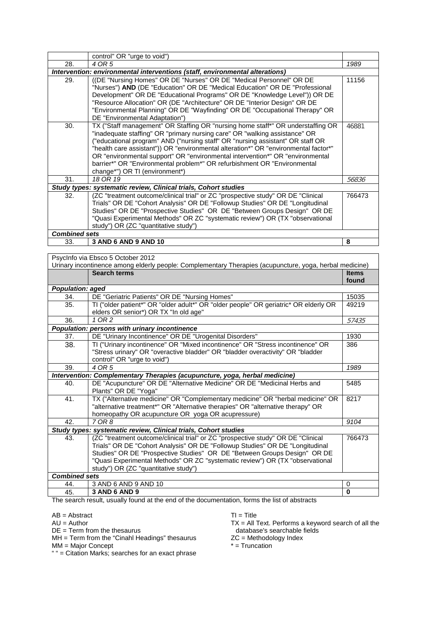|                      | control" OR "urge to void")                                                                                                                                                                                                                                                                                                                                                                                                                                                                                                           |        |
|----------------------|---------------------------------------------------------------------------------------------------------------------------------------------------------------------------------------------------------------------------------------------------------------------------------------------------------------------------------------------------------------------------------------------------------------------------------------------------------------------------------------------------------------------------------------|--------|
| 28.                  | 4 OR 5                                                                                                                                                                                                                                                                                                                                                                                                                                                                                                                                | 1989   |
|                      | Intervention: environmental interventions (staff, environmental alterations)                                                                                                                                                                                                                                                                                                                                                                                                                                                          |        |
| 29.                  | ((DE "Nursing Homes" OR DE "Nurses" OR DE "Medical Personnel" OR DE<br>"Nurses") AND (DE "Education" OR DE "Medical Education" OR DE "Professional<br>Development" OR DE "Educational Programs" OR DE "Knowledge Level")) OR DE<br>"Resource Allocation" OR (DE "Architecture" OR DE "Interior Design" OR DE<br>"Environmental Planning" OR DE "Wayfinding" OR DE "Occupational Therapy" OR<br>DE "Environmental Adaptation")                                                                                                         | 11156  |
| 30.                  | TX ("Staff management" OR Staffing OR "nursing home staff*" OR understaffing OR<br>"inadequate staffing" OR "primary nursing care" OR "walking assistance" OR<br>("educational program" AND ("nursing staff" OR "nursing assistant" OR staff OR<br>"health care assistant")) OR "environmental alteration*" OR "environmental factor*"<br>OR "environmental support" OR "environmental intervention*" OR "environmental<br>barrier*" OR "Environmental problem*" OR refurbishment OR "Environmental<br>change*") OR TI (environment*) | 46881  |
| 31.                  | 18 OR 19                                                                                                                                                                                                                                                                                                                                                                                                                                                                                                                              | 56836  |
|                      | Study types: systematic review, Clinical trials, Cohort studies                                                                                                                                                                                                                                                                                                                                                                                                                                                                       |        |
| 32 <sub>1</sub>      | (ZC "treatment outcome/clinical trial" or ZC "prospective study" OR DE "Clinical<br>Trials" OR DE "Cohort Analysis" OR DE "Followup Studies" OR DE "Longitudinal<br>Studies" OR DE "Prospective Studies" OR DE "Between Groups Design" OR DE<br>"Quasi Experimental Methods" OR ZC "systematic review") OR (TX "observational<br>study") OR (ZC "quantitative study")                                                                                                                                                                 | 766473 |
| <b>Combined sets</b> |                                                                                                                                                                                                                                                                                                                                                                                                                                                                                                                                       |        |
| 33.                  | 3 AND 6 AND 9 AND 10                                                                                                                                                                                                                                                                                                                                                                                                                                                                                                                  | 8      |

PsycInfo via Ebsco 5 October 2012 Urinary incontinence among elderly people: Complementary Therapies (acupuncture, yoga, herbal medicine) **Search terms Items Items Items Items Items found** *Population: aged* 34. DE "Geriatric Patients" OR DE "Nursing Homes" 15035<br>35. TJ ("older patient\*" OR "older adult\*" OR "older people" OR geriatric\* OR elderly OR 49219 35. TI ("older patient\*" OR "older adult\*" OR "older people" OR geriatric\* OR elderly OR elders OR senior\*) OR TX "In old age" 49219 36. *1 OR 2* 57435 *Population: persons with urinary incontinence* 37. 
DE "Urinary Incontinence" OR DE "Urogenital Disorders" | 1930 38. TI ("Urinary incontinence" OR "Mixed incontinence" OR "Stress incontinence" OR "Stress urinary" OR "overactive bladder" OR "bladder overactivity" OR "bladder control" OR "urge to void") 386 39. *4 OR 5 1989 Intervention: Complementary Therapies (acupuncture, yoga, herbal medicine)* 40. DE "Acupuncture" OR DE "Alternative Medicine" OR DE "Medicinal Herbs and Plants" OR DE "Yoga" 5485 41. TX ("Alternative medicine" OR "Complementary medicine" OR "herbal medicine" OR "alternative treatment\*" OR "Alternative therapies" OR "alternative therapy" OR homeopathy OR acupuncture OR yoga OR acupressure)<br>7 OR 8 8217 42. *7 OR 8 9104 Study types: systematic review, Clinical trials, Cohort studies* 43. (ZC "treatment outcome/clinical trial" or ZC "prospective study" OR DE "Clinical Trials" OR DE "Cohort Analysis" OR DE "Followup Studies" OR DE "Longitudinal Studies" OR DE "Prospective Studies" OR DE "Between Groups Design" OR DE "Quasi Experimental Methods" OR ZC "systematic review") OR (TX "observational study") OR (ZC "quantitative study") 766473 *Combined sets* 44. 3 AND 6 AND 9 AND 10 0 45. **3 AND 6 AND 9 0**

The search result, usually found at the end of the documentation, forms the list of abstracts

AB = Abstract

 $AU =$  Author

 $DE = Term$  from the thesaurus

MH = Term from the "Cinahl Headings" thesaurus

MM = Major Concept

" " = Citation Marks; searches for an exact phrase

 $TI = Title$ 

TX = All Text. Performs a keyword search of all the database's searchable fields

ZC = Methodology Index

 $* =$  Truncation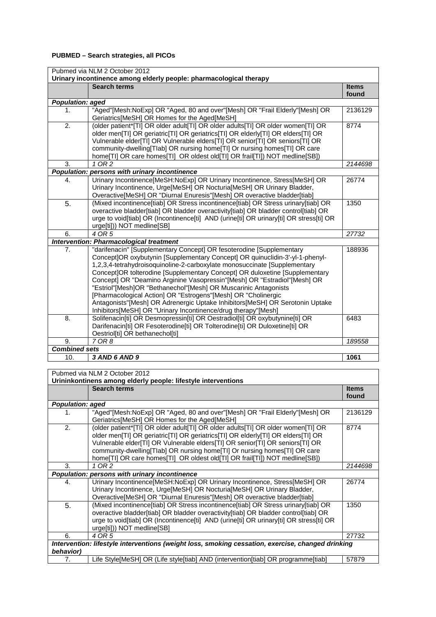# **PUBMED – Search strategies, all PICOs**

| Pubmed via NLM 2 October 2012 |                                                                                                                                                                                                                                                                                                                                                                                                                                                                                                                                                                                                                                                                                   |                       |
|-------------------------------|-----------------------------------------------------------------------------------------------------------------------------------------------------------------------------------------------------------------------------------------------------------------------------------------------------------------------------------------------------------------------------------------------------------------------------------------------------------------------------------------------------------------------------------------------------------------------------------------------------------------------------------------------------------------------------------|-----------------------|
|                               | Urinary incontinence among elderly people: pharmacological therapy                                                                                                                                                                                                                                                                                                                                                                                                                                                                                                                                                                                                                |                       |
|                               | <b>Search terms</b>                                                                                                                                                                                                                                                                                                                                                                                                                                                                                                                                                                                                                                                               | <b>Items</b><br>found |
| <b>Population: aged</b>       |                                                                                                                                                                                                                                                                                                                                                                                                                                                                                                                                                                                                                                                                                   |                       |
| 1.                            | "Aged"[Mesh:NoExp] OR "Aged, 80 and over"[Mesh] OR "Frail Elderly"[Mesh] OR<br>Geriatrics[MeSH] OR Homes for the Aged[MeSH]                                                                                                                                                                                                                                                                                                                                                                                                                                                                                                                                                       | 2136129               |
| 2.                            | (older patient*[TI] OR older adult[TI] OR older adults[TI] OR older women[TI] OR<br>older men[TI] OR geriatric[TI] OR geriatrics[TI] OR elderly[TI] OR elders[TI] OR<br>Vulnerable elder[TI] OR Vulnerable elders[TI] OR senior[TI] OR seniors[TI] OR<br>community-dwelling[Tlab] OR nursing home[TI] Or nursing homes[TI] OR care<br>home[TI] OR care homes[TI] OR oldest old[TI] OR frail[TI]) NOT medline[SB])                                                                                                                                                                                                                                                                 | 8774                  |
| 3.                            | 1 OR 2                                                                                                                                                                                                                                                                                                                                                                                                                                                                                                                                                                                                                                                                            | 2144698               |
|                               | Population: persons with urinary incontinence                                                                                                                                                                                                                                                                                                                                                                                                                                                                                                                                                                                                                                     |                       |
| 4.                            | Urinary Incontinence[MeSH:NoExp] OR Urinary Incontinence, Stress[MeSH] OR<br>Urinary Incontinence, Urge[MeSH] OR Nocturia[MeSH] OR Urinary Bladder,<br>Overactive[MeSH] OR "Diurnal Enuresis"[Mesh] OR overactive bladder[tiab]                                                                                                                                                                                                                                                                                                                                                                                                                                                   | 26774                 |
| 5.                            | (Mixed incontinence[tiab] OR Stress incontinence[tiab] OR Stress urinary[tiab] OR<br>overactive bladder[tiab] OR bladder overactivity[tiab] OR bladder control[tiab] OR<br>urge to void[tiab] OR (Incontinence[ti] AND (urine[ti] OR urinary[ti] OR stress[ti] OR<br>urge[ti])) NOT medline[SB]                                                                                                                                                                                                                                                                                                                                                                                   | 1350                  |
| 6.                            | 4 OR 5                                                                                                                                                                                                                                                                                                                                                                                                                                                                                                                                                                                                                                                                            | 27732                 |
|                               | <b>Intervention: Pharmacological treatment</b>                                                                                                                                                                                                                                                                                                                                                                                                                                                                                                                                                                                                                                    |                       |
| 7.                            | "darifenacin" [Supplementary Concept] OR fesoterodine [Supplementary<br>Concept]OR oxybutynin [Supplementary Concept] OR quinuclidin-3'-yl-1-phenyl-<br>1,2,3,4-tetrahydroisoquinoline-2-carboxylate monosuccinate [Supplementary<br>Concept]OR tolterodine [Supplementary Concept] OR duloxetine [Supplementary<br>Concept] OR "Deamino Arginine Vasopressin"[Mesh] OR "Estradiol"[Mesh] OR<br>"Estriol"[Mesh]OR "Bethanechol"[Mesh] OR Muscarinic Antagonists<br>[Pharmacological Action] OR "Estrogens"[Mesh] OR "Cholinergic<br>Antagonists"[Mesh] OR Adrenergic Uptake Inhibitors[MeSH] OR Serotonin Uptake<br>Inhibitors[MeSH] OR "Urinary Incontinence/drug therapy"[Mesh] | 188936                |
| 8.                            | Solifenacin[ti] OR Desmopressin[ti] OR Oestradiol[ti] OR oxybutynine[ti] OR<br>Darifenacin[ti] OR Fesoterodine[ti] OR Tolterodine[ti] OR Duloxetine[ti] OR<br>Oestriol[ti] OR bethanechol[ti]                                                                                                                                                                                                                                                                                                                                                                                                                                                                                     | 6483                  |
| 9.                            | 7 OR 8                                                                                                                                                                                                                                                                                                                                                                                                                                                                                                                                                                                                                                                                            | 189558                |
| <b>Combined sets</b>          |                                                                                                                                                                                                                                                                                                                                                                                                                                                                                                                                                                                                                                                                                   |                       |
| 10.                           | 3 AND 6 AND 9                                                                                                                                                                                                                                                                                                                                                                                                                                                                                                                                                                                                                                                                     | 1061                  |

| Pubmed via NLM 2 October 2012                                                                     |                                                                                                                                                                                                                                                                                                                                                                                                                   |                       |
|---------------------------------------------------------------------------------------------------|-------------------------------------------------------------------------------------------------------------------------------------------------------------------------------------------------------------------------------------------------------------------------------------------------------------------------------------------------------------------------------------------------------------------|-----------------------|
|                                                                                                   | Urininkontinens among elderly people: lifestyle interventions                                                                                                                                                                                                                                                                                                                                                     |                       |
|                                                                                                   | <b>Search terms</b>                                                                                                                                                                                                                                                                                                                                                                                               | <b>Items</b><br>found |
| <b>Population: aged</b>                                                                           |                                                                                                                                                                                                                                                                                                                                                                                                                   |                       |
| 1.                                                                                                | "Aged"[Mesh:NoExp] OR "Aged, 80 and over"[Mesh] OR "Frail Elderly"[Mesh] OR<br>Geriatrics[MeSH] OR Homes for the Aged[MeSH]                                                                                                                                                                                                                                                                                       | 2136129               |
| 2.                                                                                                | (older patient* TI] OR older adult[TI] OR older adults[TI] OR older women[TI] OR<br>older men[TI] OR geriatric[TI] OR geriatrics[TI] OR elderly[TI] OR elders[TI] OR<br>Vulnerable elder[TI] OR Vulnerable elders[TI] OR senior[TI] OR seniors[TI] OR<br>community-dwelling[Tlab] OR nursing home[Tl] Or nursing homes[Tl] OR care<br>home[TI] OR care homes[TI] OR oldest old[TI] OR frail[TI]) NOT medline[SB]) | 8774                  |
| 3.                                                                                                | 1 OR 2                                                                                                                                                                                                                                                                                                                                                                                                            | 2144698               |
|                                                                                                   | Population: persons with urinary incontinence                                                                                                                                                                                                                                                                                                                                                                     |                       |
| 4.                                                                                                | Urinary Incontinence[MeSH:NoExp] OR Urinary Incontinence, Stress[MeSH] OR<br>Urinary Incontinence, Urge[MeSH] OR Nocturia[MeSH] OR Urinary Bladder,<br>Overactive[MeSH] OR "Diurnal Enuresis"[Mesh] OR overactive bladder[tiab]                                                                                                                                                                                   | 26774                 |
| 5.                                                                                                | (Mixed incontinence[tiab] OR Stress incontinence[tiab] OR Stress urinary[tiab] OR<br>overactive bladder[tiab] OR bladder overactivity[tiab] OR bladder control[tiab] OR<br>urge to void[tiab] OR (Incontinence[ti] AND (urine[ti] OR urinary[ti] OR stress[ti] OR<br>urge[ti])) NOT medline[SB]                                                                                                                   | 1350                  |
| 6.                                                                                                | 4 OR 5                                                                                                                                                                                                                                                                                                                                                                                                            | 27732                 |
| Intervention: lifestyle interventions (weight loss, smoking cessation, exercise, changed drinking |                                                                                                                                                                                                                                                                                                                                                                                                                   |                       |
| behavior)                                                                                         |                                                                                                                                                                                                                                                                                                                                                                                                                   |                       |
| 7.                                                                                                | Life Style[MeSH] OR (Life style[tiab] AND (intervention[tiab] OR programme[tiab]                                                                                                                                                                                                                                                                                                                                  | 57879                 |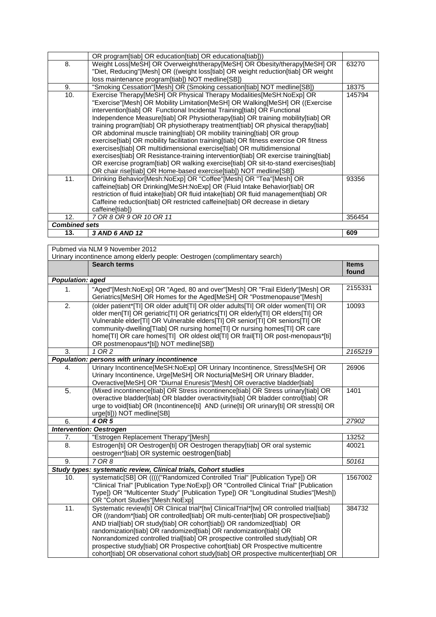| 13.                  | 3 AND 6 AND 12                                                                                                                                                              | 609    |
|----------------------|-----------------------------------------------------------------------------------------------------------------------------------------------------------------------------|--------|
| <b>Combined sets</b> |                                                                                                                                                                             |        |
| 12.                  | 7 OR 8 OR 9 OR 10 OR 11                                                                                                                                                     | 356454 |
|                      | caffeine[tiab])                                                                                                                                                             |        |
|                      | Caffeine reduction[tiab] OR restricted caffeine[tiab] OR decrease in dietary                                                                                                |        |
|                      | restriction of fluid intake[tiab] OR fluid intake[tiab] OR fluid management[tiab] OR                                                                                        |        |
|                      | caffeine[tiab] OR Drinking[MeSH:NoExp] OR (Fluid Intake Behavior[tiab] OR                                                                                                   |        |
| 11.                  | Drinking Behavior[Mesh:NoExp] OR "Coffee"[Mesh] OR "Tea"[Mesh] OR                                                                                                           | 93356  |
|                      | OR chair rise[tiab] OR Home-based exercise[tiab]) NOT medline[SB])                                                                                                          |        |
|                      | exercises[tiab] OR Resistance-training intervention[tiab] OR exercise training[tiab]<br>OR exercise program[tiab] OR walking exercise[tiab] OR sit-to-stand exercises[tiab] |        |
|                      | exercises[tiab] OR multidimensional exercise[tiab] OR multidimensional                                                                                                      |        |
|                      | exercise[tiab] OR mobility facilitation training[tiab] OR fitness exercise OR fitness                                                                                       |        |
|                      | OR abdominal muscle training [tiab] OR mobility training [tiab] OR group                                                                                                    |        |
|                      | training program[tiab] OR physiotherapy treatment[tiab] OR physical therapy[tiab]                                                                                           |        |
|                      | Independence Measure[tiab] OR Physiotherapy[tiab] OR training mobility[tiab] OR                                                                                             |        |
|                      | intervention[tiab] OR Functional Incidental Training[tiab] OR Functional                                                                                                    |        |
|                      | "Exercise"[Mesh] OR Mobility Limitation[MeSH] OR Walking[MeSH] OR ((Exercise                                                                                                |        |
| 10.                  | Exercise Therapy[MeSH] OR Physical Therapy Modalities[MeSH:NoExp] OR                                                                                                        | 145794 |
| 9.                   | "Smoking Cessation"[Mesh] OR (Smoking cessation[tiab] NOT medline[SB])                                                                                                      | 18375  |
|                      | loss maintenance program[tiab]) NOT medline[SB])                                                                                                                            |        |
| 8.                   | Weight Loss[MeSH] OR Overweight/therapy[MeSH] OR Obesity/therapy[MeSH] OR<br>"Diet, Reducing"[Mesh] OR ((weight loss[tiab] OR weight reduction[tiab] OR weight              | 63270  |
|                      | OR program[tiab] OR education[tiab] OR educationa[tiab]))                                                                                                                   |        |
|                      |                                                                                                                                                                             |        |

|                         | Pubmed via NLM 9 November 2012                                                                                                                                                                                                                                                                                                                                                                                                                                                                                                                                                            |              |
|-------------------------|-------------------------------------------------------------------------------------------------------------------------------------------------------------------------------------------------------------------------------------------------------------------------------------------------------------------------------------------------------------------------------------------------------------------------------------------------------------------------------------------------------------------------------------------------------------------------------------------|--------------|
|                         | Urinary incontinence among elderly people: Oestrogen (complimentary search)                                                                                                                                                                                                                                                                                                                                                                                                                                                                                                               |              |
|                         | <b>Search terms</b>                                                                                                                                                                                                                                                                                                                                                                                                                                                                                                                                                                       | <b>Items</b> |
|                         |                                                                                                                                                                                                                                                                                                                                                                                                                                                                                                                                                                                           | found        |
| <b>Population: aged</b> |                                                                                                                                                                                                                                                                                                                                                                                                                                                                                                                                                                                           |              |
| 1.                      | "Aged"[Mesh:NoExp] OR "Aged, 80 and over"[Mesh] OR "Frail Elderly"[Mesh] OR<br>Geriatrics[MeSH] OR Homes for the Aged[MeSH] OR "Postmenopause"[Mesh]                                                                                                                                                                                                                                                                                                                                                                                                                                      | 2155331      |
| 2.                      | (older patient*[TI] OR older adult[TI] OR older adults[TI] OR older women[TI] OR<br>older men[TI] OR geriatric[TI] OR geriatrics[TI] OR elderly[TI] OR elders[TI] OR<br>Vulnerable elder[TI] OR Vulnerable elders[TI] OR senior[TI] OR seniors[TI] OR<br>community-dwelling[Tlab] OR nursing home[TI] Or nursing homes[TI] OR care<br>home[TI] OR care homes[TI] OR oldest old[TI] OR frail[TI] OR post-menopaus*[ti]<br>OR postmenopaus*[ti]) NOT medline[SB])                                                                                                                           | 10093        |
| 3.                      | 1 OR 2                                                                                                                                                                                                                                                                                                                                                                                                                                                                                                                                                                                    | 2165219      |
|                         | Population: persons with urinary incontinence                                                                                                                                                                                                                                                                                                                                                                                                                                                                                                                                             |              |
| 4.                      | Urinary Incontinence[MeSH:NoExp] OR Urinary Incontinence, Stress[MeSH] OR<br>Urinary Incontinence, Urge[MeSH] OR Nocturia[MeSH] OR Urinary Bladder,<br>Overactive[MeSH] OR "Diurnal Enuresis"[Mesh] OR overactive bladder[tiab]                                                                                                                                                                                                                                                                                                                                                           | 26906        |
| $\overline{5}$ .        | (Mixed incontinence[tiab] OR Stress incontinence[tiab] OR Stress urinary[tiab] OR<br>overactive bladder[tiab] OR bladder overactivity[tiab] OR bladder control[tiab] OR<br>urge to void[tiab] OR (Incontinence[ti] AND (urine[ti] OR urinary[ti] OR stress[ti] OR<br>urge[ti])) NOT medline[SB]                                                                                                                                                                                                                                                                                           | 1401         |
| 6.                      | 4 OR 5                                                                                                                                                                                                                                                                                                                                                                                                                                                                                                                                                                                    | 27902        |
|                         | <b>Intervention: Oestrogen</b>                                                                                                                                                                                                                                                                                                                                                                                                                                                                                                                                                            |              |
| 7.                      | "Estrogen Replacement Therapy"[Mesh]                                                                                                                                                                                                                                                                                                                                                                                                                                                                                                                                                      | 13252        |
| 8.                      | Estrogen[ti] OR Oestrogen[ti] OR Oestrogen therapy[tiab] OR oral systemic<br>oestrogen*[tiab] OR systemic oestrogen[tiab]                                                                                                                                                                                                                                                                                                                                                                                                                                                                 | 40021        |
| 9.                      | 7 OR 8                                                                                                                                                                                                                                                                                                                                                                                                                                                                                                                                                                                    | 50161        |
|                         | Study types: systematic review, Clinical trials, Cohort studies                                                                                                                                                                                                                                                                                                                                                                                                                                                                                                                           |              |
| 10.                     | systematic[SB] OR ((((("Randomized Controlled Trial" [Publication Type]) OR<br>"Clinical Trial" [Publication Type:NoExp]) OR "Controlled Clinical Trial" [Publication<br>Type]) OR "Multicenter Study" [Publication Type]) OR "Longitudinal Studies"[Mesh])<br>OR "Cohort Studies"[Mesh:NoExp]                                                                                                                                                                                                                                                                                            | 1567002      |
| 11.                     | Systematic review[ti] OR Clinical trial*[tw] ClinicalTrial*[tw] OR controlled trial[tiab]<br>OR ((random*[tiab] OR controlled[tiab] OR multi-center[tiab] OR prospective[tiab])<br>AND trial[tiab] OR study[tiab] OR cohort[tiab]) OR randomized[tiab] OR<br>randomization[tiab] OR randomized[tiab] OR randomization[tiab] OR<br>Nonrandomized controlled trial[tiab] OR prospective controlled study[tiab] OR<br>prospective study[tiab] OR Prospective cohort[tiab] OR Prospective multicentre<br>cohort[tiab] OR observational cohort study[tiab] OR prospective multicenter[tiab] OR | 384732       |

cohort[tiab] OR observational cohort study[tiab] OR prospective multicenter[tiab] OR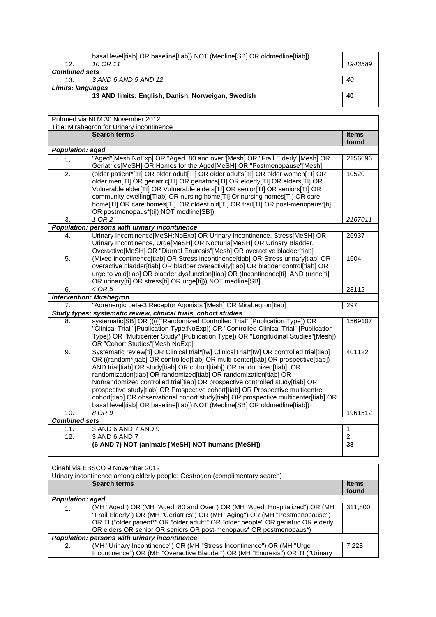|                      | basal level[tiab] OR baseline[tiab]) NOT (Medline[SB] OR oldmedline[tiab]) |         |
|----------------------|----------------------------------------------------------------------------|---------|
| 12.                  | 10 OR 11                                                                   | 1943589 |
| <b>Combined sets</b> |                                                                            |         |
| 13.                  | 3 AND 6 AND 9 AND 12                                                       | 40      |
| Limits: languages    |                                                                            |         |
|                      | 13 AND limits: English, Danish, Norweigan, Swedish                         | 40      |
|                      |                                                                            |         |

|                         | Pubmed via NLM 30 November 2012                                                                                                                                                                                                                                                                                                                                                                                                                                                                                                                                                                                                                                         |                |
|-------------------------|-------------------------------------------------------------------------------------------------------------------------------------------------------------------------------------------------------------------------------------------------------------------------------------------------------------------------------------------------------------------------------------------------------------------------------------------------------------------------------------------------------------------------------------------------------------------------------------------------------------------------------------------------------------------------|----------------|
|                         | Title: Mirabegron for Urinary incontinence                                                                                                                                                                                                                                                                                                                                                                                                                                                                                                                                                                                                                              |                |
|                         | <b>Search terms</b>                                                                                                                                                                                                                                                                                                                                                                                                                                                                                                                                                                                                                                                     | <b>Items</b>   |
|                         |                                                                                                                                                                                                                                                                                                                                                                                                                                                                                                                                                                                                                                                                         | found          |
| <b>Population: aged</b> |                                                                                                                                                                                                                                                                                                                                                                                                                                                                                                                                                                                                                                                                         |                |
| 1.                      | "Aged"[Mesh:NoExp] OR "Aged, 80 and over"[Mesh] OR "Frail Elderly"[Mesh] OR<br>Geriatrics[MeSH] OR Homes for the Aged[MeSH] OR "Postmenopause"[Mesh]                                                                                                                                                                                                                                                                                                                                                                                                                                                                                                                    | 2156696        |
| $\overline{2}$ .        | (older patient*[TI] OR older adult[TI] OR older adults[TI] OR older women[TI] OR<br>older men[TI] OR geriatric[TI] OR geriatrics[TI] OR elderly[TI] OR elders[TI] OR<br>Vulnerable elder[TI] OR Vulnerable elders[TI] OR senior[TI] OR seniors[TI] OR<br>community-dwelling[Tlab] OR nursing home[TI] Or nursing homes[TI] OR care<br>home[TI] OR care homes[TI] OR oldest old[TI] OR frail[TI] OR post-menopaus*[ti]<br>OR postmenopaus*[ti]) NOT medline[SB])                                                                                                                                                                                                         | 10520          |
| 3.                      | 1 OR 2                                                                                                                                                                                                                                                                                                                                                                                                                                                                                                                                                                                                                                                                  | 2167011        |
|                         | Population: persons with urinary incontinence                                                                                                                                                                                                                                                                                                                                                                                                                                                                                                                                                                                                                           |                |
| 4.                      | Urinary Incontinence[MeSH:NoExp] OR Urinary Incontinence, Stress[MeSH] OR<br>Urinary Incontinence, Urge[MeSH] OR Nocturia[MeSH] OR Urinary Bladder,<br>Overactive[MeSH] OR "Diurnal Enuresis"[Mesh] OR overactive bladder[tiab]                                                                                                                                                                                                                                                                                                                                                                                                                                         | 26937          |
| 5.                      | (Mixed incontinence[tiab] OR Stress incontinence[tiab] OR Stress urinary[tiab] OR<br>overactive bladder[tiab] OR bladder overactivity[tiab] OR bladder control[tiab] OR<br>urge to void[tiab] OR bladder dysfunction[tiab] OR (Incontinence[ti] AND (urine[ti]<br>OR urinary[ti] OR stress[ti] OR urge[ti])) NOT medline[SB]                                                                                                                                                                                                                                                                                                                                            | 1604           |
| 6.                      | 4 OR 5                                                                                                                                                                                                                                                                                                                                                                                                                                                                                                                                                                                                                                                                  | 28112          |
|                         | <b>Intervention: Mirabegron</b>                                                                                                                                                                                                                                                                                                                                                                                                                                                                                                                                                                                                                                         |                |
| 7.                      | "Adrenergic beta-3 Receptor Agonists"[Mesh] OR Mirabegron[tiab]                                                                                                                                                                                                                                                                                                                                                                                                                                                                                                                                                                                                         | 297            |
|                         | Study types: systematic review, clinical trials, cohort studies                                                                                                                                                                                                                                                                                                                                                                                                                                                                                                                                                                                                         |                |
| 8.                      | systematic[SB] OR ((((("Randomized Controlled Trial" [Publication Type]) OR<br>"Clinical Trial" [Publication Type:NoExp]) OR "Controlled Clinical Trial" [Publication<br>Type]) OR "Multicenter Study" [Publication Type]) OR "Longitudinal Studies"[Mesh])<br>OR "Cohort Studies"[Mesh:NoExp]                                                                                                                                                                                                                                                                                                                                                                          | 1569107        |
| $\overline{9}$ .        | Systematic review[ti] OR Clinical trial*[tw] ClinicalTrial*[tw] OR controlled trial[tiab]<br>OR ((random*[tiab] OR controlled[tiab] OR multi-center[tiab] OR prospective[tiab])<br>AND trial[tiab] OR study[tiab] OR cohort[tiab]) OR randomized[tiab] OR<br>randomization[tiab] OR randomized[tiab] OR randomization[tiab] OR<br>Nonrandomized controlled trial[tiab] OR prospective controlled study[tiab] OR<br>prospective study[tiab] OR Prospective cohort[tiab] OR Prospective multicentre<br>cohort[tiab] OR observational cohort study[tiab] OR prospective multicenter[tiab] OR<br>basal level[tiab] OR baseline[tiab]) NOT (Medline[SB] OR oldmedline[tiab]) | 401122         |
| 10.                     | 8 OR 9                                                                                                                                                                                                                                                                                                                                                                                                                                                                                                                                                                                                                                                                  | 1961512        |
| <b>Combined sets</b>    |                                                                                                                                                                                                                                                                                                                                                                                                                                                                                                                                                                                                                                                                         |                |
| 11.                     | 3 AND 6 AND 7 AND 9                                                                                                                                                                                                                                                                                                                                                                                                                                                                                                                                                                                                                                                     | $\mathbf{1}$   |
| 12.                     | 3 AND 6 AND 7                                                                                                                                                                                                                                                                                                                                                                                                                                                                                                                                                                                                                                                           | $\overline{2}$ |
|                         | (6 AND 7) NOT (animals [MeSH] NOT humans [MeSH])                                                                                                                                                                                                                                                                                                                                                                                                                                                                                                                                                                                                                        | 38             |

| Cinahl via EBSCO 9 November 2012              |                                                                                     |              |
|-----------------------------------------------|-------------------------------------------------------------------------------------|--------------|
|                                               | Urinary incontinence among elderly people: Oestrogen (complimentary search)         |              |
|                                               | <b>Search terms</b>                                                                 | <b>Items</b> |
|                                               |                                                                                     | found        |
| <b>Population: aged</b>                       |                                                                                     |              |
| 1.                                            | (MH "Aged") OR (MH "Aged, 80 and Over") OR (MH "Aged, Hospitalized") OR (MH         | 311,800      |
|                                               | "Frail Elderly") OR (MH "Geriatrics") OR (MH "Aging") OR (MH "Postmenopause")       |              |
|                                               | OR TI ("older patient*" OR "older adult*" OR "older people" OR geriatric OR elderly |              |
|                                               | OR elders OR senior OR seniors OR post-menopaus* OR postmenopaus*)                  |              |
| Population: persons with urinary incontinence |                                                                                     |              |
| 2.                                            | (MH "Urinary Incontinence") OR (MH "Stress Incontinence") OR (MH "Urge              | 7.228        |
|                                               | Incontinence") OR (MH "Overactive Bladder") OR (MH "Enuresis") OR TI ("Urinary      |              |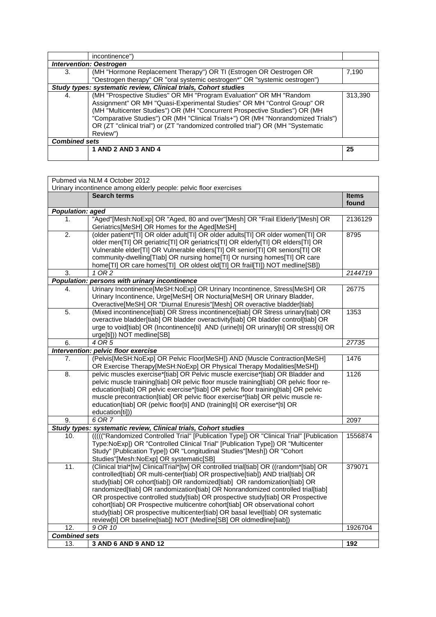|                      | incontinence")                                                                                                                                                                                                                                                                                                                                                                                                   |         |
|----------------------|------------------------------------------------------------------------------------------------------------------------------------------------------------------------------------------------------------------------------------------------------------------------------------------------------------------------------------------------------------------------------------------------------------------|---------|
|                      | <b>Intervention: Oestrogen</b>                                                                                                                                                                                                                                                                                                                                                                                   |         |
| 3.                   | (MH "Hormone Replacement Therapy") OR TI (Estrogen OR Oestrogen OR                                                                                                                                                                                                                                                                                                                                               | 7,190   |
|                      | "Oestrogen therapy" OR "oral systemic oestrogen*" OR "systemic oestrogen")                                                                                                                                                                                                                                                                                                                                       |         |
|                      | Study types: systematic review, Clinical trials, Cohort studies                                                                                                                                                                                                                                                                                                                                                  |         |
| 4.                   | (MH "Prospective Studies" OR MH "Program Evaluation" OR MH "Random<br>Assignment" OR MH "Quasi-Experimental Studies" OR MH "Control Group" OR<br>(MH "Multicenter Studies") OR (MH "Concurrent Prospective Studies") OR (MH<br>"Comparative Studies") OR (MH "Clinical Trials+") OR (MH "Nonrandomized Trials")<br>OR (ZT "clinical trial") or (ZT "randomized controlled trial") OR (MH "Systematic<br>Review") | 313,390 |
| <b>Combined sets</b> |                                                                                                                                                                                                                                                                                                                                                                                                                  |         |
|                      | 1 AND 2 AND 3 AND 4                                                                                                                                                                                                                                                                                                                                                                                              | 25      |
|                      |                                                                                                                                                                                                                                                                                                                                                                                                                  |         |

|                         | Pubmed via NLM 4 October 2012                                                                                                                                                                                                                                                                                                                                                                                                                                                                                                                                                                                                                                            |                       |
|-------------------------|--------------------------------------------------------------------------------------------------------------------------------------------------------------------------------------------------------------------------------------------------------------------------------------------------------------------------------------------------------------------------------------------------------------------------------------------------------------------------------------------------------------------------------------------------------------------------------------------------------------------------------------------------------------------------|-----------------------|
|                         | Urinary incontinence among elderly people: pelvic floor exercises                                                                                                                                                                                                                                                                                                                                                                                                                                                                                                                                                                                                        |                       |
|                         | <b>Search terms</b>                                                                                                                                                                                                                                                                                                                                                                                                                                                                                                                                                                                                                                                      | <b>Items</b><br>found |
| <b>Population: aged</b> |                                                                                                                                                                                                                                                                                                                                                                                                                                                                                                                                                                                                                                                                          |                       |
| 1.                      | "Aged"[Mesh:NoExp] OR "Aged, 80 and over"[Mesh] OR "Frail Elderly"[Mesh] OR<br>Geriatrics[MeSH] OR Homes for the Aged[MeSH]                                                                                                                                                                                                                                                                                                                                                                                                                                                                                                                                              | 2136129               |
| 2.                      | (older patient*[TI] OR older adult[TI] OR older adults[TI] OR older women[TI] OR<br>older men[TI] OR geriatric[TI] OR geriatrics[TI] OR elderly[TI] OR elders[TI] OR<br>Vulnerable elder[TI] OR Vulnerable elders[TI] OR senior[TI] OR seniors[TI] OR<br>community-dwelling[Tlab] OR nursing home[Tl] Or nursing homes[Tl] OR care<br>home[TI] OR care homes[TI] OR oldest old[TI] OR frail[TI]) NOT medline[SB])                                                                                                                                                                                                                                                        | 8795                  |
| 3.                      | 1 OR 2                                                                                                                                                                                                                                                                                                                                                                                                                                                                                                                                                                                                                                                                   | 2144719               |
|                         | Population: persons with urinary incontinence                                                                                                                                                                                                                                                                                                                                                                                                                                                                                                                                                                                                                            |                       |
| 4.                      | Urinary Incontinence[MeSH:NoExp] OR Urinary Incontinence, Stress[MeSH] OR<br>Urinary Incontinence, Urge[MeSH] OR Nocturia[MeSH] OR Urinary Bladder,<br>Overactive[MeSH] OR "Diurnal Enuresis"[Mesh] OR overactive bladder[tiab]                                                                                                                                                                                                                                                                                                                                                                                                                                          | 26775                 |
| 5.                      | (Mixed incontinence[tiab] OR Stress incontinence[tiab] OR Stress urinary[tiab] OR<br>overactive bladder[tiab] OR bladder overactivity[tiab] OR bladder control[tiab] OR<br>urge to void[tiab] OR (Incontinence[ti] AND (urine[ti] OR urinary[ti] OR stress[ti] OR<br>urge[ti])) NOT medline[SB]                                                                                                                                                                                                                                                                                                                                                                          | 1353                  |
| 6.                      | 4 OR 5                                                                                                                                                                                                                                                                                                                                                                                                                                                                                                                                                                                                                                                                   | 27735                 |
|                         | Intervention: pelvic floor exercise                                                                                                                                                                                                                                                                                                                                                                                                                                                                                                                                                                                                                                      |                       |
| 7.                      | (Pelvis[MeSH:NoExp] OR Pelvic Floor[MeSH]) AND (Muscle Contraction[MeSH]<br>OR Exercise Therapy[MeSH:NoExp] OR Physical Therapy Modalities[MeSH])                                                                                                                                                                                                                                                                                                                                                                                                                                                                                                                        | 1476                  |
| 8.                      | pelvic muscles exercise*[tiab] OR Pelvic muscle exercise*[tiab] OR Bladder and<br>pelvic muscle training[tiab] OR pelvic floor muscle training[tiab] OR pelvic floor re-<br>education[tiab] OR pelvic exercise*[tiab] OR pelvic floor training[tiab] OR pelvic<br>muscle precontraction[tiab] OR pelvic floor exercise*[tiab] OR pelvic muscle re-<br>education[tiab] OR (pelvic floor[ti] AND (training[ti] OR exercise*[ti] OR<br>education[ti]))                                                                                                                                                                                                                      | 1126                  |
| 9.                      | $6$ OR $7$                                                                                                                                                                                                                                                                                                                                                                                                                                                                                                                                                                                                                                                               | 2097                  |
|                         | Study types: systematic review, Clinical trials, Cohort studies                                                                                                                                                                                                                                                                                                                                                                                                                                                                                                                                                                                                          |                       |
| 10.                     | (((("Randomized Controlled Trial" [Publication Type]) OR "Clinical Trial" [Publication<br>Type:NoExpl) OR "Controlled Clinical Trial" [Publication Type]) OR "Multicenter<br>Study" [Publication Type]) OR "Longitudinal Studies"[Mesh]) OR "Cohort<br>Studies"[Mesh:NoExp] OR systematic[SB]                                                                                                                                                                                                                                                                                                                                                                            | 1556874               |
| 11.                     | (Clinical trial*[tw] ClinicalTrial*[tw] OR controlled trial[tiab] OR ((random*[tiab] OR<br>controlled[tiab] OR multi-center[tiab] OR prospective[tiab]) AND trial[tiab] OR<br>study[tiab] OR cohort[tiab]) OR randomized[tiab] OR randomization[tiab] OR<br>randomized[tiab] OR randomization[tiab] OR Nonrandomized controlled trial[tiab]<br>OR prospective controlled study[tiab] OR prospective study[tiab] OR Prospective<br>cohort[tiab] OR Prospective multicentre cohort[tiab] OR observational cohort<br>study[tiab] OR prospective multicenter[tiab] OR basal level[tiab] OR systematic<br>review[ti] OR baseline[tiab]) NOT (Medline[SB] OR oldmedline[tiab]) | 379071                |
| 12.                     | 9 OR 10                                                                                                                                                                                                                                                                                                                                                                                                                                                                                                                                                                                                                                                                  | 1926704               |
| <b>Combined sets</b>    |                                                                                                                                                                                                                                                                                                                                                                                                                                                                                                                                                                                                                                                                          |                       |
| 13.                     | <b>3 AND 6 AND 9 AND 12</b>                                                                                                                                                                                                                                                                                                                                                                                                                                                                                                                                                                                                                                              | 192                   |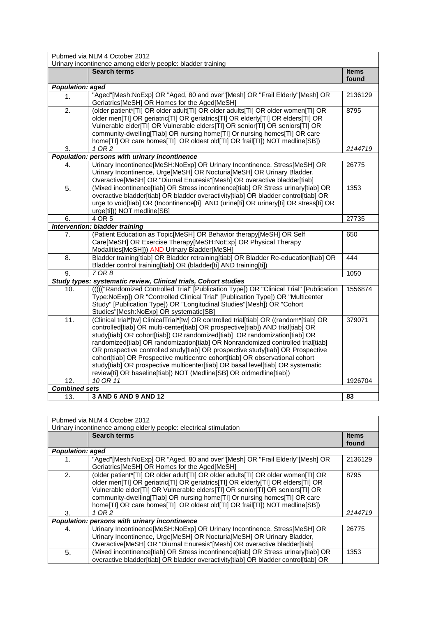|                                       | Pubmed via NLM 4 October 2012                                                                                                                                                                                                                                                                                                                                                                                                                                                                                                                                                                                                                                            |                       |
|---------------------------------------|--------------------------------------------------------------------------------------------------------------------------------------------------------------------------------------------------------------------------------------------------------------------------------------------------------------------------------------------------------------------------------------------------------------------------------------------------------------------------------------------------------------------------------------------------------------------------------------------------------------------------------------------------------------------------|-----------------------|
|                                       | Urinary incontinence among elderly people: bladder training                                                                                                                                                                                                                                                                                                                                                                                                                                                                                                                                                                                                              |                       |
|                                       | <b>Search terms</b>                                                                                                                                                                                                                                                                                                                                                                                                                                                                                                                                                                                                                                                      | <b>Items</b><br>found |
| <b>Population: aged</b>               |                                                                                                                                                                                                                                                                                                                                                                                                                                                                                                                                                                                                                                                                          |                       |
| 1.                                    | "Aged"[Mesh:NoExp] OR "Aged, 80 and over"[Mesh] OR "Frail Elderly"[Mesh] OR<br>Geriatrics[MeSH] OR Homes for the Aged[MeSH]                                                                                                                                                                                                                                                                                                                                                                                                                                                                                                                                              | 2136129               |
| $\overline{2}$ .                      | (older patient*[TI] OR older adult[TI] OR older adults[TI] OR older women[TI] OR<br>older men[TI] OR geriatric[TI] OR geriatrics[TI] OR elderly[TI] OR elders[TI] OR<br>Vulnerable elder[TI] OR Vulnerable elders[TI] OR senior[TI] OR seniors[TI] OR<br>community-dwelling[Tlab] OR nursing home[Tl] Or nursing homes[Tl] OR care<br>home[TI] OR care homes[TI] OR oldest old[TI] OR frail[TI]) NOT medline[SB])                                                                                                                                                                                                                                                        | 8795                  |
| 3.                                    | $1$ OR $2$                                                                                                                                                                                                                                                                                                                                                                                                                                                                                                                                                                                                                                                               | 2144719               |
|                                       | Population: persons with urinary incontinence                                                                                                                                                                                                                                                                                                                                                                                                                                                                                                                                                                                                                            |                       |
| 4.                                    | Urinary Incontinence[MeSH:NoExp] OR Urinary Incontinence, Stress[MeSH] OR<br>Urinary Incontinence, Urge[MeSH] OR Nocturia[MeSH] OR Urinary Bladder,<br>Overactive[MeSH] OR "Diurnal Enuresis"[Mesh] OR overactive bladder[tiab]                                                                                                                                                                                                                                                                                                                                                                                                                                          | 26775                 |
| $\overline{5}$ .                      | (Mixed incontinence[tiab] OR Stress incontinence[tiab] OR Stress urinary[tiab] OR<br>overactive bladder[tiab] OR bladder overactivity[tiab] OR bladder control[tiab] OR<br>urge to void[tiab] OR (Incontinence[ti] AND (urine[ti] OR urinary[ti] OR stress[ti] OR<br>urge[ti])) NOT medline[SB]                                                                                                                                                                                                                                                                                                                                                                          | 1353                  |
| 6.                                    | 4 OR 5                                                                                                                                                                                                                                                                                                                                                                                                                                                                                                                                                                                                                                                                   | 27735                 |
| <b>Intervention: bladder training</b> |                                                                                                                                                                                                                                                                                                                                                                                                                                                                                                                                                                                                                                                                          |                       |
| 7 <sub>1</sub>                        | (Patient Education as Topic[MeSH] OR Behavior therapy[MeSH] OR Self<br>Care[MeSH] OR Exercise Therapy[MeSH:NoExp] OR Physical Therapy<br>Modalities[MeSH])) AND Urinary Bladder[MeSH]                                                                                                                                                                                                                                                                                                                                                                                                                                                                                    | 650                   |
| 8.                                    | Bladder training[tiab] OR Bladder retraining[tiab] OR Bladder Re-education[tiab] OR<br>Bladder control training[tiab] OR (bladder[ti] AND training[ti])                                                                                                                                                                                                                                                                                                                                                                                                                                                                                                                  | 444                   |
| 9.                                    | 7 OR 8                                                                                                                                                                                                                                                                                                                                                                                                                                                                                                                                                                                                                                                                   | 1050                  |
|                                       | Study types: systematic review, Clinical trials, Cohort studies                                                                                                                                                                                                                                                                                                                                                                                                                                                                                                                                                                                                          |                       |
| 10.                                   | (((("Randomized Controlled Trial" [Publication Type]) OR "Clinical Trial" [Publication<br>Type:NoExp]) OR "Controlled Clinical Trial" [Publication Type]) OR "Multicenter<br>Study" [Publication Type]) OR "Longitudinal Studies"[Mesh]) OR "Cohort<br>Studies"[Mesh:NoExp] OR systematic[SB]                                                                                                                                                                                                                                                                                                                                                                            | 1556874               |
| 11.                                   | (Clinical trial*[tw] ClinicalTrial*[tw] OR controlled trial[tiab] OR ((random*[tiab] OR<br>controlled[tiab] OR multi-center[tiab] OR prospective[tiab]) AND trial[tiab] OR<br>study[tiab] OR cohort[tiab]) OR randomized[tiab] OR randomization[tiab] OR<br>randomized[tiab] OR randomization[tiab] OR Nonrandomized controlled trial[tiab]<br>OR prospective controlled study[tiab] OR prospective study[tiab] OR Prospective<br>cohort[tiab] OR Prospective multicentre cohort[tiab] OR observational cohort<br>study[tiab] OR prospective multicenter[tiab] OR basal level[tiab] OR systematic<br>review[ti] OR baseline[tiab]) NOT (Medline[SB] OR oldmedline[tiab]) | 379071                |
| 12.                                   | 10 OR 11                                                                                                                                                                                                                                                                                                                                                                                                                                                                                                                                                                                                                                                                 | 1926704               |
| <b>Combined sets</b>                  |                                                                                                                                                                                                                                                                                                                                                                                                                                                                                                                                                                                                                                                                          |                       |
| 13.                                   | 3 AND 6 AND 9 AND 12                                                                                                                                                                                                                                                                                                                                                                                                                                                                                                                                                                                                                                                     | 83                    |

| Pubmed via NLM 4 October 2012 |                                                                                    |              |
|-------------------------------|------------------------------------------------------------------------------------|--------------|
|                               | Urinary incontinence among elderly people: electrical stimulation                  |              |
|                               | <b>Search terms</b>                                                                | <b>Items</b> |
|                               |                                                                                    | found        |
| <b>Population: aged</b>       |                                                                                    |              |
| 1.                            | "Aged"[Mesh:NoExp] OR "Aged, 80 and over"[Mesh] OR "Frail Elderly"[Mesh] OR        | 2136129      |
|                               | Geriatrics[MeSH] OR Homes for the Aged[MeSH]                                       |              |
| 2.                            | (older patient*[TI] OR older adult[TI] OR older adults[TI] OR older women[TI] OR   | 8795         |
|                               | older men[TI] OR geriatric[TI] OR geriatrics[TI] OR elderly[TI] OR elders[TI] OR   |              |
|                               | Vulnerable elder[TI] OR Vulnerable elders[TI] OR senior[TI] OR seniors[TI] OR      |              |
|                               | community-dwelling [Tlab] OR nursing home [Tl] Or nursing homes [Tl] OR care       |              |
|                               | home[TI] OR care homes[TI] OR oldest old[TI] OR frail[TI]) NOT medline[SB])        |              |
| 3.                            | 1 OR 2                                                                             | 2144719      |
|                               | Population: persons with urinary incontinence                                      |              |
| 4.                            | Urinary Incontinence[MeSH:NoExp] OR Urinary Incontinence, Stress[MeSH] OR          | 26775        |
|                               | Urinary Incontinence, Urge[MeSH] OR Nocturia[MeSH] OR Urinary Bladder,             |              |
|                               | Overactive [MeSH] OR "Diurnal Enuresis" [Mesh] OR overactive bladder [tiab]        |              |
| 5.                            | (Mixed incontinence[tiab] OR Stress incontinence[tiab] OR Stress urinary[tiab] OR  | 1353         |
|                               | overactive bladder[tiab] OR bladder overactivity[tiab] OR bladder control[tiab] OR |              |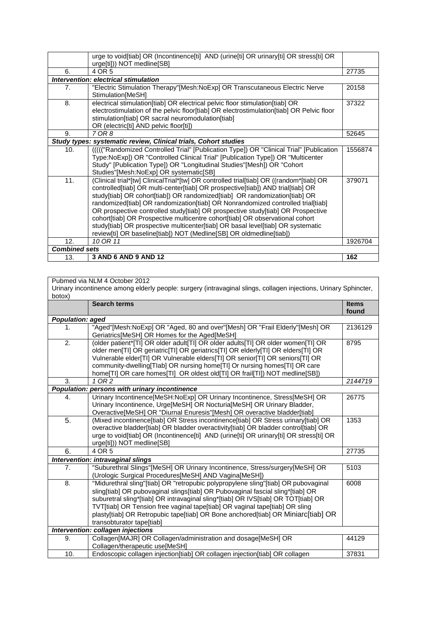|                      | urge to void[tiab] OR (Incontinence[ti] AND (urine[ti] OR urinary[ti] OR stress[ti] OR<br>urge[ti])) NOT medline[SB]                                                                                                                                                                                                                                                                                                                                                                                                                                                                                                                                                     |         |
|----------------------|--------------------------------------------------------------------------------------------------------------------------------------------------------------------------------------------------------------------------------------------------------------------------------------------------------------------------------------------------------------------------------------------------------------------------------------------------------------------------------------------------------------------------------------------------------------------------------------------------------------------------------------------------------------------------|---------|
| 6.                   | 4 OR 5                                                                                                                                                                                                                                                                                                                                                                                                                                                                                                                                                                                                                                                                   | 27735   |
|                      | Intervention: electrical stimulation                                                                                                                                                                                                                                                                                                                                                                                                                                                                                                                                                                                                                                     |         |
| 7.                   | "Electric Stimulation Therapy"[Mesh:NoExp] OR Transcutaneous Electric Nerve<br>Stimulation[MeSH]                                                                                                                                                                                                                                                                                                                                                                                                                                                                                                                                                                         | 20158   |
| 8.                   | electrical stimulation[tiab] OR electrical pelvic floor stimulation[tiab] OR<br>electrostimulation of the pelvic floor[tiab] OR electrostimulation[tiab] OR Pelvic floor<br>stimulation[tiab] OR sacral neuromodulation[tiab]<br>OR (electric[ti] AND pelvic floor[ti])                                                                                                                                                                                                                                                                                                                                                                                                  | 37322   |
| 9.                   | 7 OR 8                                                                                                                                                                                                                                                                                                                                                                                                                                                                                                                                                                                                                                                                   | 52645   |
|                      | Study types: systematic review, Clinical trials, Cohort studies                                                                                                                                                                                                                                                                                                                                                                                                                                                                                                                                                                                                          |         |
| 10.                  | (((("Randomized Controlled Trial" [Publication Type]) OR "Clinical Trial" [Publication<br>Type:NoExp]) OR "Controlled Clinical Trial" [Publication Type]) OR "Multicenter<br>Study" [Publication Type]) OR "Longitudinal Studies"[Mesh]) OR "Cohort<br>Studies"[Mesh:NoExp] OR systematic[SB]                                                                                                                                                                                                                                                                                                                                                                            | 1556874 |
| 11.                  | (Clinical trial*[tw] ClinicalTrial*[tw] OR controlled trial[tiab] OR ((random*[tiab] OR<br>controlled[tiab] OR multi-center[tiab] OR prospective[tiab]) AND trial[tiab] OR<br>study[tiab] OR cohort[tiab]) OR randomized[tiab] OR randomization[tiab] OR<br>randomized[tiab] OR randomization[tiab] OR Nonrandomized controlled trial[tiab]<br>OR prospective controlled study[tiab] OR prospective study[tiab] OR Prospective<br>cohort[tiab] OR Prospective multicentre cohort[tiab] OR observational cohort<br>study[tiab] OR prospective multicenter[tiab] OR basal level[tiab] OR systematic<br>review[ti] OR baseline[tiab]) NOT (Medline[SB] OR oldmedline[tiab]) | 379071  |
| 12.                  | 10 OR 11                                                                                                                                                                                                                                                                                                                                                                                                                                                                                                                                                                                                                                                                 | 1926704 |
| <b>Combined sets</b> |                                                                                                                                                                                                                                                                                                                                                                                                                                                                                                                                                                                                                                                                          |         |
| 13.                  | 3 AND 6 AND 9 AND 12                                                                                                                                                                                                                                                                                                                                                                                                                                                                                                                                                                                                                                                     | 162     |

Pubmed via NLM 4 October 2012

Urinary incontinence among elderly people: surgery (intravaginal slings, collagen injections, Urinary Sphincter, botox)

|                                   | <b>Search terms</b>                                                                                                                                                                                                                                                                                                                                                                                                                                       | <b>Items</b><br>found |
|-----------------------------------|-----------------------------------------------------------------------------------------------------------------------------------------------------------------------------------------------------------------------------------------------------------------------------------------------------------------------------------------------------------------------------------------------------------------------------------------------------------|-----------------------|
| <b>Population: aged</b>           |                                                                                                                                                                                                                                                                                                                                                                                                                                                           |                       |
| 1.                                | "Aged"[Mesh:NoExp] OR "Aged, 80 and over"[Mesh] OR "Frail Elderly"[Mesh] OR<br>Geriatrics[MeSH] OR Homes for the Aged[MeSH]                                                                                                                                                                                                                                                                                                                               | 2136129               |
| $\overline{2}$ .                  | (older patient*[TI] OR older adult[TI] OR older adults[TI] OR older women[TI] OR<br>older men[TI] OR geriatric[TI] OR geriatrics[TI] OR elderly[TI] OR elders[TI] OR<br>Vulnerable elder[TI] OR Vulnerable elders[TI] OR senior[TI] OR seniors[TI] OR<br>community-dwelling[Tlab] OR nursing home[TI] Or nursing homes[TI] OR care<br>home[TI] OR care homes[TI] OR oldest old[TI] OR frail[TI]) NOT medline[SB])                                         | 8795                  |
| 3.                                | 1 OR 2                                                                                                                                                                                                                                                                                                                                                                                                                                                    | 2144719               |
|                                   | Population: persons with urinary incontinence                                                                                                                                                                                                                                                                                                                                                                                                             |                       |
| $\overline{4}$ .                  | Urinary Incontinence[MeSH:NoExp] OR Urinary Incontinence, Stress[MeSH] OR<br>Urinary Incontinence, Urge[MeSH] OR Nocturia[MeSH] OR Urinary Bladder,<br>Overactive[MeSH] OR "Diurnal Enuresis"[Mesh] OR overactive bladder[tiab]                                                                                                                                                                                                                           | 26775                 |
| 5.                                | (Mixed incontinence[tiab] OR Stress incontinence[tiab] OR Stress urinary[tiab] OR<br>overactive bladder[tiab] OR bladder overactivity[tiab] OR bladder control[tiab] OR<br>urge to void[tiab] OR (Incontinence[ti] AND (urine[ti] OR urinary[ti] OR stress[ti] OR<br>urge[ti])) NOT medline[SB]                                                                                                                                                           | 1353                  |
| 6.                                | 4 OR 5                                                                                                                                                                                                                                                                                                                                                                                                                                                    | 27735                 |
|                                   | Intervention: intravaginal slings                                                                                                                                                                                                                                                                                                                                                                                                                         |                       |
| 7.                                | "Suburethral Slings"[MeSH] OR Urinary Incontinence, Stress/surgery[MeSH] OR<br>(Urologic Surgical Procedures[MeSH] AND Vagina[MeSH])                                                                                                                                                                                                                                                                                                                      | 5103                  |
| 8.                                | "Midurethral sling"[tiab] OR "retropubic polypropylene sling"[tiab] OR pubovaginal<br>sling[tiab] OR pubovaginal slings[tiab] OR Pubovaginal fascial sling*[tiab] OR<br>suburetral sling*[tiab] OR intravaginal sling*[tiab] OR IVS[tiab] OR TOT[tiab] OR<br>TVT[tiab] OR Tension free vaginal tape[tiab] OR vaginal tape[tiab] OR sling<br>plasty[tiab] OR Retropubic tape[tiab] OR Bone anchored[tiab] OR Miniarc[tiab] OR<br>transobturator tape[tiab] | 6008                  |
| Intervention: collagen injections |                                                                                                                                                                                                                                                                                                                                                                                                                                                           |                       |
| 9.                                | Collagen[MAJR] OR Collagen/administration and dosage[MeSH] OR<br>Collagen/therapeutic use[MeSH]                                                                                                                                                                                                                                                                                                                                                           | 44129                 |
| 10.                               | Endoscopic collagen injection[tiab] OR collagen injection[tiab] OR collagen                                                                                                                                                                                                                                                                                                                                                                               | 37831                 |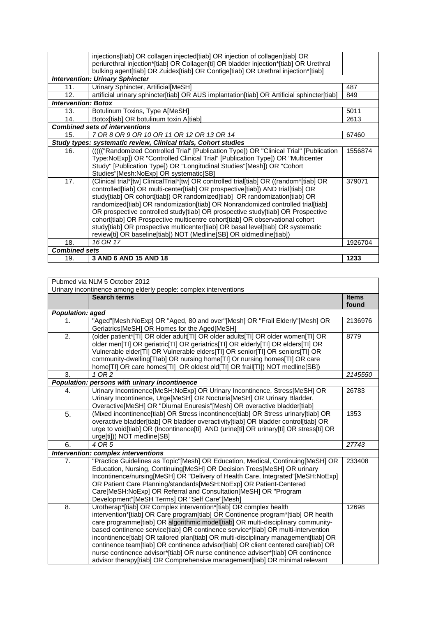|                            | injections [tiab] OR collagen injected [tiab] OR injection of collagen [tiab] OR                                                                                           |         |
|----------------------------|----------------------------------------------------------------------------------------------------------------------------------------------------------------------------|---------|
|                            | periurethral injection*[tiab] OR Collagen[ti] OR bladder injection*[tiab] OR Urethral<br>bulking agent[tiab] OR Zuidex[tiab] OR Contige[tiab] OR Urethral injection*[tiab] |         |
|                            | <b>Intervention: Urinary Sphincter</b>                                                                                                                                     |         |
|                            |                                                                                                                                                                            |         |
| 11.                        | Urinary Sphincter, Artificial[MeSH]                                                                                                                                        | 487     |
| 12.                        | artificial urinary sphincter[tiab] OR AUS implantation[tiab] OR Artificial sphincter[tiab]                                                                                 | 849     |
| <b>Intervention: Botox</b> |                                                                                                                                                                            |         |
| 13.                        | Botulinum Toxins, Type A[MeSH]                                                                                                                                             | 5011    |
| 14.                        | Botox[tiab] OR botulinum toxin A[tiab]                                                                                                                                     | 2613    |
|                            | <b>Combined sets of interventions</b>                                                                                                                                      |         |
| 15.                        | 7 OR 8 OR 9 OR 10 OR 11 OR 12 OR 13 OR 14                                                                                                                                  | 67460   |
|                            | Study types: systematic review, Clinical trials, Cohort studies                                                                                                            |         |
| 16.                        | (((("Randomized Controlled Trial" [Publication Type]) OR "Clinical Trial" [Publication                                                                                     | 1556874 |
|                            | Type:NoExp]) OR "Controlled Clinical Trial" [Publication Type]) OR "Multicenter                                                                                            |         |
|                            | Study" [Publication Type]) OR "Longitudinal Studies"[Mesh]) OR "Cohort                                                                                                     |         |
|                            | Studies"[Mesh:NoExp] OR systematic[SB]                                                                                                                                     |         |
| 17.                        | (Clinical trial*[tw] ClinicalTrial*[tw] OR controlled trial[tiab] OR ((random*[tiab] OR                                                                                    | 379071  |
|                            | controlled[tiab] OR multi-center[tiab] OR prospective[tiab]) AND trial[tiab] OR                                                                                            |         |
|                            |                                                                                                                                                                            |         |
|                            | study[tiab] OR cohort[tiab]) OR randomized[tiab] OR randomization[tiab] OR                                                                                                 |         |
|                            | randomized[tiab] OR randomization[tiab] OR Nonrandomized controlled trial[tiab]                                                                                            |         |
|                            | OR prospective controlled study[tiab] OR prospective study[tiab] OR Prospective                                                                                            |         |
|                            | cohort[tiab] OR Prospective multicentre cohort[tiab] OR observational cohort                                                                                               |         |
|                            | study[tiab] OR prospective multicenter[tiab] OR basal level[tiab] OR systematic                                                                                            |         |
|                            | review[ti] OR baseline[tiab]) NOT (Medline[SB] OR oldmedline[tiab])                                                                                                        |         |
| 18.                        | 16 OR 17                                                                                                                                                                   | 1926704 |
| <b>Combined sets</b>       |                                                                                                                                                                            |         |
| 19.                        | 3 AND 6 AND 15 AND 18                                                                                                                                                      | 1233    |

| Pubmed via NLM 5 October 2012<br>Urinary incontinence among elderly people: complex interventions |                                                                                                                                                                                                                                                                                                                                                                                                                                                                                                                                                                                                                                                                                |                       |
|---------------------------------------------------------------------------------------------------|--------------------------------------------------------------------------------------------------------------------------------------------------------------------------------------------------------------------------------------------------------------------------------------------------------------------------------------------------------------------------------------------------------------------------------------------------------------------------------------------------------------------------------------------------------------------------------------------------------------------------------------------------------------------------------|-----------------------|
|                                                                                                   | <b>Search terms</b>                                                                                                                                                                                                                                                                                                                                                                                                                                                                                                                                                                                                                                                            | <b>Items</b><br>found |
| <b>Population: aged</b>                                                                           |                                                                                                                                                                                                                                                                                                                                                                                                                                                                                                                                                                                                                                                                                |                       |
| 1.                                                                                                | "Aged"[Mesh:NoExp] OR "Aged, 80 and over"[Mesh] OR "Frail Elderly"[Mesh] OR<br>Geriatrics[MeSH] OR Homes for the Aged[MeSH]                                                                                                                                                                                                                                                                                                                                                                                                                                                                                                                                                    | 2136976               |
| 2.                                                                                                | (older patient*[TI] OR older adult[TI] OR older adults[TI] OR older women[TI] OR<br>older men[TI] OR geriatric[TI] OR geriatrics[TI] OR elderly[TI] OR elders[TI] OR<br>Vulnerable elder[TI] OR Vulnerable elders[TI] OR senior[TI] OR seniors[TI] OR<br>community-dwelling[Tlab] OR nursing home[Tl] Or nursing homes[Tl] OR care<br>home[TI] OR care homes[TI] OR oldest old[TI] OR frail[TI]) NOT medline[SB])                                                                                                                                                                                                                                                              | 8779                  |
| 3.                                                                                                | 1 OR 2                                                                                                                                                                                                                                                                                                                                                                                                                                                                                                                                                                                                                                                                         | 2145550               |
|                                                                                                   | Population: persons with urinary incontinence                                                                                                                                                                                                                                                                                                                                                                                                                                                                                                                                                                                                                                  |                       |
| 4.                                                                                                | Urinary Incontinence[MeSH:NoExp] OR Urinary Incontinence, Stress[MeSH] OR<br>Urinary Incontinence, Urge[MeSH] OR Nocturia[MeSH] OR Urinary Bladder,<br>Overactive[MeSH] OR "Diurnal Enuresis"[Mesh] OR overactive bladder[tiab]                                                                                                                                                                                                                                                                                                                                                                                                                                                | 26783                 |
| $\overline{5}$ .                                                                                  | (Mixed incontinence[tiab] OR Stress incontinence[tiab] OR Stress urinary[tiab] OR<br>overactive bladder[tiab] OR bladder overactivity[tiab] OR bladder control[tiab] OR<br>urge to void[tiab] OR (Incontinence[ti] AND (urine[ti] OR urinary[ti] OR stress[ti] OR<br>urge[ti])) NOT medline[SB]                                                                                                                                                                                                                                                                                                                                                                                | 1353                  |
| 6.                                                                                                | 4 OR 5                                                                                                                                                                                                                                                                                                                                                                                                                                                                                                                                                                                                                                                                         | 27743                 |
|                                                                                                   | <b>Intervention: complex interventions</b>                                                                                                                                                                                                                                                                                                                                                                                                                                                                                                                                                                                                                                     |                       |
| 7.                                                                                                | "Practice Guidelines as Topic"[Mesh] OR Education, Medical, Continuing[MeSH] OR<br>Education, Nursing, Continuing[MeSH] OR Decision Trees[MeSH] OR urinary<br>Incontinence/nursing[MeSH] OR "Delivery of Health Care, Integrated"[MeSH:NoExp]<br>OR Patient Care Planning/standards[MeSH:NoExp] OR Patient-Centered<br>Care[MeSH:NoExp] OR Referral and Consultation[MeSH] OR "Program<br>Development"[MeSH Terms] OR "Self Care"[Mesh]                                                                                                                                                                                                                                        | 233408                |
| 8.                                                                                                | Urotherap*[tiab] OR Complex intervention*[tiab] OR complex health<br>intervention*[tiab] OR Care program[tiab] OR Continence program*[tiab] OR health<br>care programme[tiab] OR algorithmic model[tiab] OR multi-disciplinary community-<br>based continence service[tiab] OR continence service*[tiab] OR multi-intervention<br>incontinence[tiab] OR tailored plan[tiab] OR multi-disciplinary management[tiab] OR<br>continence team[tiab] OR continence advisor[tiab] OR client centered care[tiab] OR<br>nurse continence advisor*[tiab] OR nurse continence adviser*[tiab] OR continence<br>advisor therapy[tiab] OR Comprehensive management[tiab] OR minimal relevant | 12698                 |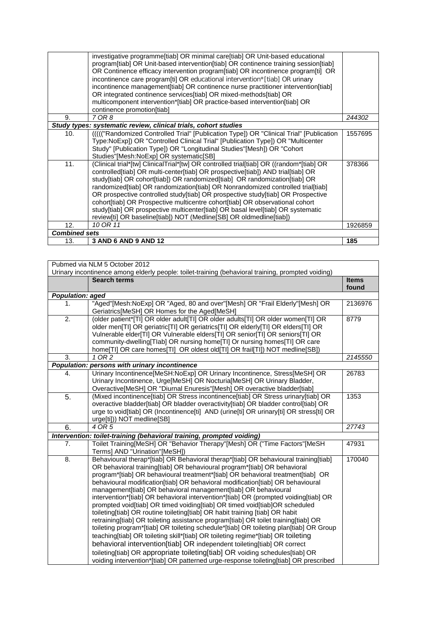|                      | investigative programme[tiab] OR minimal care[tiab] OR Unit-based educational<br>program[tiab] OR Unit-based intervention[tiab] OR continence training session[tiab]<br>OR Continence efficacy intervention program[tiab] OR incontinence program[ti] OR<br>incontinence care program[ti] OR educational intervention*[tiab] OR urinary<br>incontinence management[tiab] OR continence nurse practitioner intervention[tiab]<br>OR integrated continence services[tiab] OR mixed-methods[tiab] OR<br>multicomponent intervention*[tiab] OR practice-based intervention[tiab] OR<br>continence promotion[tiab]                                                            |         |
|----------------------|--------------------------------------------------------------------------------------------------------------------------------------------------------------------------------------------------------------------------------------------------------------------------------------------------------------------------------------------------------------------------------------------------------------------------------------------------------------------------------------------------------------------------------------------------------------------------------------------------------------------------------------------------------------------------|---------|
| 9.                   | 7 OR 8                                                                                                                                                                                                                                                                                                                                                                                                                                                                                                                                                                                                                                                                   | 244302  |
|                      | Study types: systematic review, clinical trials, cohort studies                                                                                                                                                                                                                                                                                                                                                                                                                                                                                                                                                                                                          |         |
| 10.                  | (((("Randomized Controlled Trial" [Publication Type]) OR "Clinical Trial" [Publication<br>Type:NoExp]) OR "Controlled Clinical Trial" [Publication Type]) OR "Multicenter<br>Study" [Publication Type]) OR "Longitudinal Studies"[Mesh]) OR "Cohort<br>Studies"[Mesh:NoExp] OR systematic[SB]                                                                                                                                                                                                                                                                                                                                                                            | 1557695 |
| 11.                  | (Clinical trial*[tw] ClinicalTrial*[tw] OR controlled trial[tiab] OR ((random*[tiab] OR<br>controlled[tiab] OR multi-center[tiab] OR prospective[tiab]) AND trial[tiab] OR<br>study[tiab] OR cohort[tiab]) OR randomized[tiab] OR randomization[tiab] OR<br>randomized[tiab] OR randomization[tiab] OR Nonrandomized controlled trial[tiab]<br>OR prospective controlled study[tiab] OR prospective study[tiab] OR Prospective<br>cohort[tiab] OR Prospective multicentre cohort[tiab] OR observational cohort<br>study[tiab] OR prospective multicenter[tiab] OR basal level[tiab] OR systematic<br>review[ti] OR baseline[tiab]) NOT (Medline[SB] OR oldmedline[tiab]) | 378366  |
| 12.                  | 10 OR 11                                                                                                                                                                                                                                                                                                                                                                                                                                                                                                                                                                                                                                                                 | 1926859 |
| <b>Combined sets</b> |                                                                                                                                                                                                                                                                                                                                                                                                                                                                                                                                                                                                                                                                          |         |
| 13.                  | 3 AND 6 AND 9 AND 12                                                                                                                                                                                                                                                                                                                                                                                                                                                                                                                                                                                                                                                     | 185     |

| Pubmed via NLM 5 October 2012 |                                                                                                                                                                                                                                                                                                                                                                                                                                                                                                                                                                                                                                                                                                                                                                                                                                                                                                                                                                                                                                                                                                                                                                                    |              |
|-------------------------------|------------------------------------------------------------------------------------------------------------------------------------------------------------------------------------------------------------------------------------------------------------------------------------------------------------------------------------------------------------------------------------------------------------------------------------------------------------------------------------------------------------------------------------------------------------------------------------------------------------------------------------------------------------------------------------------------------------------------------------------------------------------------------------------------------------------------------------------------------------------------------------------------------------------------------------------------------------------------------------------------------------------------------------------------------------------------------------------------------------------------------------------------------------------------------------|--------------|
|                               | Urinary incontinence among elderly people: toilet-training (behavioral training, prompted voiding)                                                                                                                                                                                                                                                                                                                                                                                                                                                                                                                                                                                                                                                                                                                                                                                                                                                                                                                                                                                                                                                                                 |              |
|                               | <b>Search terms</b>                                                                                                                                                                                                                                                                                                                                                                                                                                                                                                                                                                                                                                                                                                                                                                                                                                                                                                                                                                                                                                                                                                                                                                | <b>Items</b> |
|                               |                                                                                                                                                                                                                                                                                                                                                                                                                                                                                                                                                                                                                                                                                                                                                                                                                                                                                                                                                                                                                                                                                                                                                                                    | found        |
| <b>Population: aged</b>       |                                                                                                                                                                                                                                                                                                                                                                                                                                                                                                                                                                                                                                                                                                                                                                                                                                                                                                                                                                                                                                                                                                                                                                                    |              |
| 1.                            | "Aged"[Mesh:NoExp] OR "Aged, 80 and over"[Mesh] OR "Frail Elderly"[Mesh] OR<br>Geriatrics[MeSH] OR Homes for the Aged[MeSH]                                                                                                                                                                                                                                                                                                                                                                                                                                                                                                                                                                                                                                                                                                                                                                                                                                                                                                                                                                                                                                                        | 2136976      |
| 2.                            | (older patient*[TI] OR older adult[TI] OR older adults[TI] OR older women[TI] OR<br>older men[TI] OR geriatric[TI] OR geriatrics[TI] OR elderly[TI] OR elders[TI] OR<br>Vulnerable elder[TI] OR Vulnerable elders[TI] OR senior[TI] OR seniors[TI] OR<br>community-dwelling[Tlab] OR nursing home[TI] Or nursing homes[TI] OR care<br>home[TI] OR care homes[TI] OR oldest old[TI] OR frail[TI]) NOT medline[SB])                                                                                                                                                                                                                                                                                                                                                                                                                                                                                                                                                                                                                                                                                                                                                                  | 8779         |
| 3.                            | $1$ OR $2$                                                                                                                                                                                                                                                                                                                                                                                                                                                                                                                                                                                                                                                                                                                                                                                                                                                                                                                                                                                                                                                                                                                                                                         | 2145550      |
|                               | Population: persons with urinary incontinence                                                                                                                                                                                                                                                                                                                                                                                                                                                                                                                                                                                                                                                                                                                                                                                                                                                                                                                                                                                                                                                                                                                                      |              |
| 4.                            | Urinary Incontinence[MeSH:NoExp] OR Urinary Incontinence, Stress[MeSH] OR<br>Urinary Incontinence, Urge[MeSH] OR Nocturia[MeSH] OR Urinary Bladder,<br>Overactive[MeSH] OR "Diurnal Enuresis"[Mesh] OR overactive bladder[tiab]                                                                                                                                                                                                                                                                                                                                                                                                                                                                                                                                                                                                                                                                                                                                                                                                                                                                                                                                                    | 26783        |
| 5.                            | (Mixed incontinence[tiab] OR Stress incontinence[tiab] OR Stress urinary[tiab] OR<br>overactive bladder[tiab] OR bladder overactivity[tiab] OR bladder control[tiab] OR<br>urge to void[tiab] OR (Incontinence[ti] AND (urine[ti] OR urinary[ti] OR stress[ti] OR<br>urge[ti])) NOT medline[SB]                                                                                                                                                                                                                                                                                                                                                                                                                                                                                                                                                                                                                                                                                                                                                                                                                                                                                    | 1353         |
| 6.                            | 4 OR 5                                                                                                                                                                                                                                                                                                                                                                                                                                                                                                                                                                                                                                                                                                                                                                                                                                                                                                                                                                                                                                                                                                                                                                             | 27743        |
|                               | Intervention: toilet-training (behavioral training, prompted voiding)                                                                                                                                                                                                                                                                                                                                                                                                                                                                                                                                                                                                                                                                                                                                                                                                                                                                                                                                                                                                                                                                                                              |              |
| 7.                            | Toilet Training[MeSH] OR "Behavior Therapy"[Mesh] OR ("Time Factors"[MeSH<br>Terms] AND "Urination"[MeSH])                                                                                                                                                                                                                                                                                                                                                                                                                                                                                                                                                                                                                                                                                                                                                                                                                                                                                                                                                                                                                                                                         | 47931        |
| $\overline{8}$ .              | Behavioural therap*[tiab] OR Behavioral therap*[tiab] OR behavioural training[tiab]<br>OR behavioral training[tiab] OR behavioural program*[tiab] OR behavioral<br>program*[tiab] OR behavioural treatment*[tiab] OR behavioral treatment[tiab] OR<br>behavioural modification[tiab] OR behavioral modification[tiab] OR behavioural<br>management[tiab] OR behavioral management[tiab] OR behavioural<br>intervention*[tiab] OR behavioral intervention*[tiab] OR (prompted voiding[tiab] OR<br>prompted void[tiab] OR timed voiding[tiab] OR timed void[tiab]OR scheduled<br>toileting[tiab] OR routine toileting[tiab] OR habit training [tiab] OR habit<br>retraining[tiab] OR toileting assistance program[tiab] OR toilet training[tiab] OR<br>toileting program*[tiab] OR toileting schedule*[tiab] OR toileting plan[tiab] OR Group<br>teaching[tiab] OR toileting skill*[tiab] OR toileting regime*[tiab] OR toileting<br>behavioral intervention[tiab] OR independent toileting[tiab] OR correct<br>toileting[tiab] OR appropriate toileting[tiab] OR voiding schedules[tiab] OR<br>voiding intervention*[tiab] OR patterned urge-response toileting[tiab] OR prescribed | 170040       |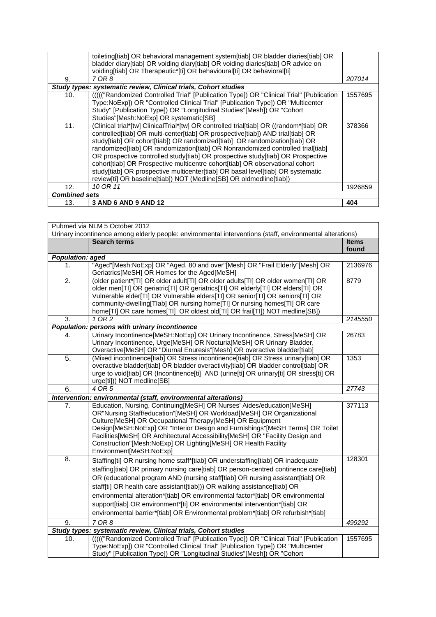|                      | toileting[tiab] OR behavioral management system[tiab] OR bladder diaries[tiab] OR       |         |
|----------------------|-----------------------------------------------------------------------------------------|---------|
|                      | bladder diary[tiab] OR voiding diary[tiab] OR voiding diaries[tiab] OR advice on        |         |
|                      | voiding[tiab] OR Therapeutic*[ti] OR behavioural[ti] OR behavioral[ti]                  |         |
| 9.                   | 7 OR 8                                                                                  | 207014  |
|                      | Study types: systematic review, Clinical trials, Cohort studies                         |         |
| 10.                  | (((("Randomized Controlled Trial" [Publication Type]) OR "Clinical Trial" [Publication] | 1557695 |
|                      | Type:NoExp]) OR "Controlled Clinical Trial" [Publication Type]) OR "Multicenter         |         |
|                      | Study" [Publication Type]) OR "Longitudinal Studies"[Mesh]) OR "Cohort                  |         |
|                      | Studies"[Mesh:NoExp] OR systematic[SB]                                                  |         |
| 11.                  | (Clinical trial*[tw] ClinicalTrial*[tw] OR controlled trial[tiab] OR ((random*[tiab] OR | 378366  |
|                      | controlled[tiab] OR multi-center[tiab] OR prospective[tiab]) AND trial[tiab] OR         |         |
|                      | study[tiab] OR cohort[tiab]) OR randomized[tiab] OR randomization[tiab] OR              |         |
|                      | randomized[tiab] OR randomization[tiab] OR Nonrandomized controlled trial[tiab]         |         |
|                      | OR prospective controlled study[tiab] OR prospective study[tiab] OR Prospective         |         |
|                      | cohort[tiab] OR Prospective multicentre cohort[tiab] OR observational cohort            |         |
|                      | study[tiab] OR prospective multicenter[tiab] OR basal level[tiab] OR systematic         |         |
|                      | review[ti] OR baseline[tiab]) NOT (Medline[SB] OR oldmedline[tiab])                     |         |
| 12.                  | 10 OR 11                                                                                | 1926859 |
| <b>Combined sets</b> |                                                                                         |         |
| 13.                  | 3 AND 6 AND 9 AND 12                                                                    | 404     |
|                      |                                                                                         |         |

| Pubmed via NLM 5 October 2012                                                                             |                                                                                                                                                                                                                                                                                                                                                                                                                                                                                                                                                                                           |                       |
|-----------------------------------------------------------------------------------------------------------|-------------------------------------------------------------------------------------------------------------------------------------------------------------------------------------------------------------------------------------------------------------------------------------------------------------------------------------------------------------------------------------------------------------------------------------------------------------------------------------------------------------------------------------------------------------------------------------------|-----------------------|
| Urinary incontinence among elderly people: environmental interventions (staff, environmental alterations) |                                                                                                                                                                                                                                                                                                                                                                                                                                                                                                                                                                                           |                       |
|                                                                                                           | <b>Search terms</b>                                                                                                                                                                                                                                                                                                                                                                                                                                                                                                                                                                       | <b>Items</b><br>found |
| Population: aged                                                                                          |                                                                                                                                                                                                                                                                                                                                                                                                                                                                                                                                                                                           |                       |
| 1.                                                                                                        | "Aged"[Mesh:NoExp] OR "Aged, 80 and over"[Mesh] OR "Frail Elderly"[Mesh] OR<br>Geriatrics[MeSH] OR Homes for the Aged[MeSH]                                                                                                                                                                                                                                                                                                                                                                                                                                                               | 2136976               |
| $\overline{2}$ .                                                                                          | (older patient*[TI] OR older adult[TI] OR older adults[TI] OR older women[TI] OR<br>older men[TI] OR geriatric[TI] OR geriatrics[TI] OR elderly[TI] OR elders[TI] OR<br>Vulnerable elder[TI] OR Vulnerable elders[TI] OR senior[TI] OR seniors[TI] OR<br>community-dwelling[Tlab] OR nursing home[TI] Or nursing homes[TI] OR care<br>home[TI] OR care homes[TI] OR oldest old[TI] OR frail[TI]) NOT medline[SB])                                                                                                                                                                         | 8779                  |
| 3.                                                                                                        | 1 OR 2                                                                                                                                                                                                                                                                                                                                                                                                                                                                                                                                                                                    | 2145550               |
|                                                                                                           | Population: persons with urinary incontinence                                                                                                                                                                                                                                                                                                                                                                                                                                                                                                                                             |                       |
| 4.                                                                                                        | Urinary Incontinence[MeSH:NoExp] OR Urinary Incontinence, Stress[MeSH] OR<br>Urinary Incontinence, Urge[MeSH] OR Nocturia[MeSH] OR Urinary Bladder,<br>Overactive[MeSH] OR "Diurnal Enuresis"[Mesh] OR overactive bladder[tiab]                                                                                                                                                                                                                                                                                                                                                           | 26783                 |
| 5.                                                                                                        | (Mixed incontinence[tiab] OR Stress incontinence[tiab] OR Stress urinary[tiab] OR<br>overactive bladder[tiab] OR bladder overactivity[tiab] OR bladder control[tiab] OR<br>urge to void[tiab] OR (Incontinence[ti] AND (urine[ti] OR urinary[ti] OR stress[ti] OR<br>urge[ti])) NOT medline[SB]                                                                                                                                                                                                                                                                                           | 1353                  |
| 6.                                                                                                        | 4 OR 5                                                                                                                                                                                                                                                                                                                                                                                                                                                                                                                                                                                    | 27743                 |
|                                                                                                           | Intervention: environmental (staff, environmental alterations)                                                                                                                                                                                                                                                                                                                                                                                                                                                                                                                            |                       |
| 7.                                                                                                        | Education, Nursing, Continuing[MeSH] OR Nurses' Aides/education[MeSH]<br>OR"Nursing Staff/education"[MeSH] OR Workload[MeSH] OR Organizational<br>Culture[MeSH] OR Occupational Therapy[MeSH] OR Equipment<br>Design[MeSH:NoExp] OR "Interior Design and Furnishings"[MeSH Terms] OR Toilet<br>Facilities[MeSH] OR Architectural Accessibility[MeSH] OR "Facility Design and<br>Construction"[Mesh:NoExp] OR Lighting[MeSH] OR Health Facility<br>Environment[MeSH:NoExp]                                                                                                                 | 377113                |
| 8.                                                                                                        | Staffing[ti] OR nursing home staff*[tiab] OR understaffing[tiab] OR inadequate<br>staffing[tiab] OR primary nursing care[tiab] OR person-centred continence care[tiab]<br>OR (educational program AND (nursing staff[tiab] OR nursing assistant[tiab] OR<br>staff[ti] OR health care assistant[tiab])) OR walking assistance[tiab] OR<br>environmental alteration*[tiab] OR environmental factor*[tiab] OR environmental<br>support[tiab] OR environment*[ti] OR environmental intervention*[tiab] OR<br>environmental barrier*[tiab] OR Environmental problem*[tiab] OR refurbish*[tiab] | 128301                |
| 9.                                                                                                        | 7 OR 8                                                                                                                                                                                                                                                                                                                                                                                                                                                                                                                                                                                    | 499292                |
|                                                                                                           | Study types: systematic review, Clinical trials, Cohort studies                                                                                                                                                                                                                                                                                                                                                                                                                                                                                                                           |                       |
| 10.                                                                                                       | (((("Randomized Controlled Trial" [Publication Type]) OR "Clinical Trial" [Publication<br>Type:NoExp]) OR "Controlled Clinical Trial" [Publication Type]) OR "Multicenter<br>Study" [Publication Type]) OR "Longitudinal Studies"[Mesh]) OR "Cohort                                                                                                                                                                                                                                                                                                                                       | 1557695               |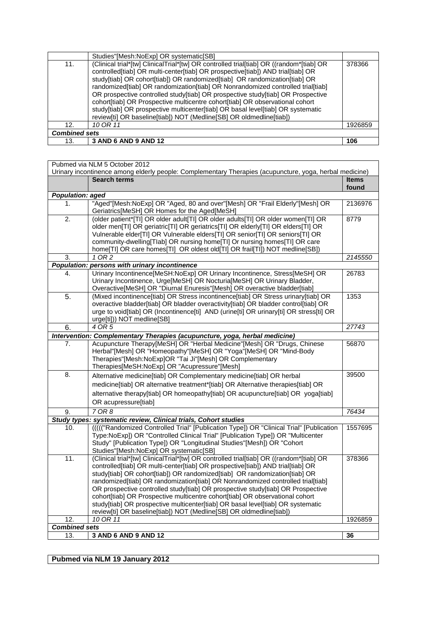|     | Studies"[Mesh:NoExp] OR systematic[SB]                                                                                                                                                                                                                                                                                                                                                                                                                                                                                                                                                                                                                                   |         |  |
|-----|--------------------------------------------------------------------------------------------------------------------------------------------------------------------------------------------------------------------------------------------------------------------------------------------------------------------------------------------------------------------------------------------------------------------------------------------------------------------------------------------------------------------------------------------------------------------------------------------------------------------------------------------------------------------------|---------|--|
| 11. | (Clinical trial*[tw] ClinicalTrial*[tw] OR controlled trial[tiab] OR ((random*[tiab] OR<br>controlled[tiab] OR multi-center[tiab] OR prospective[tiab]) AND trial[tiab] OR<br>study[tiab] OR cohort[tiab]) OR randomized[tiab] OR randomization[tiab] OR<br>randomized[tiab] OR randomization[tiab] OR Nonrandomized controlled trial[tiab]<br>OR prospective controlled study[tiab] OR prospective study[tiab] OR Prospective<br>cohort[tiab] OR Prospective multicentre cohort[tiab] OR observational cohort<br>study[tiab] OR prospective multicenter[tiab] OR basal level[tiab] OR systematic<br>review[ti] OR baseline[tiab]) NOT (Medline[SB] OR oldmedline[tiab]) | 378366  |  |
| 12. | 10 OR 11                                                                                                                                                                                                                                                                                                                                                                                                                                                                                                                                                                                                                                                                 | 1926859 |  |
|     | <b>Combined sets</b>                                                                                                                                                                                                                                                                                                                                                                                                                                                                                                                                                                                                                                                     |         |  |
| 13. | 3 AND 6 AND 9 AND 12                                                                                                                                                                                                                                                                                                                                                                                                                                                                                                                                                                                                                                                     | 106     |  |
|     |                                                                                                                                                                                                                                                                                                                                                                                                                                                                                                                                                                                                                                                                          |         |  |

|                         | Pubmed via NLM 5 October 2012<br>Urinary incontinence among elderly people: Complementary Therapies (acupuncture, yoga, herbal medicine)                           |              |
|-------------------------|--------------------------------------------------------------------------------------------------------------------------------------------------------------------|--------------|
|                         | <b>Search terms</b>                                                                                                                                                | <b>Items</b> |
|                         |                                                                                                                                                                    | found        |
| <b>Population: aged</b> |                                                                                                                                                                    |              |
| 1.                      | "Aged"[Mesh:NoExp] OR "Aged, 80 and over"[Mesh] OR "Frail Elderly"[Mesh] OR                                                                                        | 2136976      |
|                         | Geriatrics [MeSH] OR Homes for the Aged [MeSH]                                                                                                                     |              |
| 2.                      | (older patient*[TI] OR older adult[TI] OR older adults[TI] OR older women[TI] OR                                                                                   | 8779         |
|                         | older men[TI] OR geriatric[TI] OR geriatrics[TI] OR elderly[TI] OR elders[TI] OR                                                                                   |              |
|                         | Vulnerable elder[TI] OR Vulnerable elders[TI] OR senior[TI] OR seniors[TI] OR<br>community-dwelling[Tlab] OR nursing home[Tl] Or nursing homes[Tl] OR care         |              |
|                         | home[TI] OR care homes[TI] OR oldest old[TI] OR frail[TI]) NOT medline[SB])                                                                                        |              |
| 3.                      | 1 OR 2                                                                                                                                                             | 2145550      |
|                         | Population: persons with urinary incontinence                                                                                                                      |              |
| 4.                      | Urinary Incontinence[MeSH:NoExp] OR Urinary Incontinence, Stress[MeSH] OR                                                                                          | 26783        |
|                         | Urinary Incontinence, Urge[MeSH] OR Nocturia[MeSH] OR Urinary Bladder,                                                                                             |              |
|                         | Overactive[MeSH] OR "Diurnal Enuresis"[Mesh] OR overactive bladder[tiab]                                                                                           |              |
| $\overline{5}$ .        | (Mixed incontinence[tiab] OR Stress incontinence[tiab] OR Stress urinary[tiab] OR                                                                                  | 1353         |
|                         | overactive bladder[tiab] OR bladder overactivity[tiab] OR bladder control[tiab] OR                                                                                 |              |
|                         | urge to void[tiab] OR (Incontinence[ti] AND (urine[ti] OR urinary[ti] OR stress[ti] OR                                                                             |              |
|                         | urge[ti])) NOT medline[SB]                                                                                                                                         |              |
| 6.                      | 4 OR 5                                                                                                                                                             | 27743        |
|                         | Intervention: Complementary Therapies (acupuncture, yoga, herbal medicine)<br>Acupuncture Therapy[MeSH] OR "Herbal Medicine"[Mesh] OR "Drugs, Chinese              | 56870        |
| 7.                      | Herbal"[Mesh] OR "Homeopathy"[MeSH] OR "Yoga"[MeSH] OR "Mind-Body                                                                                                  |              |
|                         | Therapies"[Mesh:NoExp]OR "Tai Ji"[Mesh] OR Complementary                                                                                                           |              |
|                         | Therapies[MeSH:NoExp] OR "Acupressure"[Mesh]                                                                                                                       |              |
| 8.                      | Alternative medicine[tiab] OR Complementary medicine[tiab] OR herbal                                                                                               | 39500        |
|                         | medicine[tiab] OR alternative treatment*[tiab] OR Alternative therapies[tiab] OR                                                                                   |              |
|                         | alternative therapy[tiab] OR homeopathy[tiab] OR acupuncture[tiab] OR yoga[tiab]                                                                                   |              |
|                         | OR acupressure[tiab]                                                                                                                                               |              |
| 9.                      | 7 OR 8                                                                                                                                                             | 76434        |
|                         | Study types: systematic review, Clinical trials, Cohort studies                                                                                                    |              |
| 10.                     | (((("Randomized Controlled Trial" [Publication Type]) OR "Clinical Trial" [Publication                                                                             | 1557695      |
|                         | Type:NoExp]) OR "Controlled Clinical Trial" [Publication Type]) OR "Multicenter                                                                                    |              |
|                         | Study" [Publication Type]) OR "Longitudinal Studies"[Mesh]) OR "Cohort                                                                                             |              |
|                         | Studies"[Mesh:NoExp] OR systematic[SB]                                                                                                                             |              |
| 11.                     | (Clinical trial*[tw] ClinicalTrial*[tw] OR controlled trial[tiab] OR ((random*[tiab] OR                                                                            | 378366       |
|                         | controlled[tiab] OR multi-center[tiab] OR prospective[tiab]) AND trial[tiab] OR                                                                                    |              |
|                         | study[tiab] OR cohort[tiab]) OR randomized[tiab] OR randomization[tiab] OR                                                                                         |              |
|                         | randomized[tiab] OR randomization[tiab] OR Nonrandomized controlled trial[tiab]<br>OR prospective controlled study[tiab] OR prospective study[tiab] OR Prospective |              |
|                         | cohort[tiab] OR Prospective multicentre cohort[tiab] OR observational cohort                                                                                       |              |
|                         | study[tiab] OR prospective multicenter[tiab] OR basal level[tiab] OR systematic                                                                                    |              |
|                         | review[ti] OR baseline[tiab]) NOT (Medline[SB] OR oldmedline[tiab])                                                                                                |              |
| 12.                     | 10 OR 11                                                                                                                                                           | 1926859      |
| <b>Combined sets</b>    |                                                                                                                                                                    |              |
| 13.                     | 3 AND 6 AND 9 AND 12                                                                                                                                               | 36           |

**Pubmed via NLM 19 January 2012**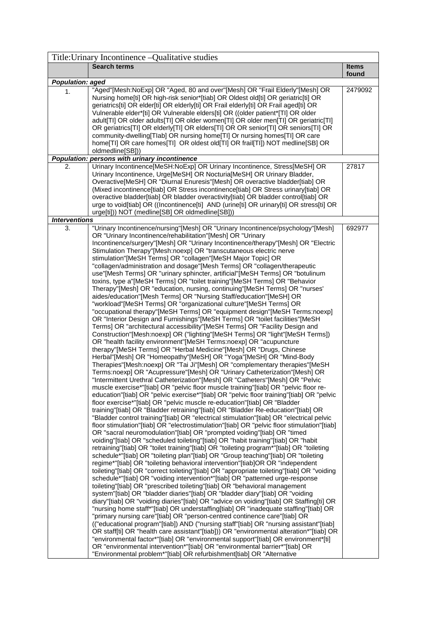|                               | Title: Urinary Incontinence – Qualitative studies                                                                                                                                                                                                                                                                                                                                                                                                                                                                                                                                                                                                                                                                                                                                                                                                                                                                                                                                                                                                                                                                                                                                                                                                                                                                                                                                                                                                                                                                                                                                                                                                                                                                                                                                                                                                                                                                                                                                                                                                                                                                                                                                                                                                                                                                                                                                                                                                                                                                                                                                                                                                                                                                   |              |
|-------------------------------|---------------------------------------------------------------------------------------------------------------------------------------------------------------------------------------------------------------------------------------------------------------------------------------------------------------------------------------------------------------------------------------------------------------------------------------------------------------------------------------------------------------------------------------------------------------------------------------------------------------------------------------------------------------------------------------------------------------------------------------------------------------------------------------------------------------------------------------------------------------------------------------------------------------------------------------------------------------------------------------------------------------------------------------------------------------------------------------------------------------------------------------------------------------------------------------------------------------------------------------------------------------------------------------------------------------------------------------------------------------------------------------------------------------------------------------------------------------------------------------------------------------------------------------------------------------------------------------------------------------------------------------------------------------------------------------------------------------------------------------------------------------------------------------------------------------------------------------------------------------------------------------------------------------------------------------------------------------------------------------------------------------------------------------------------------------------------------------------------------------------------------------------------------------------------------------------------------------------------------------------------------------------------------------------------------------------------------------------------------------------------------------------------------------------------------------------------------------------------------------------------------------------------------------------------------------------------------------------------------------------------------------------------------------------------------------------------------------------|--------------|
|                               | <b>Search terms</b>                                                                                                                                                                                                                                                                                                                                                                                                                                                                                                                                                                                                                                                                                                                                                                                                                                                                                                                                                                                                                                                                                                                                                                                                                                                                                                                                                                                                                                                                                                                                                                                                                                                                                                                                                                                                                                                                                                                                                                                                                                                                                                                                                                                                                                                                                                                                                                                                                                                                                                                                                                                                                                                                                                 | <b>Items</b> |
|                               |                                                                                                                                                                                                                                                                                                                                                                                                                                                                                                                                                                                                                                                                                                                                                                                                                                                                                                                                                                                                                                                                                                                                                                                                                                                                                                                                                                                                                                                                                                                                                                                                                                                                                                                                                                                                                                                                                                                                                                                                                                                                                                                                                                                                                                                                                                                                                                                                                                                                                                                                                                                                                                                                                                                     | found        |
| <b>Population: aged</b><br>1. | "Aged"[Mesh:NoExp] OR "Aged, 80 and over"[Mesh] OR "Frail Elderly"[Mesh] OR<br>Nursing home[ti] OR high-risk senior*[tiab] OR Oldest old[ti] OR geriatric[ti] OR<br>geriatrics[ti] OR elder[ti] OR elderly[ti] OR Frail elderly[ti] OR Frail aged[ti] OR<br>Vulnerable elder*[ti] OR Vulnerable elders[ti] OR ((older patient*[TI] OR older<br>adult[TI] OR older adults[TI] OR older women[TI] OR older men[TI] OR geriatric[TI]<br>OR geriatrics[TI] OR elderly[TI] OR elders[TI] OR OR senior[TI] OR seniors[TI] OR<br>community-dwelling[Tlab] OR nursing home[TI] Or nursing homes[TI] OR care<br>home[TI] OR care homes[TI] OR oldest old[TI] OR frail[TI]) NOT medline[SB] OR                                                                                                                                                                                                                                                                                                                                                                                                                                                                                                                                                                                                                                                                                                                                                                                                                                                                                                                                                                                                                                                                                                                                                                                                                                                                                                                                                                                                                                                                                                                                                                                                                                                                                                                                                                                                                                                                                                                                                                                                                                | 2479092      |
|                               | oldmedline[SB]))                                                                                                                                                                                                                                                                                                                                                                                                                                                                                                                                                                                                                                                                                                                                                                                                                                                                                                                                                                                                                                                                                                                                                                                                                                                                                                                                                                                                                                                                                                                                                                                                                                                                                                                                                                                                                                                                                                                                                                                                                                                                                                                                                                                                                                                                                                                                                                                                                                                                                                                                                                                                                                                                                                    |              |
|                               | Population: persons with urinary incontinence                                                                                                                                                                                                                                                                                                                                                                                                                                                                                                                                                                                                                                                                                                                                                                                                                                                                                                                                                                                                                                                                                                                                                                                                                                                                                                                                                                                                                                                                                                                                                                                                                                                                                                                                                                                                                                                                                                                                                                                                                                                                                                                                                                                                                                                                                                                                                                                                                                                                                                                                                                                                                                                                       |              |
| 2.                            | Urinary Incontinence[MeSH:NoExp] OR Urinary Incontinence, Stress[MeSH] OR<br>Urinary Incontinence, Urge[MeSH] OR Nocturia[MeSH] OR Urinary Bladder,<br>Overactive[MeSH] OR "Diurnal Enuresis"[Mesh] OR overactive bladder[tiab] OR<br>(Mixed incontinence[tiab] OR Stress incontinence[tiab] OR Stress urinary[tiab] OR<br>overactive bladder[tiab] OR bladder overactivity[tiab] OR bladder control[tiab] OR<br>urge to void[tiab] OR ((Incontinence[ti] AND (urine[ti] OR urinary[ti] OR stress[ti] OR<br>urge[ti])) NOT (medline[SB] OR oldmedline[SB]))                                                                                                                                                                                                                                                                                                                                                                                                                                                                                                                                                                                                                                                                                                                                                                                                                                                                                                                                                                                                                                                                                                                                                                                                                                                                                                                                                                                                                                                                                                                                                                                                                                                                                                                                                                                                                                                                                                                                                                                                                                                                                                                                                         | 27817        |
| <b>Interventions</b>          |                                                                                                                                                                                                                                                                                                                                                                                                                                                                                                                                                                                                                                                                                                                                                                                                                                                                                                                                                                                                                                                                                                                                                                                                                                                                                                                                                                                                                                                                                                                                                                                                                                                                                                                                                                                                                                                                                                                                                                                                                                                                                                                                                                                                                                                                                                                                                                                                                                                                                                                                                                                                                                                                                                                     |              |
| 3.                            | "Urinary Incontinence/nursing"[Mesh] OR "Urinary Incontinence/psychology"[Mesh]<br>OR "Urinary Incontinence/rehabilitation"[Mesh] OR "Urinary<br>Incontinence/surgery"[Mesh] OR "Urinary Incontinence/therapy"[Mesh] OR "Electric<br>Stimulation Therapy"[Mesh:noexp] OR "transcutaneous electric nerve<br>stimulation"[MeSH Terms] OR "collagen"[MeSH Major Topic] OR<br>"collagen/administration and dosage"[Mesh Terms] OR "collagen/therapeutic<br>use"[Mesh Terms] OR "urinary sphincter, artificial"[MeSH Terms] OR "botulinum<br>toxins, type a"[MeSH Terms] OR "toilet training"[MeSH Terms] OR "Behavior<br>Therapy"[Mesh] OR "education, nursing, continuing"[MeSH Terms] OR "nurses'<br>aides/education"[Mesh Terms] OR "Nursing Staff/education"[MeSH] OR<br>"workload"[MeSH Terms] OR "organizational culture"[MeSH Terms] OR<br>"occupational therapy"[MeSH Terms] OR "equipment design"[MeSH Terms:noexp]<br>OR "Interior Design and Furnishings"[MeSH Terms] OR "toilet facilities"[MeSH<br>Terms] OR "architectural accessibility"[MeSH Terms] OR "Facility Design and<br>Construction"[Mesh:noexp] OR ("lighting"[MeSH Terms] OR "light"[MeSH Terms])<br>OR "health facility environment"[MeSH Terms:noexp] OR "acupuncture<br>therapy"[MeSH Terms] OR "Herbal Medicine"[Mesh] OR "Drugs, Chinese<br>Herbal"[Mesh] OR "Homeopathy"[MeSH] OR "Yoga"[MeSH] OR "Mind-Body<br>Therapies"[Mesh:noexp] OR "Tai Ji"[Mesh] OR "complementary therapies"[MeSH<br>Terms:noexp] OR "Acupressure"[Mesh] OR "Urinary Catheterization"[Mesh] OR<br>"Intermittent Urethral Catheterization"[Mesh] OR "Catheters"[Mesh] OR "Pelvic<br>muscle exercise*"[tiab] OR "pelvic floor muscle training"[tiab] OR "pelvic floor re-<br>education"[tiab] OR "pelvic exercise*"[tiab] OR "pelvic floor training"[tiab] OR "pelvic<br>floor exercise*"[tiab] OR "pelvic muscle re-education"[tiab] OR "Bladder<br>training"[tiab] OR "Bladder retraining"[tiab] OR "Bladder Re-education"[tiab] OR<br>"Bladder control training"[tiab] OR "electrical stimulation"[tiab] OR "electrical pelvic<br>floor stimulation"[tiab] OR "electrostimulation"[tiab] OR "pelvic floor stimulation"[tiab]<br>OR "sacral neuromodulation"[tiab] OR "prompted voiding"[tiab] OR "timed<br>voiding"[tiab] OR "scheduled toileting"[tiab] OR "habit training"[tiab] OR "habit<br>retraining"[tiab] OR "toilet training"[tiab] OR "toileting program*"[tiab] OR "toileting<br>schedule*"[tiab] OR "toileting plan"[tiab] OR "Group teaching"[tiab] OR "toileting<br>regime*"[tiab] OR "toileting behavioral intervention"[tiab]OR OR "independent<br>toileting"[tiab] OR "correct toileting"[tiab] OR "appropriate toileting"[tiab] OR "voiding | 692977       |
|                               | schedule*"[tiab] OR "voiding intervention*"[tiab] OR "patterned urge-response<br>toileting"[tiab] OR "prescribed toileting"[tiab] OR "behavioral management<br>system"[tiab] OR "bladder diaries"[tiab] OR "bladder diary"[tiab] OR "voiding<br>diary"[tiab] OR "voiding diaries"[tiab] OR "advice on voiding"[tiab] OR Staffing[ti] OR<br>"nursing home staff*"[tiab] OR understaffing[tiab] OR "inadequate staffing"[tiab] OR<br>"primary nursing care"[tiab] OR "person-centred continence care"[tiab] OR<br>(("educational program"[tiab]) AND ("nursing staff"[tiab] OR "nursing assistant"[tiab]<br>OR staff[ti] OR "health care assistant"[tiab])) OR "environmental alteration*"[tiab] OR<br>"environmental factor*"[tiab] OR "environmental support"[tiab] OR environment*[ti]<br>OR "environmental intervention*"[tiab] OR "environmental barrier*"[tiab] OR<br>"Environmental problem*"[tiab] OR refurbishment[tiab] OR "Alternative                                                                                                                                                                                                                                                                                                                                                                                                                                                                                                                                                                                                                                                                                                                                                                                                                                                                                                                                                                                                                                                                                                                                                                                                                                                                                                                                                                                                                                                                                                                                                                                                                                                                                                                                                                     |              |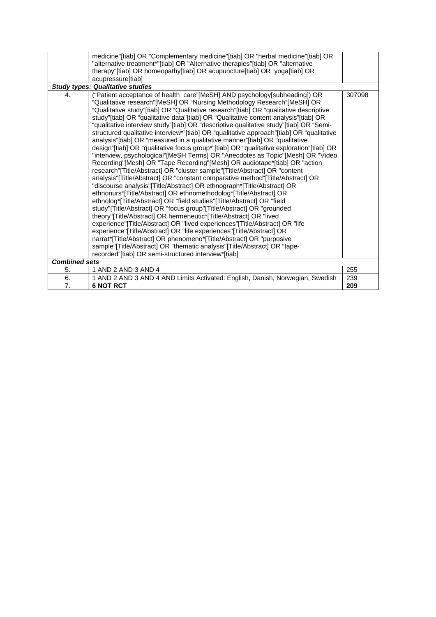|                      | medicine"[tiab] OR "Complementary medicine"[tiab] OR "herbal medicine"[tiab] OR                                                                                                    |        |
|----------------------|------------------------------------------------------------------------------------------------------------------------------------------------------------------------------------|--------|
|                      | "alternative treatment*"[tiab] OR "Alternative therapies"[tiab] OR "alternative                                                                                                    |        |
|                      | therapy"[tiab] OR homeopathy[tiab] OR acupuncture[tiab] OR yoga[tiab] OR                                                                                                           |        |
|                      | acupressure[tiab]                                                                                                                                                                  |        |
|                      | <b>Study types: Qualitative studies</b>                                                                                                                                            |        |
| 4.                   | ("Patient acceptance of health care"[MeSH] AND psychology[subheading]) OR                                                                                                          | 307098 |
|                      | "Qualitative research"[MeSH] OR "Nursing Methodology Research"[MeSH] OR                                                                                                            |        |
|                      | "Qualitative study"[tiab] OR "Qualitative research"[tiab] OR "qualitative descriptive                                                                                              |        |
|                      | study"[tiab] OR "qualitative data"[tiab] OR "Qualitative content analysis"[tiab] OR                                                                                                |        |
|                      | "qualitative interview study"[tiab] OR "descriptive qualitative study"[tiab] OR "Semi-<br>structured qualitative interview*"[tiab] OR "qualitative approach"[tiab] OR "qualitative |        |
|                      | analysis"[tiab] OR "measured in a qualitative manner"[tiab] OR "qualitative                                                                                                        |        |
|                      | design"[tiab] OR "qualitative focus group*"[tiab] OR "qualitative exploration"[tiab] OR                                                                                            |        |
|                      | "interview, psychological"[MeSH Terms] OR "Anecdotes as Topic"[Mesh] OR "Video                                                                                                     |        |
|                      | Recording"[Mesh] OR "Tape Recording"[Mesh] OR audiotape*[tiab] OR "action                                                                                                          |        |
|                      | research"[Title/Abstract] OR "cluster sample"[Title/Abstract] OR "content                                                                                                          |        |
|                      | analysis"[Title/Abstract] OR "constant comparative method"[Title/Abstract] OR                                                                                                      |        |
|                      | "discourse analysis"[Title/Abstract] OR ethnograph*[Title/Abstract] OR                                                                                                             |        |
|                      | ethnonurs*[Title/Abstract] OR ethnomethodolog*[Title/Abstract] OR                                                                                                                  |        |
|                      | ethnolog*[Title/Abstract] OR "field studies"[Title/Abstract] OR "field                                                                                                             |        |
|                      | study"[Title/Abstract] OR "focus group"[Title/Abstract] OR "grounded                                                                                                               |        |
|                      | theory" [Title/Abstract] OR hermeneutic* [Title/Abstract] OR "lived                                                                                                                |        |
|                      | experience"[Title/Abstract] OR "lived experiences"[Title/Abstract] OR "life                                                                                                        |        |
|                      | experience"[Title/Abstract] OR "life experiences"[Title/Abstract] OR                                                                                                               |        |
|                      | narrat*[Title/Abstract] OR phenomeno*[Title/Abstract] OR "purposive                                                                                                                |        |
|                      | sample"[Title/Abstract] OR "thematic analysis"[Title/Abstract] OR "tape-                                                                                                           |        |
|                      | recorded"[tiab] OR semi-structured interview*[tiab]                                                                                                                                |        |
| <b>Combined sets</b> |                                                                                                                                                                                    |        |
| 5.                   | 1 AND 2 AND 3 AND 4                                                                                                                                                                | 255    |
| 6.                   | 1 AND 2 AND 3 AND 4 AND Limits Activated: English, Danish, Norwegian, Swedish                                                                                                      | 239    |
| $\overline{7}$ .     | <b>6 NOT RCT</b>                                                                                                                                                                   | 209    |